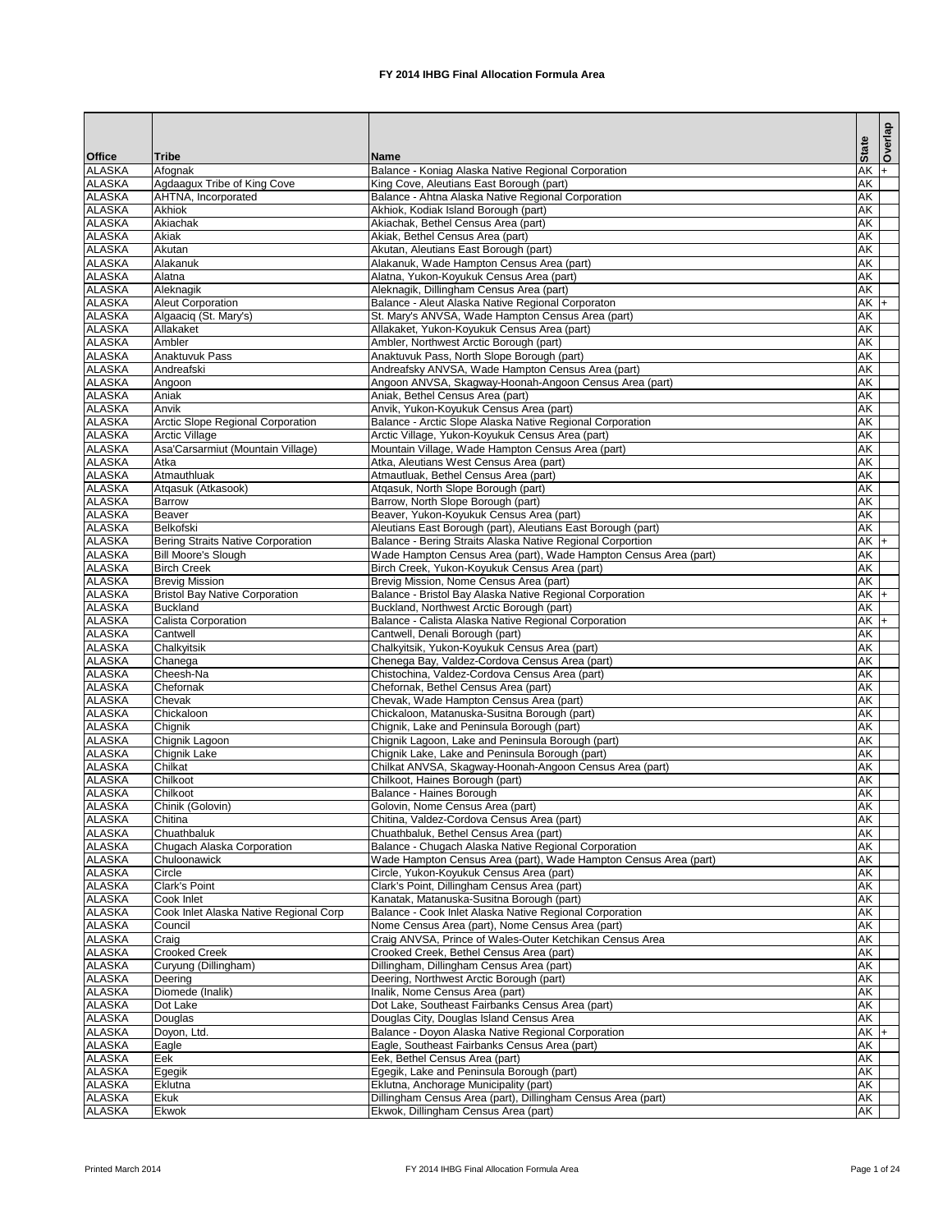|                                |                                                                |                                                                                                              |                          |                                    | Overlap |
|--------------------------------|----------------------------------------------------------------|--------------------------------------------------------------------------------------------------------------|--------------------------|------------------------------------|---------|
| <b>Office</b>                  | <b>Tribe</b>                                                   | <b>Name</b>                                                                                                  | <b>State</b>             |                                    |         |
| <b>ALASKA</b>                  | Afognak                                                        | Balance - Koniag Alaska Native Regional Corporation                                                          |                          | <b>AK</b>                          | l+      |
| <b>ALASKA</b>                  | Agdaagux Tribe of King Cove                                    | King Cove, Aleutians East Borough (part)                                                                     |                          | <b>AK</b>                          |         |
| <b>ALASKA</b>                  | AHTNA, Incorporated                                            | Balance - Ahtna Alaska Native Regional Corporation                                                           |                          | $\overline{\mathsf{AK}}$           |         |
| <b>ALASKA</b>                  | <b>Akhiok</b>                                                  | Akhiok, Kodiak Island Borough (part)                                                                         |                          | $\overline{\mathsf{AK}}$           |         |
| <b>ALASKA</b>                  | Akiachak                                                       | Akiachak, Bethel Census Area (part)                                                                          |                          | $\overline{\mathsf{AK}}$           |         |
| <b>ALASKA</b><br><b>ALASKA</b> | Akiak<br>Akutan                                                | Akiak, Bethel Census Area (part)<br>Akutan, Aleutians East Borough (part)                                    | <b>AK</b>                | <b>AK</b>                          |         |
| <b>ALASKA</b>                  | Alakanuk                                                       | Alakanuk, Wade Hampton Census Area (part)                                                                    | <b>AK</b>                |                                    |         |
| <b>ALASKA</b>                  | Alatna                                                         | Alatna, Yukon-Koyukuk Census Area (part)                                                                     | <b>AK</b>                |                                    |         |
| <b>ALASKA</b>                  | Aleknagik                                                      | Aleknagik, Dillingham Census Area (part)                                                                     |                          | <b>AK</b>                          |         |
| <b>ALASKA</b>                  | <b>Aleut Corporation</b>                                       | Balance - Aleut Alaska Native Regional Corporaton                                                            |                          | $AK +$                             |         |
| <b>ALASKA</b>                  | Algaaciq (St. Mary's)                                          | St. Mary's ANVSA, Wade Hampton Census Area (part)                                                            |                          | $\overline{\mathsf{AK}}$           |         |
| <b>ALASKA</b>                  | Allakaket                                                      | Allakaket, Yukon-Koyukuk Census Area (part)                                                                  |                          | $\overline{\mathsf{AK}}$           |         |
| <b>ALASKA</b>                  | Ambler                                                         | Ambler, Northwest Arctic Borough (part)                                                                      |                          | $\overline{\mathsf{AK}}$           |         |
| <b>ALASKA</b>                  | <b>Anaktuvuk Pass</b>                                          | Anaktuvuk Pass, North Slope Borough (part)                                                                   |                          | <b>AK</b>                          |         |
| <b>ALASKA</b>                  | Andreafski                                                     | Andreafsky ANVSA, Wade Hampton Census Area (part)                                                            |                          | $\overline{\mathsf{AK}}$           |         |
| <b>ALASKA</b>                  | Angoon                                                         | Angoon ANVSA, Skagway-Hoonah-Angoon Census Area (part)                                                       |                          | <b>AK</b>                          |         |
| <b>ALASKA</b><br><b>ALASKA</b> | Aniak<br>Anvik                                                 | Aniak, Bethel Census Area (part)<br>Anvik, Yukon-Koyukuk Census Area (part)                                  | $\overline{\mathsf{AK}}$ | <b>AK</b>                          |         |
| <b>ALASKA</b>                  | Arctic Slope Regional Corporation                              | Balance - Arctic Slope Alaska Native Regional Corporation                                                    |                          | $\overline{\mathsf{AK}}$           |         |
| <b>ALASKA</b>                  | <b>Arctic Village</b>                                          | Arctic Village, Yukon-Koyukuk Census Area (part)                                                             |                          | <b>AK</b>                          |         |
| <b>ALASKA</b>                  | Asa'Carsarmiut (Mountain Village)                              | Mountain Village, Wade Hampton Census Area (part)                                                            |                          | $\overline{\mathsf{AK}}$           |         |
| <b>ALASKA</b>                  | Atka                                                           | Atka, Aleutians West Census Area (part)                                                                      |                          | <b>AK</b>                          |         |
| <b>ALASKA</b>                  | Atmauthluak                                                    | Atmautluak, Bethel Census Area (part)                                                                        | <b>AK</b>                |                                    |         |
| <b>ALASKA</b>                  | Atqasuk (Atkasook)                                             | Atqasuk, North Slope Borough (part)                                                                          | <b>AK</b>                |                                    |         |
| <b>ALASKA</b>                  | <b>Barrow</b>                                                  | Barrow, North Slope Borough (part)                                                                           |                          | $\overline{\mathsf{AK}}$           |         |
| <b>ALASKA</b>                  | <b>Beaver</b>                                                  | Beaver, Yukon-Koyukuk Census Area (part)                                                                     |                          | $\overline{\mathsf{AK}}$           |         |
| <b>ALASKA</b>                  | <b>Belkofski</b>                                               | Aleutians East Borough (part), Aleutians East Borough (part)                                                 |                          | <b>AK</b>                          |         |
| <b>ALASKA</b>                  | Bering Straits Native Corporation                              | Balance - Bering Straits Alaska Native Regional Corportion                                                   |                          | $AK +$                             |         |
| <b>ALASKA</b>                  | <b>Bill Moore's Slough</b>                                     | Wade Hampton Census Area (part), Wade Hampton Census Area (part)                                             |                          | $\overline{\mathsf{AK}}$           |         |
| <b>ALASKA</b>                  | <b>Birch Creek</b>                                             | Birch Creek, Yukon-Koyukuk Census Area (part)                                                                |                          | AK                                 |         |
| <b>ALASKA</b><br><b>ALASKA</b> | <b>Brevig Mission</b><br><b>Bristol Bay Native Corporation</b> | Brevig Mission, Nome Census Area (part)<br>Balance - Bristol Bay Alaska Native Regional Corporation          |                          | $\overline{\mathsf{AK}}$<br>$AK +$ |         |
| <b>ALASKA</b>                  | <b>Buckland</b>                                                | Buckland, Northwest Arctic Borough (part)                                                                    |                          | <b>AK</b>                          |         |
| <b>ALASKA</b>                  | Calista Corporation                                            | Balance - Calista Alaska Native Regional Corporation                                                         |                          | $AK +$                             |         |
| <b>ALASKA</b>                  | Cantwell                                                       | Cantwell, Denali Borough (part)                                                                              |                          | $\overline{\mathsf{AK}}$           |         |
| <b>ALASKA</b>                  | Chalkyitsik                                                    | Chalkyitsik, Yukon-Koyukuk Census Area (part)                                                                |                          | AK                                 |         |
| <b>ALASKA</b>                  | Chanega                                                        | Chenega Bay, Valdez-Cordova Census Area (part)                                                               |                          | $\overline{\mathsf{AK}}$           |         |
| <b>ALASKA</b>                  | Cheesh-Na                                                      | Chistochina, Valdez-Cordova Census Area (part)                                                               |                          | $\overline{\mathsf{AK}}$           |         |
| <b>ALASKA</b>                  | Chefornak                                                      | Chefornak, Bethel Census Area (part)                                                                         |                          | <b>AK</b>                          |         |
| <b>ALASKA</b>                  | Chevak                                                         | Chevak, Wade Hampton Census Area (part)                                                                      | <b>AK</b>                |                                    |         |
| <b>ALASKA</b>                  | Chickaloon                                                     | Chickaloon, Matanuska-Susitna Borough (part)                                                                 | <b>AK</b>                |                                    |         |
| <b>ALASKA</b>                  | Chignik                                                        | Chignik, Lake and Peninsula Borough (part)                                                                   |                          | $\overline{\mathsf{AK}}$           |         |
| <b>ALASKA</b><br><b>ALASKA</b> | Chignik Lagoon                                                 | Chignik Lagoon, Lake and Peninsula Borough (part)                                                            |                          | $\overline{\mathsf{AK}}$           |         |
| <b>ALASKA</b>                  | Chignik Lake<br>Chilkat                                        | Chignik Lake, Lake and Peninsula Borough (part)<br>Chilkat ANVSA, Skagway-Hoonah-Angoon Census Area (part)   |                          | $\overline{\mathsf{AK}}$<br>AK     |         |
| <b>ALASKA</b>                  | Chilkoot                                                       | Chilkoot, Haines Borough (part)                                                                              |                          | $\overline{\mathsf{AK}}$           |         |
| <b>ALASKA</b>                  | Chilkoot                                                       | Balance - Haines Borough                                                                                     |                          | AK                                 |         |
| <b>ALASKA</b>                  | Chinik (Golovin)                                               | Golovin, Nome Census Area (part)                                                                             |                          | <b>AK</b>                          |         |
| <b>ALASKA</b>                  | Chitina                                                        | Chitina, Valdez-Cordova Census Area (part)                                                                   |                          | $\overline{\mathsf{AK}}$           |         |
| <b>ALASKA</b>                  | Chuathbaluk                                                    | Chuathbaluk, Bethel Census Area (part)                                                                       |                          | $\overline{\mathsf{AK}}$           |         |
| <b>ALASKA</b>                  | Chugach Alaska Corporation                                     | Balance - Chugach Alaska Native Regional Corporation                                                         |                          | <b>AK</b>                          |         |
| <b>ALASKA</b>                  | Chuloonawick                                                   | Wade Hampton Census Area (part), Wade Hampton Census Area (part)                                             |                          | <b>AK</b>                          |         |
| <b>ALASKA</b>                  | Circle                                                         | Circle, Yukon-Koyukuk Census Area (part)                                                                     |                          | $\overline{\mathsf{AK}}$           |         |
| <b>ALASKA</b>                  | <b>Clark's Point</b>                                           | Clark's Point, Dillingham Census Area (part)                                                                 |                          | $\overline{\mathsf{AK}}$           |         |
| <b>ALASKA</b>                  | Cook Inlet                                                     | Kanatak, Matanuska-Susitna Borough (part)                                                                    |                          | $\overline{\mathsf{AK}}$           |         |
| <b>ALASKA</b>                  | Cook Inlet Alaska Native Regional Corp                         | Balance - Cook Inlet Alaska Native Regional Corporation                                                      |                          | <b>AK</b>                          |         |
| <b>ALASKA</b><br><b>ALASKA</b> | Council<br>Craig                                               | Nome Census Area (part), Nome Census Area (part)<br>Craig ANVSA, Prince of Wales-Outer Ketchikan Census Area | <b>AK</b><br><b>AK</b>   |                                    |         |
| <b>ALASKA</b>                  | <b>Crooked Creek</b>                                           | Crooked Creek, Bethel Census Area (part)                                                                     |                          | $\overline{\mathsf{AK}}$           |         |
| <b>ALASKA</b>                  | Curyung (Dillingham)                                           | Dillingham, Dillingham Census Area (part)                                                                    |                          | $\overline{\mathsf{AK}}$           |         |
| <b>ALASKA</b>                  | Deering                                                        | Deering, Northwest Arctic Borough (part)                                                                     |                          | AK                                 |         |
| <b>ALASKA</b>                  | Diomede (Inalik)                                               | Inalik, Nome Census Area (part)                                                                              |                          | AK                                 |         |
| <b>ALASKA</b>                  | Dot Lake                                                       | Dot Lake, Southeast Fairbanks Census Area (part)                                                             |                          | AK                                 |         |
| <b>ALASKA</b>                  | Douglas                                                        | Douglas City, Douglas Island Census Area                                                                     |                          | AK                                 |         |
| <b>ALASKA</b>                  | Doyon, Ltd.                                                    | Balance - Doyon Alaska Native Regional Corporation                                                           |                          | $AK +$                             |         |
| <b>ALASKA</b>                  | Eagle                                                          | Eagle, Southeast Fairbanks Census Area (part)                                                                |                          | $\overline{\mathsf{AK}}$           |         |
| <b>ALASKA</b>                  | Eek                                                            | Eek, Bethel Census Area (part)                                                                               |                          | $\overline{\mathsf{AK}}$           |         |
| <b>ALASKA</b>                  | Egegik                                                         | Egegik, Lake and Peninsula Borough (part)                                                                    |                          | AK                                 |         |
| <b>ALASKA</b>                  | Eklutna                                                        | Eklutna, Anchorage Municipality (part)                                                                       |                          | AK                                 |         |
| <b>ALASKA</b>                  | <b>Ekuk</b>                                                    | Dillingham Census Area (part), Dillingham Census Area (part)                                                 |                          | AK                                 |         |
| <b>ALASKA</b>                  | Ekwok                                                          | Ekwok, Dillingham Census Area (part)                                                                         |                          | AK                                 |         |

Printed March 2014 **FX 2014 IHBG Final Allocation Formula Area** Page 1 of 24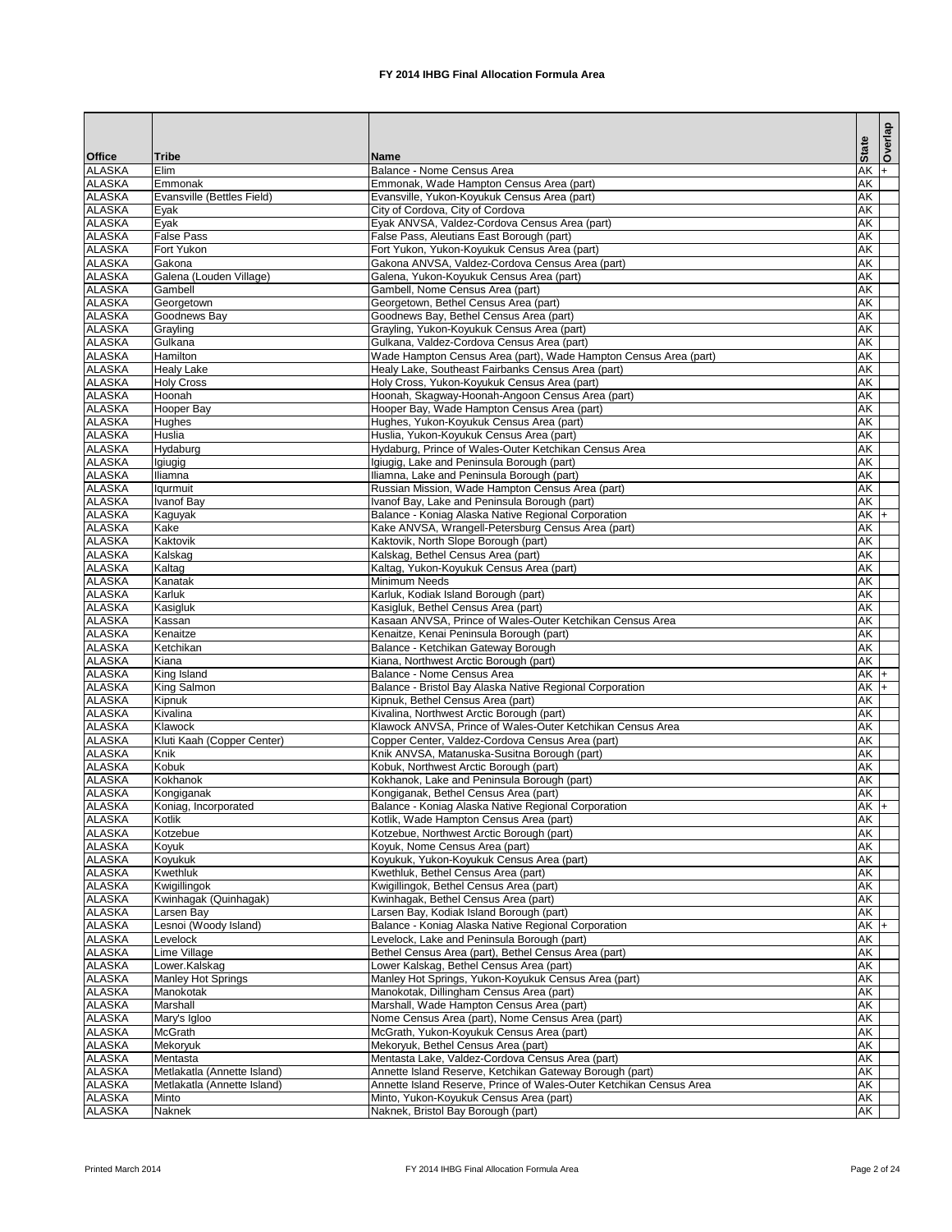|                                |                                     |                                                                                                       |                        | Overlap |
|--------------------------------|-------------------------------------|-------------------------------------------------------------------------------------------------------|------------------------|---------|
| <b>Office</b>                  | <b>Tribe</b>                        | <b>Name</b>                                                                                           | <b>State</b>           |         |
| <b>ALASKA</b>                  | Elim                                | Balance - Nome Census Area                                                                            | $AK +$                 |         |
| <b>ALASKA</b>                  | Emmonak                             | Emmonak, Wade Hampton Census Area (part)                                                              | AK                     |         |
| <b>ALASKA</b>                  | Evansville (Bettles Field)          | Evansville, Yukon-Koyukuk Census Area (part)                                                          | AK                     |         |
| <b>ALASKA</b>                  | Eyak                                | City of Cordova, City of Cordova                                                                      | <b>AK</b>              |         |
| <b>ALASKA</b><br><b>ALASKA</b> | Eyak<br><b>False Pass</b>           | Eyak ANVSA, Valdez-Cordova Census Area (part)<br>False Pass, Aleutians East Borough (part)            | <b>AK</b><br>AK        |         |
| <b>ALASKA</b>                  | Fort Yukon                          | Fort Yukon, Yukon-Koyukuk Census Area (part)                                                          | <b>AK</b>              |         |
| <b>ALASKA</b>                  | Gakona                              | Gakona ANVSA, Valdez-Cordova Census Area (part)                                                       | <b>AK</b>              |         |
| <b>ALASKA</b>                  | Galena (Louden Village)             | Galena, Yukon-Koyukuk Census Area (part)                                                              | AK                     |         |
| <b>ALASKA</b>                  | Gambell                             | Gambell, Nome Census Area (part)                                                                      | AK                     |         |
| <b>ALASKA</b>                  | Georgetown                          | Georgetown, Bethel Census Area (part)                                                                 | <b>AK</b>              |         |
| <b>ALASKA</b><br><b>ALASKA</b> | Goodnews Bay<br>Grayling            | Goodnews Bay, Bethel Census Area (part)<br>Grayling, Yukon-Koyukuk Census Area (part)                 | <b>AK</b><br><b>AK</b> |         |
| <b>ALASKA</b>                  | Gulkana                             | Gulkana, Valdez-Cordova Census Area (part)                                                            | <b>AK</b>              |         |
| <b>ALASKA</b>                  | <b>Hamilton</b>                     | Wade Hampton Census Area (part), Wade Hampton Census Area (part)                                      | <b>AK</b>              |         |
| <b>ALASKA</b>                  | <b>Healy Lake</b>                   | Healy Lake, Southeast Fairbanks Census Area (part)                                                    | AK                     |         |
| <b>ALASKA</b>                  | <b>Holy Cross</b>                   | Holy Cross, Yukon-Koyukuk Census Area (part)                                                          | <b>AK</b>              |         |
| <b>ALASKA</b>                  | Hoonah                              | Hoonah, Skagway-Hoonah-Angoon Census Area (part)                                                      | <b>AK</b>              |         |
| <b>ALASKA</b>                  | <b>Hooper Bay</b>                   | Hooper Bay, Wade Hampton Census Area (part)                                                           | <b>AK</b><br><b>AK</b> |         |
| <b>ALASKA</b><br><b>ALASKA</b> | <b>Hughes</b><br><b>Huslia</b>      | Hughes, Yukon-Koyukuk Census Area (part)<br>Huslia, Yukon-Koyukuk Census Area (part)                  | AK                     |         |
| <b>ALASKA</b>                  | Hydaburg                            | Hydaburg, Prince of Wales-Outer Ketchikan Census Area                                                 | <b>AK</b>              |         |
| <b>ALASKA</b>                  | Igiugig                             | Igiugig, Lake and Peninsula Borough (part)                                                            | <b>AK</b>              |         |
| <b>ALASKA</b>                  | Iliamna                             | Iliamna, Lake and Peninsula Borough (part)                                                            | <b>AK</b>              |         |
| <b>ALASKA</b>                  | lqurmuit                            | Russian Mission, Wade Hampton Census Area (part)                                                      | <b>AK</b>              |         |
| <b>ALASKA</b>                  | <b>Ivanof Bay</b>                   | Ivanof Bay, Lake and Peninsula Borough (part)                                                         | <b>AK</b>              |         |
| <b>ALASKA</b><br><b>ALASKA</b> | Kaguyak<br>Kake                     | Balance - Koniag Alaska Native Regional Corporation                                                   | $AK$ +<br><b>AK</b>    |         |
| <b>ALASKA</b>                  | Kaktovik                            | Kake ANVSA, Wrangell-Petersburg Census Area (part)<br>Kaktovik, North Slope Borough (part)            | <b>AK</b>              |         |
| <b>ALASKA</b>                  | Kalskag                             | Kalskag, Bethel Census Area (part)                                                                    | <b>AK</b>              |         |
| <b>ALASKA</b>                  | Kaltag                              | Kaltag, Yukon-Koyukuk Census Area (part)                                                              | <b>AK</b>              |         |
| <b>ALASKA</b>                  | Kanatak                             | <b>Minimum Needs</b>                                                                                  | AK                     |         |
| <b>ALASKA</b>                  | Karluk                              | Karluk, Kodiak Island Borough (part)                                                                  | AK                     |         |
| <b>ALASKA</b>                  | Kasigluk                            | Kasigluk, Bethel Census Area (part)                                                                   | AK                     |         |
| <b>ALASKA</b><br><b>ALASKA</b> | Kassan<br>Kenaitze                  | Kasaan ANVSA, Prince of Wales-Outer Ketchikan Census Area<br>Kenaitze, Kenai Peninsula Borough (part) | AK<br>AK               |         |
| <b>ALASKA</b>                  | Ketchikan                           | Balance - Ketchikan Gateway Borough                                                                   | <b>AK</b>              |         |
| <b>ALASKA</b>                  | Kiana                               | Kiana, Northwest Arctic Borough (part)                                                                | AK                     |         |
| <b>ALASKA</b>                  | King Island                         | Balance - Nome Census Area                                                                            | $AK +$                 |         |
| <b>ALASKA</b>                  | King Salmon                         | Balance - Bristol Bay Alaska Native Regional Corporation                                              | $AK$ +                 |         |
| <b>ALASKA</b><br><b>ALASKA</b> | Kipnuk<br>Kivalina                  | Kipnuk, Bethel Census Area (part)<br>Kivalina, Northwest Arctic Borough (part)                        | <b>AK</b><br><b>AK</b> |         |
| <b>ALASKA</b>                  | Klawock                             | Klawock ANVSA, Prince of Wales-Outer Ketchikan Census Area                                            | <b>AK</b>              |         |
| <b>ALASKA</b>                  | Kluti Kaah (Copper Center)          | Copper Center, Valdez-Cordova Census Area (part)                                                      | AK                     |         |
| <b>ALASKA</b>                  | Knik                                | Knik ANVSA, Matanuska-Susitna Borough (part)                                                          | <b>AK</b>              |         |
| <b>ALASKA</b>                  | Kobuk                               | Kobuk, Northwest Arctic Borough (part)                                                                | AK                     |         |
| <b>ALASKA</b>                  | Kokhanok                            | Kokhanok, Lake and Peninsula Borough (part)                                                           | AK                     |         |
| <b>ALASKA</b>                  | Kongiganak                          | Kongiganak, Bethel Census Area (part)                                                                 | AK                     |         |
| <b>ALASKA</b><br><b>ALASKA</b> | Koniag, Incorporated<br>Kotlik      | Balance - Koniag Alaska Native Regional Corporation<br>Kotlik, Wade Hampton Census Area (part)        | $AK +$<br>AK           |         |
| <b>ALASKA</b>                  | Kotzebue                            | Kotzebue, Northwest Arctic Borough (part)                                                             | AK                     |         |
| <b>ALASKA</b>                  | Koyuk                               | Koyuk, Nome Census Area (part)                                                                        | <b>AK</b>              |         |
| <b>ALASKA</b>                  | Koyukuk                             | Koyukuk, Yukon-Koyukuk Census Area (part)                                                             | <b>AK</b>              |         |
| <b>ALASKA</b>                  | <b>Kwethluk</b>                     | Kwethluk, Bethel Census Area (part)                                                                   | <b>AK</b>              |         |
| <b>ALASKA</b>                  | Kwigillingok                        | Kwigillingok, Bethel Census Area (part)                                                               | AK                     |         |
| <b>ALASKA</b><br><b>ALASKA</b> | Kwinhagak (Quinhagak)<br>Larsen Bay | Kwinhagak, Bethel Census Area (part)<br>Larsen Bay, Kodiak Island Borough (part)                      | <b>AK</b><br>AK        |         |
| <b>ALASKA</b>                  | Lesnoi (Woody Island)               | Balance - Koniag Alaska Native Regional Corporation                                                   | $AK$ +                 |         |
| <b>ALASKA</b>                  | Levelock                            | evelock, Lake and Peninsula Borough (part)                                                            | <b>AK</b>              |         |
| <b>ALASKA</b>                  | Lime Village                        | Bethel Census Area (part), Bethel Census Area (part)                                                  | <b>AK</b>              |         |
| <b>ALASKA</b>                  | Lower.Kalskag                       | Lower Kalskag, Bethel Census Area (part)                                                              | AK                     |         |
| <b>ALASKA</b>                  | <b>Manley Hot Springs</b>           | Manley Hot Springs, Yukon-Koyukuk Census Area (part)                                                  | <b>AK</b>              |         |
| <b>ALASKA</b><br><b>ALASKA</b> | Manokotak<br>Marshall               | Manokotak, Dillingham Census Area (part)<br>Marshall, Wade Hampton Census Area (part)                 | <b>AK</b><br><b>AK</b> |         |
| <b>ALASKA</b>                  | Mary's Igloo                        | Nome Census Area (part), Nome Census Area (part)                                                      | AK                     |         |
| <b>ALASKA</b>                  | <b>McGrath</b>                      | McGrath, Yukon-Koyukuk Census Area (part)                                                             | AK                     |         |
| <b>ALASKA</b>                  | Mekoryuk                            | Mekoryuk, Bethel Census Area (part)                                                                   | AK                     |         |
| <b>ALASKA</b>                  | Mentasta                            | Mentasta Lake, Valdez-Cordova Census Area (part)                                                      | AK                     |         |
| <b>ALASKA</b>                  | Metlakatla (Annette Island)         | Annette Island Reserve, Ketchikan Gateway Borough (part)                                              | <b>AK</b>              |         |
| <b>ALASKA</b>                  | IMetlakatla (Annette Island)        | Annette Island Reserve, Prince of Wales-Outer Ketchikan Census Area                                   | AK                     |         |
| <b>ALASKA</b><br><b>ALASKA</b> | Minto<br>Naknek                     | Minto, Yukon-Koyukuk Census Area (part)<br>Naknek, Bristol Bay Borough (part)                         | <b>AK</b><br>AK        |         |
|                                |                                     |                                                                                                       |                        |         |

Printed March 2014 **FX 2014 IHBG Final Allocation Formula Area** Page 2 of 24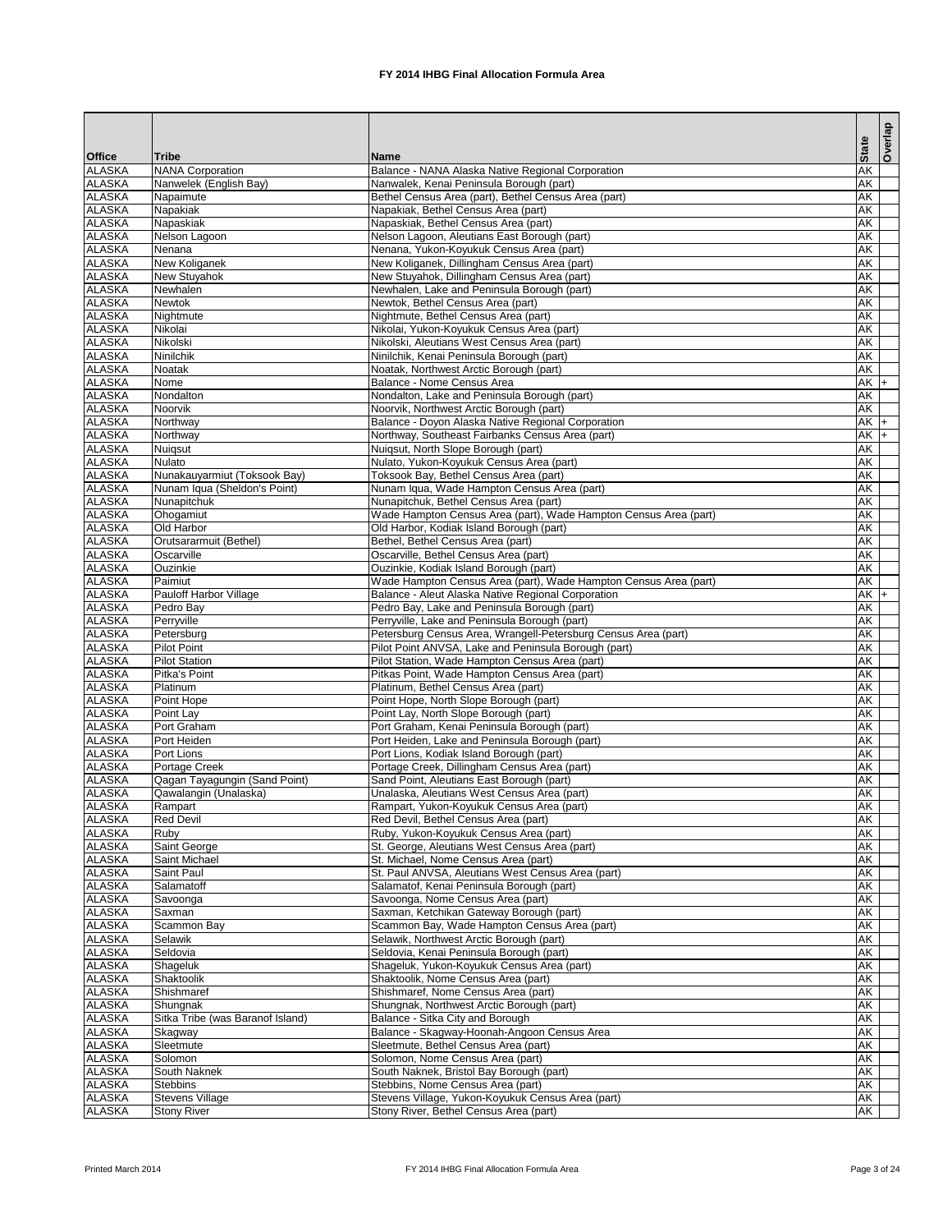|                                |                                  |                                                                                                            |                                                      | <b>Overlap</b> |
|--------------------------------|----------------------------------|------------------------------------------------------------------------------------------------------------|------------------------------------------------------|----------------|
| <b>Office</b>                  | Tribe                            | <b>Name</b>                                                                                                | <b>State</b>                                         |                |
| <b>ALASKA</b>                  | <b>NANA Corporation</b>          | Balance - NANA Alaska Native Regional Corporation                                                          | <b>AK</b>                                            |                |
| <b>ALASKA</b>                  | Nanwelek (English Bay)           | Nanwalek, Kenai Peninsula Borough (part)                                                                   | <b>AK</b>                                            |                |
| <b>ALASKA</b><br><b>ALASKA</b> | Napaimute<br>Napakiak            | Bethel Census Area (part), Bethel Census Area (part)<br>Napakiak, Bethel Census Area (part)                | $\overline{\mathsf{AK}}$<br>$\overline{\mathsf{AK}}$ |                |
| <b>ALASKA</b>                  | Napaskiak                        | Napaskiak, Bethel Census Area (part)                                                                       | $\overline{\mathsf{AK}}$                             |                |
| <b>ALASKA</b>                  | Nelson Lagoon                    | Nelson Lagoon, Aleutians East Borough (part)                                                               | <b>AK</b>                                            |                |
| <b>ALASKA</b>                  | Nenana                           | Nenana, Yukon-Koyukuk Census Area (part)                                                                   | <b>AK</b>                                            |                |
| <b>ALASKA</b>                  | <b>New Koliganek</b>             | New Koliganek, Dillingham Census Area (part)                                                               | <b>AK</b>                                            |                |
| <b>ALASKA</b>                  | New Stuyahok                     | New Stuyahok, Dillingham Census Area (part)                                                                | <b>AK</b>                                            |                |
| <b>ALASKA</b><br><b>ALASKA</b> | Newhalen<br><b>Newtok</b>        | Newhalen, Lake and Peninsula Borough (part)<br>Newtok, Bethel Census Area (part)                           | $\overline{\mathsf{AK}}$<br>$\overline{\mathsf{AK}}$ |                |
| <b>ALASKA</b>                  | Nightmute                        | Nightmute, Bethel Census Area (part)                                                                       | AK                                                   |                |
| <b>ALASKA</b>                  | Nikolai                          | Nikolai, Yukon-Koyukuk Census Area (part)                                                                  | $\overline{\mathsf{AK}}$                             |                |
| <b>ALASKA</b>                  | Nikolski                         | Nikolski, Aleutians West Census Area (part)                                                                | $\overline{\mathsf{AK}}$                             |                |
| <b>ALASKA</b>                  | <b>Ninilchik</b>                 | Ninilchik, Kenai Peninsula Borough (part)                                                                  | AK                                                   |                |
| <b>ALASKA</b>                  | <b>Noatak</b>                    | Noatak, Northwest Arctic Borough (part)                                                                    | <b>AK</b>                                            |                |
| <b>ALASKA</b>                  | Nome                             | Balance - Nome Census Area                                                                                 | $AK +$                                               |                |
| <b>ALASKA</b><br><b>ALASKA</b> | Nondalton<br>Noorvik             | Nondalton, Lake and Peninsula Borough (part)<br>Noorvik, Northwest Arctic Borough (part)                   | <b>AK</b><br><b>AK</b>                               |                |
| <b>ALASKA</b>                  | Northway                         | Balance - Doyon Alaska Native Regional Corporation                                                         | $AK +$                                               |                |
| <b>ALASKA</b>                  | Northway                         | Northway, Southeast Fairbanks Census Area (part)                                                           | AK                                                   |                |
| <b>ALASKA</b>                  | Nuiqsut                          | Nuiqsut, North Slope Borough (part)                                                                        | $\overline{\mathsf{AK}}$                             |                |
| <b>ALASKA</b>                  | <b>Nulato</b>                    | Nulato, Yukon-Koyukuk Census Area (part)                                                                   | <b>AK</b>                                            |                |
| <b>ALASKA</b>                  | Nunakauyarmiut (Toksook Bay)     | Toksook Bay, Bethel Census Area (part)                                                                     | <b>AK</b>                                            |                |
| <b>ALASKA</b>                  | Nunam Iqua (Sheldon's Point)     | Nunam Iqua, Wade Hampton Census Area (part)                                                                | AK                                                   |                |
| <b>ALASKA</b><br><b>ALASKA</b> | Nunapitchuk<br>Ohogamiut         | Nunapitchuk, Bethel Census Area (part)<br>Wade Hampton Census Area (part), Wade Hampton Census Area (part) | $\overline{\mathsf{AK}}$<br>$\overline{\mathsf{AK}}$ |                |
| <b>ALASKA</b>                  | Old Harbor                       | Old Harbor, Kodiak Island Borough (part)                                                                   | $\overline{\mathsf{AK}}$                             |                |
| <b>ALASKA</b>                  | Orutsararmuit (Bethel)           | Bethel, Bethel Census Area (part)                                                                          | AK                                                   |                |
| <b>ALASKA</b>                  | Oscarville                       | Oscarville, Bethel Census Area (part)                                                                      | $\overline{\mathsf{AK}}$                             |                |
| <b>ALASKA</b>                  | Ouzinkie                         | Ouzinkie, Kodiak Island Borough (part)                                                                     | AK                                                   |                |
| <b>ALASKA</b>                  | Paimiut                          | Wade Hampton Census Area (part), Wade Hampton Census Area (part)                                           | AK                                                   |                |
| <b>ALASKA</b>                  | Pauloff Harbor Village           | Balance - Aleut Alaska Native Regional Corporation                                                         | $AK +$                                               |                |
| <b>ALASKA</b><br><b>ALASKA</b> | Pedro Bay<br>Perryville          | Pedro Bay, Lake and Peninsula Borough (part)<br>Perryville, Lake and Peninsula Borough (part)              | <b>AK</b><br>AK                                      |                |
| <b>ALASKA</b>                  | Petersburg                       | Petersburg Census Area, Wrangell-Petersburg Census Area (part)                                             | <b>AK</b>                                            |                |
| <b>ALASKA</b>                  | <b>Pilot Point</b>               | Pilot Point ANVSA, Lake and Peninsula Borough (part)                                                       | AK                                                   |                |
| <b>ALASKA</b>                  | <b>Pilot Station</b>             | Pilot Station, Wade Hampton Census Area (part)                                                             | $\overline{\mathsf{AK}}$                             |                |
| <b>ALASKA</b>                  | Pitka's Point                    | Pitkas Point, Wade Hampton Census Area (part)                                                              | AK                                                   |                |
| <b>ALASKA</b>                  | Platinum                         | Platinum, Bethel Census Area (part)                                                                        | <b>AK</b>                                            |                |
| <b>ALASKA</b>                  | Point Hope                       | Point Hope, North Slope Borough (part)                                                                     | <b>AK</b>                                            |                |
| <b>ALASKA</b><br><b>ALASKA</b> | Point Lay<br>Port Graham         | Point Lay, North Slope Borough (part)<br>Port Graham, Kenai Peninsula Borough (part)                       | AK<br><b>AK</b>                                      |                |
| <b>ALASKA</b>                  | Port Heiden                      | Port Heiden, Lake and Peninsula Borough (part)                                                             | $\overline{\mathsf{AK}}$                             |                |
| <b>ALASKA</b>                  | Port Lions                       | Port Lions, Kodiak Island Borough (part)                                                                   | $\overline{\mathsf{AK}}$                             |                |
| <b>ALASKA</b>                  | Portage Creek                    | Portage Creek, Dillingham Census Area (part)                                                               | AK                                                   |                |
| <b>ALASKA</b>                  | Qagan Tayagungin (Sand Point)    | Sand Point, Aleutians East Borough (part)                                                                  | $\overline{\mathsf{AK}}$                             |                |
| <b>ALASKA</b>                  | Qawalangin (Unalaska)            | Unalaska, Aleutians West Census Area (part)                                                                | AK                                                   |                |
| <b>ALASKA</b>                  | Rampart                          | Rampart, Yukon-Koyukuk Census Area (part)                                                                  | <b>AK</b>                                            |                |
| <b>ALASKA</b><br><b>ALASKA</b> | <b>Red Devil</b><br>Ruby         | Red Devil, Bethel Census Area (part)<br>Ruby, Yukon-Koyukuk Census Area (part)                             | <b>AK</b><br><b>AK</b>                               |                |
| <b>ALASKA</b>                  | Saint George                     | St. George, Aleutians West Census Area (part)                                                              | <b>AK</b>                                            |                |
| <b>ALASKA</b>                  | Saint Michael                    | St. Michael, Nome Census Area (part)                                                                       | <b>AK</b>                                            |                |
| <b>ALASKA</b>                  | Saint Paul                       | St. Paul ANVSA, Aleutians West Census Area (part)                                                          | $\overline{\mathsf{AK}}$                             |                |
| <b>ALASKA</b>                  | Salamatoff                       | Salamatof, Kenai Peninsula Borough (part)                                                                  | $\overline{\mathsf{AK}}$                             |                |
| <b>ALASKA</b>                  | Savoonga                         | Savoonga, Nome Census Area (part)                                                                          | $\overline{\mathsf{AK}}$                             |                |
| <b>ALASKA</b>                  | Saxman                           | Saxman, Ketchikan Gateway Borough (part)                                                                   | <b>AK</b>                                            |                |
| <b>ALASKA</b><br><b>ALASKA</b> | <b>Scammon Bay</b><br>Selawik    | Scammon Bay, Wade Hampton Census Area (part)<br>Selawik, Northwest Arctic Borough (part)                   | <b>AK</b><br><b>AK</b>                               |                |
| <b>ALASKA</b>                  | Seldovia                         | Seldovia, Kenai Peninsula Borough (part)                                                                   | $\overline{\mathsf{AK}}$                             |                |
| <b>ALASKA</b>                  | Shageluk                         | Shageluk, Yukon-Koyukuk Census Area (part)                                                                 | AK                                                   |                |
| <b>ALASKA</b>                  | Shaktoolik                       | Shaktoolik, Nome Census Area (part)                                                                        | AK                                                   |                |
| <b>ALASKA</b>                  | Shishmaref                       | Shishmaref, Nome Census Area (part)                                                                        | AK                                                   |                |
| <b>ALASKA</b>                  | Shungnak                         | Shungnak, Northwest Arctic Borough (part)                                                                  | AK                                                   |                |
| <b>ALASKA</b>                  | Sitka Tribe (was Baranof Island) | Balance - Sitka City and Borough                                                                           | AK                                                   |                |
| <b>ALASKA</b><br><b>ALASKA</b> | Skagway<br>Sleetmute             | Balance - Skagway-Hoonah-Angoon Census Area<br>Sleetmute, Bethel Census Area (part)                        | $\overline{\mathsf{AK}}$<br>AK                       |                |
| <b>ALASKA</b>                  | Solomon                          | Solomon, Nome Census Area (part)                                                                           | $\overline{\mathsf{AK}}$                             |                |
| <b>ALASKA</b>                  | South Naknek                     | South Naknek, Bristol Bay Borough (part)                                                                   | AK                                                   |                |
| <b>ALASKA</b>                  | <b>Stebbins</b>                  | Stebbins, Nome Census Area (part)                                                                          | AK                                                   |                |
| <b>ALASKA</b>                  | <b>Stevens Village</b>           | Stevens Village, Yukon-Koyukuk Census Area (part)                                                          | <b>AK</b>                                            |                |
| <b>ALASKA</b>                  | <b>Stony River</b>               | Stony River, Bethel Census Area (part)                                                                     | AK                                                   |                |

Printed March 2014 **FX 2014 IHBG Final Allocation Formula Area** Page 3 of 24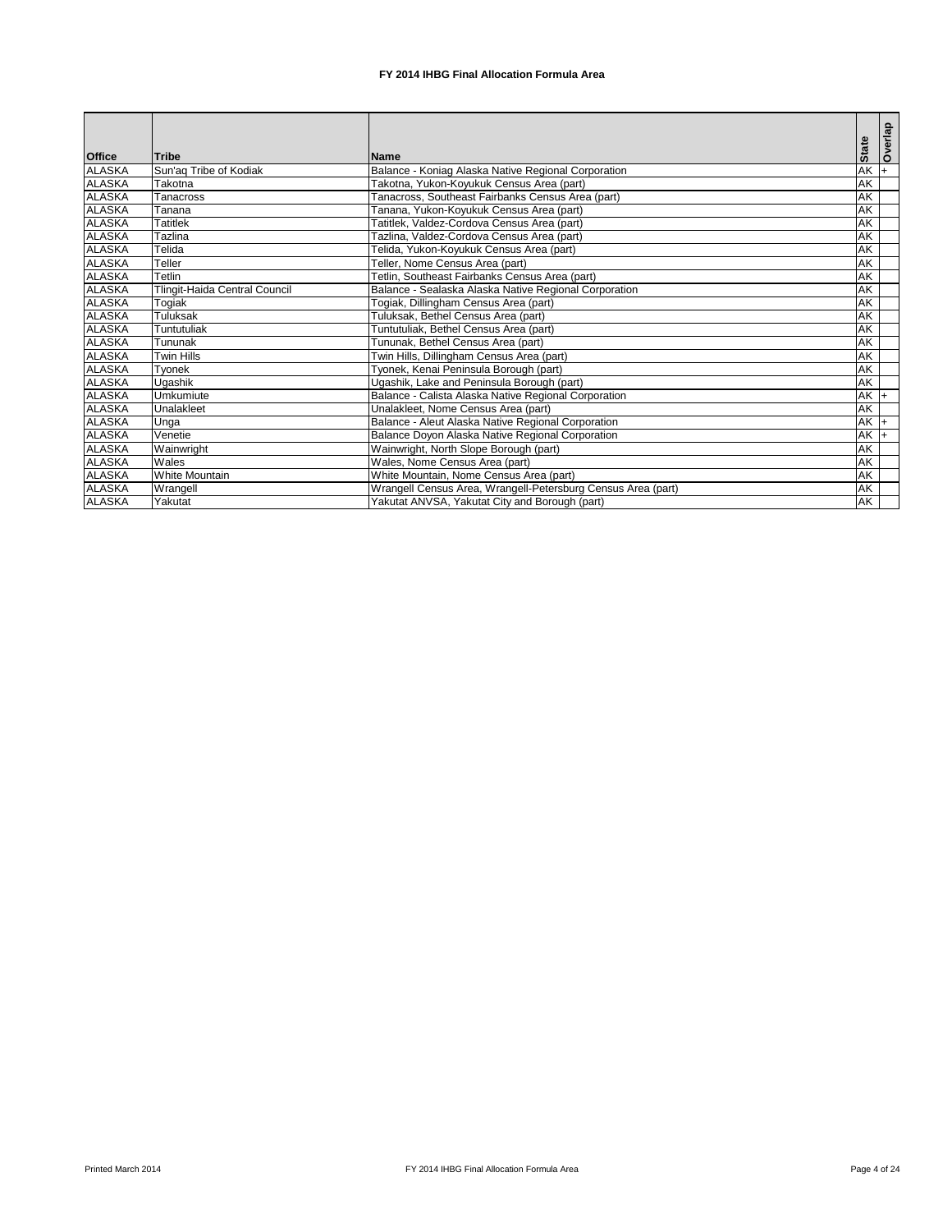|               |                                      |                                                              | <b>State</b>             | Overlap |
|---------------|--------------------------------------|--------------------------------------------------------------|--------------------------|---------|
| <b>Office</b> | <b>Tribe</b>                         | <b>Name</b>                                                  |                          |         |
| <b>ALASKA</b> | Sun'aq Tribe of Kodiak               | Balance - Koniag Alaska Native Regional Corporation          | <b>AK</b>                |         |
| <b>ALASKA</b> | Takotna                              | Takotna, Yukon-Koyukuk Census Area (part)                    | <b>AK</b>                |         |
| <b>ALASKA</b> | <b>Tanacross</b>                     | Tanacross, Southeast Fairbanks Census Area (part)            | <b>AK</b>                |         |
| <b>ALASKA</b> | Tanana                               | Tanana, Yukon-Koyukuk Census Area (part)                     | <b>AK</b>                |         |
| <b>ALASKA</b> | <b>Tatitlek</b>                      | Tatitlek, Valdez-Cordova Census Area (part)                  | <b>AK</b>                |         |
| <b>ALASKA</b> | Tazlina                              | Tazlina, Valdez-Cordova Census Area (part)                   | <b>AK</b>                |         |
| <b>ALASKA</b> | Telida                               | Telida, Yukon-Koyukuk Census Area (part)                     | AK                       |         |
| <b>ALASKA</b> | Teller                               | Teller, Nome Census Area (part)                              | <b>AK</b>                |         |
| <b>ALASKA</b> | Tetlin                               | Tetlin, Southeast Fairbanks Census Area (part)               | <b>AK</b>                |         |
| <b>ALASKA</b> | <b>Tlingit-Haida Central Council</b> | Balance - Sealaska Alaska Native Regional Corporation        | <b>AK</b>                |         |
| <b>ALASKA</b> | Togiak                               | Togiak, Dillingham Census Area (part)                        | $\overline{\mathsf{AK}}$ |         |
| <b>ALASKA</b> | <b>Tuluksak</b>                      | Tuluksak, Bethel Census Area (part)                          | AK                       |         |
| <b>ALASKA</b> | Tuntutuliak                          | Tuntutuliak, Bethel Census Area (part)                       | <b>AK</b>                |         |
| <b>ALASKA</b> | Tununak                              | Tununak, Bethel Census Area (part)                           | AK                       |         |
| <b>ALASKA</b> | <b>Twin Hills</b>                    | Twin Hills, Dillingham Census Area (part)                    | <b>AK</b>                |         |
| <b>ALASKA</b> | Tyonek                               | Tyonek, Kenai Peninsula Borough (part)                       | <b>AK</b>                |         |
| <b>ALASKA</b> | Ugashik                              | Ugashik, Lake and Peninsula Borough (part)                   | <b>AK</b>                |         |
| <b>ALASKA</b> | Umkumiute                            | Balance - Calista Alaska Native Regional Corporation         | $AK +$                   |         |
| <b>ALASKA</b> | Unalakleet                           | Unalakleet, Nome Census Area (part)                          | <b>AK</b>                |         |
| <b>ALASKA</b> | Unga                                 | Balance - Aleut Alaska Native Regional Corporation           | $AK$ +                   |         |
| <b>ALASKA</b> | Venetie                              | Balance Doyon Alaska Native Regional Corporation             | <b>AK</b>                |         |
| <b>ALASKA</b> | Wainwright                           | Wainwright, North Slope Borough (part)                       | <b>AK</b>                |         |
| <b>ALASKA</b> | Wales                                | Wales, Nome Census Area (part)                               | <b>AK</b>                |         |
| <b>ALASKA</b> | <b>White Mountain</b>                | White Mountain, Nome Census Area (part)                      | <b>AK</b>                |         |
| <b>ALASKA</b> | Wrangell                             | Wrangell Census Area, Wrangell-Petersburg Census Area (part) | <b>AK</b>                |         |
| <b>ALASKA</b> | Yakutat                              | Yakutat ANVSA, Yakutat City and Borough (part)               | AK                       |         |

Printed March 2014 **FX 2014 IHBG Final Allocation Formula Area** Page 4 of 24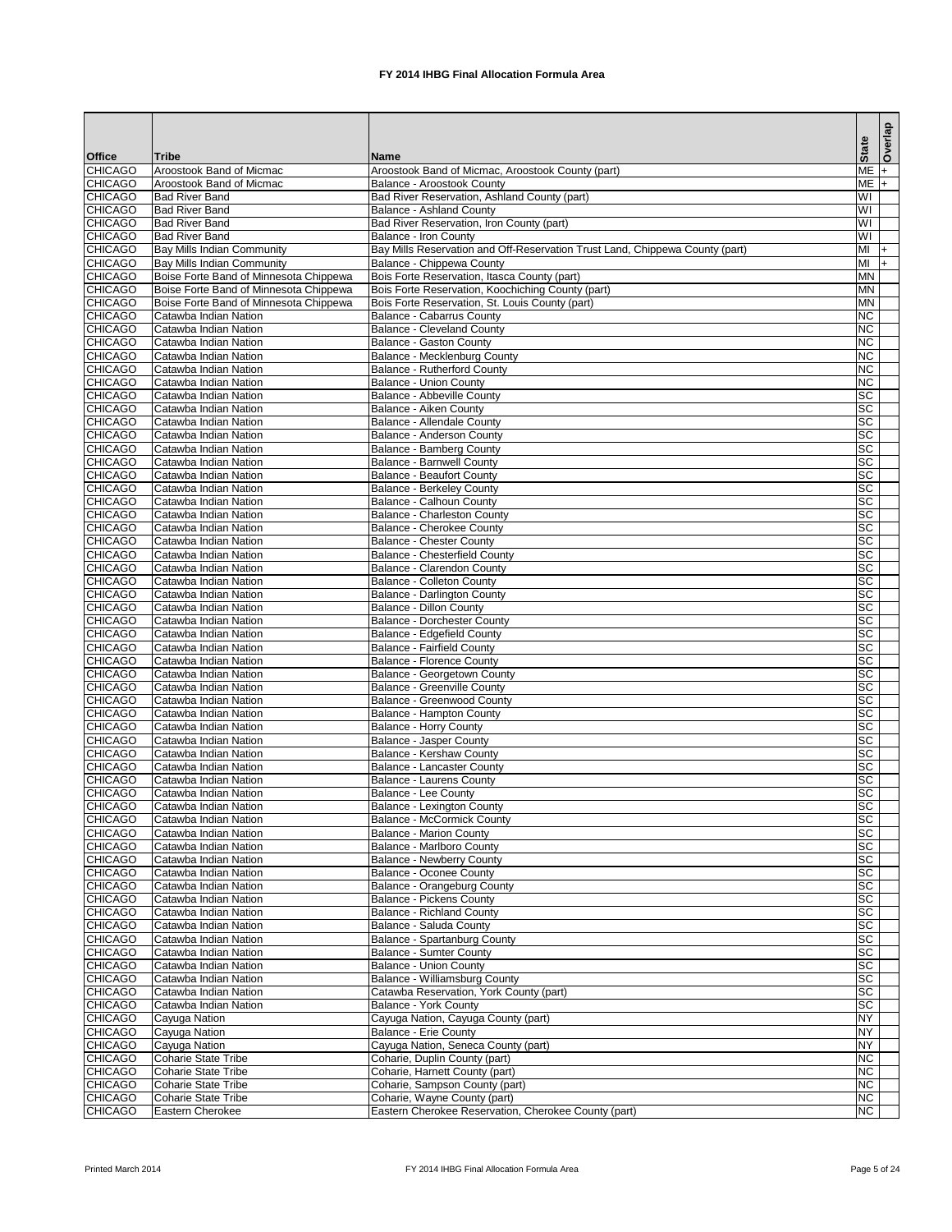|                                  |                                                                             |                                                                                        | <b>State</b>                       | Overlap |
|----------------------------------|-----------------------------------------------------------------------------|----------------------------------------------------------------------------------------|------------------------------------|---------|
| <b>Office</b>                    | <b>Tribe</b>                                                                | <b>Name</b>                                                                            |                                    |         |
| <b>CHICAGO</b><br><b>CHICAGO</b> | Aroostook Band of Micmac<br><b>Aroostook Band of Micmac</b>                 | Aroostook Band of Micmac, Aroostook County (part)<br><b>Balance - Aroostook County</b> | $ME +$<br>$ME +$                   |         |
| <b>CHICAGO</b>                   | <b>Bad River Band</b>                                                       | Bad River Reservation, Ashland County (part)                                           | WI                                 |         |
| <b>CHICAGO</b>                   | <b>Bad River Band</b>                                                       | <b>Balance - Ashland County</b>                                                        | WI                                 |         |
| <b>CHICAGO</b>                   | <b>Bad River Band</b>                                                       | Bad River Reservation, Iron County (part)                                              | WI                                 |         |
| <b>CHICAGO</b>                   | <b>Bad River Band</b>                                                       | <b>Balance - Iron County</b>                                                           | WI                                 |         |
| <b>CHICAGO</b>                   | <b>Bay Mills Indian Community</b>                                           | Bay Mills Reservation and Off-Reservation Trust Land, Chippewa County (part)           | $M +$                              |         |
| <b>CHICAGO</b><br><b>CHICAGO</b> | <b>Bay Mills Indian Community</b><br>Boise Forte Band of Minnesota Chippewa | Balance - Chippewa County<br>Bois Forte Reservation, Itasca County (part)              | M <sub>l</sub><br><b>MN</b>        | $ + $   |
| <b>CHICAGO</b>                   | Boise Forte Band of Minnesota Chippewa                                      | Bois Forte Reservation, Koochiching County (part)                                      | <b>MN</b>                          |         |
| <b>CHICAGO</b>                   | Boise Forte Band of Minnesota Chippewa                                      | Bois Forte Reservation, St. Louis County (part)                                        | <b>MN</b>                          |         |
| <b>CHICAGO</b>                   | Catawba Indian Nation                                                       | <b>Balance - Cabarrus County</b>                                                       | <b>NC</b>                          |         |
| <b>CHICAGO</b>                   | Catawba Indian Nation                                                       | <b>Balance - Cleveland County</b>                                                      | <b>NC</b>                          |         |
| <b>CHICAGO</b>                   | Catawba Indian Nation                                                       | <b>Balance - Gaston County</b>                                                         | <b>NC</b>                          |         |
| <b>CHICAGO</b><br><b>CHICAGO</b> | Catawba Indian Nation<br>Catawba Indian Nation                              | Balance - Mecklenburg County<br><b>Balance - Rutherford County</b>                     | <b>NC</b><br><b>NC</b>             |         |
| <b>CHICAGO</b>                   | Catawba Indian Nation                                                       | <b>Balance - Union County</b>                                                          | <b>NC</b>                          |         |
| <b>CHICAGO</b>                   | Catawba Indian Nation                                                       | Balance - Abbeville County                                                             | <b>SC</b>                          |         |
| <b>CHICAGO</b>                   | Catawba Indian Nation                                                       | <b>Balance - Aiken County</b>                                                          | $\overline{SC}$                    |         |
| <b>CHICAGO</b>                   | Catawba Indian Nation                                                       | Balance - Allendale County                                                             | SC                                 |         |
| <b>CHICAGO</b>                   | Catawba Indian Nation                                                       | Balance - Anderson County                                                              | $\overline{SC}$                    |         |
| <b>CHICAGO</b>                   | Catawba Indian Nation                                                       | Balance - Bamberg County                                                               | SC<br>$\overline{SC}$              |         |
| <b>CHICAGO</b><br><b>CHICAGO</b> | Catawba Indian Nation<br>Catawba Indian Nation                              | <b>Balance - Barnwell County</b><br><b>Balance - Beaufort County</b>                   | <b>SC</b>                          |         |
| <b>CHICAGO</b>                   | Catawba Indian Nation                                                       | <b>Balance - Berkeley County</b>                                                       | $\overline{SC}$                    |         |
| <b>CHICAGO</b>                   | Catawba Indian Nation                                                       | <b>Balance - Calhoun County</b>                                                        | SC                                 |         |
| <b>CHICAGO</b>                   | Catawba Indian Nation                                                       | <b>Balance - Charleston County</b>                                                     | $\overline{SC}$                    |         |
| <b>CHICAGO</b>                   | Catawba Indian Nation                                                       | <b>Balance - Cherokee County</b>                                                       | <b>SC</b>                          |         |
| <b>CHICAGO</b>                   | Catawba Indian Nation                                                       | <b>Balance - Chester County</b>                                                        | <b>SC</b>                          |         |
| <b>CHICAGO</b>                   | Catawba Indian Nation                                                       | <b>Balance - Chesterfield County</b>                                                   | <b>SC</b>                          |         |
| <b>CHICAGO</b><br><b>CHICAGO</b> | Catawba Indian Nation<br>Catawba Indian Nation                              | <b>Balance - Clarendon County</b><br><b>Balance - Colleton County</b>                  | SC<br><b>SC</b>                    |         |
| <b>CHICAGO</b>                   | Catawba Indian Nation                                                       | Balance - Darlington County                                                            | <b>SC</b>                          |         |
| <b>CHICAGO</b>                   | Catawba Indian Nation                                                       | <b>Balance - Dillon County</b>                                                         | SC                                 |         |
| <b>CHICAGO</b>                   | Catawba Indian Nation                                                       | <b>Balance - Dorchester County</b>                                                     | $\overline{SC}$                    |         |
| <b>CHICAGO</b>                   | Catawba Indian Nation                                                       | <b>Balance - Edgefield County</b>                                                      | $\overline{SC}$                    |         |
| <b>CHICAGO</b>                   | Catawba Indian Nation                                                       | <b>Balance - Fairfield County</b>                                                      | $\overline{SC}$<br>$\overline{SC}$ |         |
| <b>CHICAGO</b><br><b>CHICAGO</b> | Catawba Indian Nation<br>Catawba Indian Nation                              | <b>Balance - Florence County</b><br>Balance - Georgetown County                        | <b>SC</b>                          |         |
| <b>CHICAGO</b>                   | Catawba Indian Nation                                                       | <b>Balance - Greenville County</b>                                                     | $\overline{sc}$                    |         |
| <b>CHICAGO</b>                   | Catawba Indian Nation                                                       | <b>Balance - Greenwood County</b>                                                      | SC                                 |         |
| <b>CHICAGO</b>                   | Catawba Indian Nation                                                       | <b>Balance - Hampton County</b>                                                        | <b>SC</b>                          |         |
| <b>CHICAGO</b>                   | Catawba Indian Nation                                                       | <b>Balance - Horry County</b>                                                          | <b>SC</b>                          |         |
| <b>CHICAGO</b>                   | Catawba Indian Nation                                                       | <b>Balance - Jasper County</b>                                                         | <b>SC</b>                          |         |
| <b>CHICAGO</b><br><b>CHICAGO</b> | Catawba Indian Nation<br>Catawba Indian Nation                              | Balance - Kershaw County<br>Balance - Lancaster County                                 | <b>SC</b><br><b>SC</b>             |         |
| <b>CHICAGO</b>                   | Catawba Indian Nation                                                       | Balance - Laurens County                                                               | <b>SC</b>                          |         |
| <b>CHICAGO</b>                   | Catawba Indian Nation                                                       | Balance - Lee County                                                                   | <b>SC</b>                          |         |
| <b>CHICAGO</b>                   | Catawba Indian Nation                                                       | <b>Balance - Lexington County</b>                                                      | <b>SC</b>                          |         |
| <b>CHICAGO</b>                   | Catawba Indian Nation                                                       | <b>Balance - McCormick County</b>                                                      | <b>SC</b>                          |         |
| <b>CHICAGO</b>                   | Catawba Indian Nation                                                       | <b>Balance - Marion County</b>                                                         | <b>SC</b>                          |         |
| <b>CHICAGO</b>                   | Catawba Indian Nation                                                       | Balance - Marlboro County                                                              | $\overline{SC}$<br><b>SC</b>       |         |
| <b>CHICAGO</b><br><b>CHICAGO</b> | Catawba Indian Nation<br>Catawba Indian Nation                              | <b>Balance - Newberry County</b><br><b>Balance - Oconee County</b>                     | SC                                 |         |
| <b>CHICAGO</b>                   | Catawba Indian Nation                                                       | Balance - Orangeburg County                                                            | <b>SC</b>                          |         |
| <b>CHICAGO</b>                   | Catawba Indian Nation                                                       | <b>Balance - Pickens County</b>                                                        | $\overline{SC}$                    |         |
| <b>CHICAGO</b>                   | Catawba Indian Nation                                                       | <b>Balance - Richland County</b>                                                       | $\overline{sc}$                    |         |
| <b>CHICAGO</b>                   | Catawba Indian Nation                                                       | Balance - Saluda County                                                                | SC                                 |         |
| <b>CHICAGO</b>                   | Catawba Indian Nation                                                       | <b>Balance - Spartanburg County</b>                                                    | <b>SC</b>                          |         |
| <b>CHICAGO</b><br><b>CHICAGO</b> | Catawba Indian Nation<br>Catawba Indian Nation                              | <b>Balance - Sumter County</b><br><b>Balance - Union County</b>                        | <b>SC</b><br><b>SC</b>             |         |
| <b>CHICAGO</b>                   | Catawba Indian Nation                                                       | <b>Balance - Williamsburg County</b>                                                   | SC                                 |         |
| <b>CHICAGO</b>                   | Catawba Indian Nation                                                       | Catawba Reservation, York County (part)                                                | SC                                 |         |
| <b>CHICAGO</b>                   | Catawba Indian Nation                                                       | Balance - York County                                                                  | <b>SC</b>                          |         |
| <b>CHICAGO</b>                   | Cayuga Nation                                                               | Cayuga Nation, Cayuga County (part)                                                    | <b>NY</b>                          |         |
| <b>CHICAGO</b>                   | Cayuga Nation                                                               | <b>Balance - Erie County</b>                                                           | <b>NY</b>                          |         |
| <b>CHICAGO</b><br><b>CHICAGO</b> | Cayuga Nation<br><b>Coharie State Tribe</b>                                 | Cayuga Nation, Seneca County (part)<br>Coharie, Duplin County (part)                   | <b>NY</b><br>NC                    |         |
| <b>CHICAGO</b>                   | <b>Coharie State Tribe</b>                                                  | Coharie, Harnett County (part)                                                         | <b>NC</b>                          |         |
| <b>CHICAGO</b>                   | Coharie State Tribe                                                         | Coharie, Sampson County (part)                                                         | <b>NC</b>                          |         |
| <b>CHICAGO</b>                   | <b>Coharie State Tribe</b>                                                  | Coharie, Wayne County (part)                                                           | NC                                 |         |
| <b>CHICAGO</b>                   | Eastern Cherokee                                                            | Eastern Cherokee Reservation, Cherokee County (part)                                   | NC                                 |         |

Printed March 2014 **FX 2014 IHBG Final Allocation Formula Area** Page 5 of 24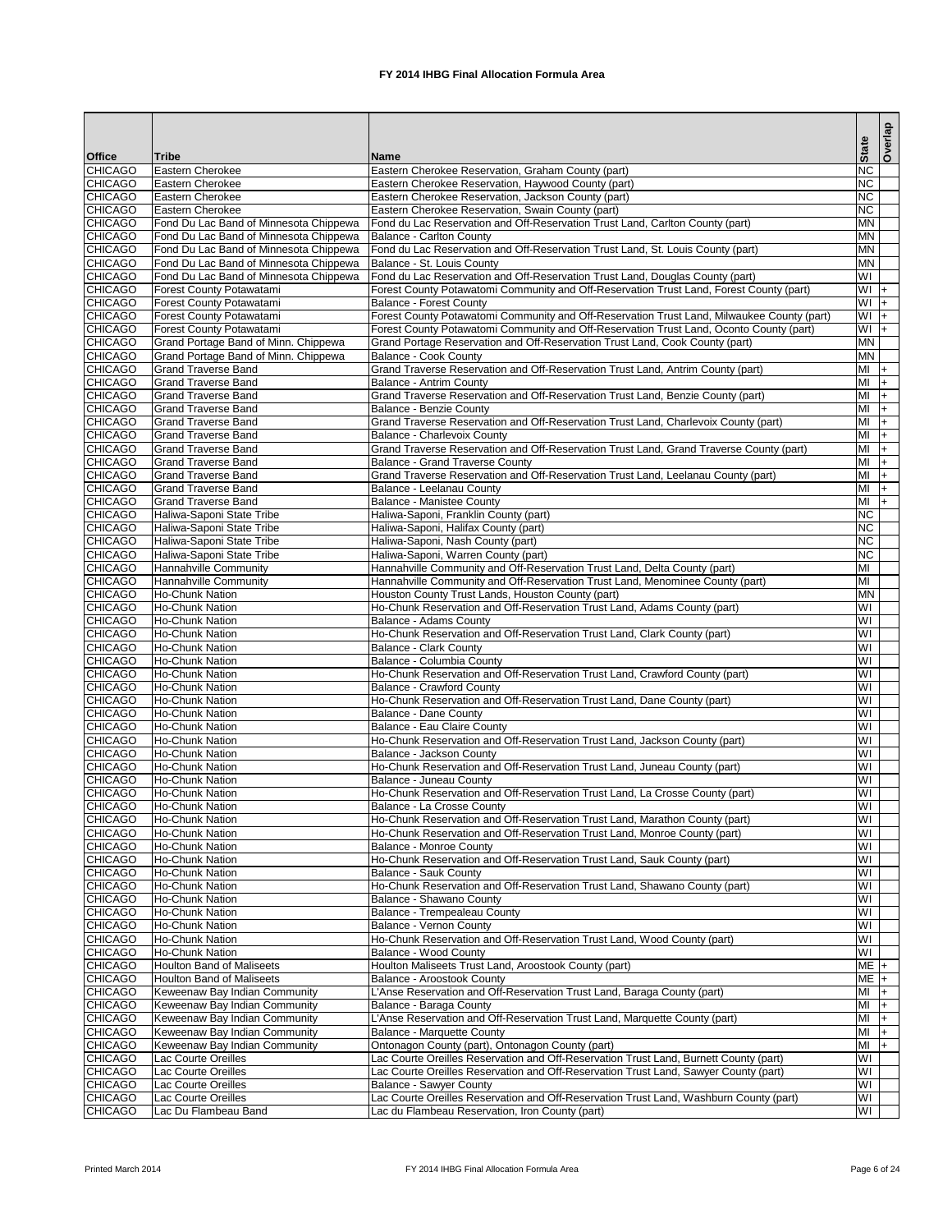|                                  |                                                                    |                                                                                                                                                            |                               | Overlap        |
|----------------------------------|--------------------------------------------------------------------|------------------------------------------------------------------------------------------------------------------------------------------------------------|-------------------------------|----------------|
| <b>Office</b>                    | <b>Tribe</b>                                                       | Name                                                                                                                                                       | <b>State</b>                  |                |
| <b>CHICAGO</b>                   | Eastern Cherokee                                                   | Eastern Cherokee Reservation, Graham County (part)                                                                                                         | <b>NC</b>                     |                |
| <b>CHICAGO</b>                   | Eastern Cherokee                                                   | Eastern Cherokee Reservation, Haywood County (part)                                                                                                        | <b>NC</b>                     |                |
| <b>CHICAGO</b><br><b>CHICAGO</b> | Eastern Cherokee<br>Eastern Cherokee                               | Eastern Cherokee Reservation, Jackson County (part)<br>Eastern Cherokee Reservation, Swain County (part)                                                   | <b>NC</b><br>NC               |                |
| <b>CHICAGO</b>                   | Fond Du Lac Band of Minnesota Chippewa                             | Fond du Lac Reservation and Off-Reservation Trust Land, Carlton County (part)                                                                              | <b>MN</b>                     |                |
| <b>CHICAGO</b>                   | Fond Du Lac Band of Minnesota Chippewa                             | <b>Balance - Carlton County</b>                                                                                                                            | <b>MN</b>                     |                |
| <b>CHICAGO</b>                   | Fond Du Lac Band of Minnesota Chippewa                             | Fond du Lac Reservation and Off-Reservation Trust Land, St. Louis County (part)                                                                            | <b>MN</b>                     |                |
| <b>CHICAGO</b>                   | Fond Du Lac Band of Minnesota Chippewa                             | Balance - St. Louis County                                                                                                                                 | <b>MN</b>                     |                |
| <b>CHICAGO</b>                   | Fond Du Lac Band of Minnesota Chippewa                             | Fond du Lac Reservation and Off-Reservation Trust Land, Douglas County (part)                                                                              | WI                            |                |
| <b>CHICAGO</b>                   | <b>Forest County Potawatami</b>                                    | Forest County Potawatomi Community and Off-Reservation Trust Land, Forest County (part)                                                                    | $WI +$                        |                |
| <b>CHICAGO</b>                   | Forest County Potawatami                                           | <b>Balance - Forest County</b>                                                                                                                             | WI                            | $ + $          |
| <b>CHICAGO</b>                   | Forest County Potawatami                                           | Forest County Potawatomi Community and Off-Reservation Trust Land, Milwaukee County (part)                                                                 | $+$ IW                        |                |
| <b>CHICAGO</b>                   | Forest County Potawatami                                           | Forest County Potawatomi Community and Off-Reservation Trust Land, Oconto County (part)                                                                    | $+$ IW                        |                |
| <b>CHICAGO</b><br><b>CHICAGO</b> | Grand Portage Band of Minn. Chippewa                               | Grand Portage Reservation and Off-Reservation Trust Land, Cook County (part)                                                                               | <b>MN</b><br><b>MN</b>        |                |
| <b>CHICAGO</b>                   | Grand Portage Band of Minn. Chippewa<br><b>Grand Traverse Band</b> | Balance - Cook County<br>Grand Traverse Reservation and Off-Reservation Trust Land, Antrim County (part)                                                   | MI                            | l+.            |
| <b>CHICAGO</b>                   | <b>Grand Traverse Band</b>                                         | <b>Balance - Antrim County</b>                                                                                                                             | MI                            | $\overline{+}$ |
| <b>CHICAGO</b>                   | <b>Grand Traverse Band</b>                                         | Grand Traverse Reservation and Off-Reservation Trust Land, Benzie County (part)                                                                            | MI                            | l+.            |
| <b>CHICAGO</b>                   | <b>Grand Traverse Band</b>                                         | <b>Balance - Benzie County</b>                                                                                                                             | MI                            | l+             |
| <b>CHICAGO</b>                   | <b>Grand Traverse Band</b>                                         | Grand Traverse Reservation and Off-Reservation Trust Land, Charlevoix County (part)                                                                        | MI                            | l+             |
| <b>CHICAGO</b>                   | <b>Grand Traverse Band</b>                                         | <b>Balance - Charlevoix County</b>                                                                                                                         | MI                            | l+             |
| <b>CHICAGO</b>                   | <b>Grand Traverse Band</b>                                         | Grand Traverse Reservation and Off-Reservation Trust Land, Grand Traverse County (part)                                                                    | MI                            | l+             |
| <b>CHICAGO</b>                   | <b>Grand Traverse Band</b>                                         | <b>Balance - Grand Traverse County</b>                                                                                                                     | MI                            | l+             |
| <b>CHICAGO</b>                   | <b>Grand Traverse Band</b>                                         | Grand Traverse Reservation and Off-Reservation Trust Land, Leelanau County (part)                                                                          | MI                            | l+             |
| <b>CHICAGO</b>                   | <b>Grand Traverse Band</b>                                         | Balance - Leelanau County                                                                                                                                  | MI                            | I+             |
| <b>CHICAGO</b>                   | <b>Grand Traverse Band</b>                                         | <b>Balance - Manistee County</b>                                                                                                                           | MI                            | I+             |
| <b>CHICAGO</b>                   | Haliwa-Saponi State Tribe                                          | Haliwa-Saponi, Franklin County (part)                                                                                                                      | <b>NC</b>                     |                |
| <b>CHICAGO</b>                   | Haliwa-Saponi State Tribe                                          | Haliwa-Saponi, Halifax County (part)                                                                                                                       | <b>NC</b>                     |                |
| <b>CHICAGO</b>                   | Haliwa-Saponi State Tribe                                          | Haliwa-Saponi, Nash County (part)                                                                                                                          | NC                            |                |
| <b>CHICAGO</b>                   | Haliwa-Saponi State Tribe                                          | Haliwa-Saponi, Warren County (part)                                                                                                                        | <b>NC</b><br>M                |                |
| <b>CHICAGO</b><br><b>CHICAGO</b> | Hannahville Community<br>Hannahville Community                     | Hannahville Community and Off-Reservation Trust Land, Delta County (part)<br>Hannahville Community and Off-Reservation Trust Land, Menominee County (part) | $\overline{\mathsf{M}}$       |                |
| <b>CHICAGO</b>                   | Ho-Chunk Nation                                                    | Houston County Trust Lands, Houston County (part)                                                                                                          | <b>MN</b>                     |                |
| <b>CHICAGO</b>                   | <b>Ho-Chunk Nation</b>                                             | Ho-Chunk Reservation and Off-Reservation Trust Land, Adams County (part)                                                                                   | WI                            |                |
| <b>CHICAGO</b>                   | Ho-Chunk Nation                                                    | <b>Balance - Adams County</b>                                                                                                                              | WI                            |                |
| <b>CHICAGO</b>                   | <b>Ho-Chunk Nation</b>                                             | Ho-Chunk Reservation and Off-Reservation Trust Land, Clark County (part)                                                                                   | WI                            |                |
| <b>CHICAGO</b>                   | Ho-Chunk Nation                                                    | <b>Balance - Clark County</b>                                                                                                                              | WI                            |                |
| <b>CHICAGO</b>                   | Ho-Chunk Nation                                                    | <b>Balance - Columbia County</b>                                                                                                                           | WI                            |                |
| <b>CHICAGO</b>                   | Ho-Chunk Nation                                                    | Ho-Chunk Reservation and Off-Reservation Trust Land, Crawford County (part)                                                                                | WI                            |                |
| <b>CHICAGO</b>                   | <b>Ho-Chunk Nation</b>                                             | <b>Balance - Crawford County</b>                                                                                                                           | WI                            |                |
| <b>CHICAGO</b>                   | <b>Ho-Chunk Nation</b>                                             | Ho-Chunk Reservation and Off-Reservation Trust Land, Dane County (part)                                                                                    | $\overline{\mathsf{W}}$       |                |
| <b>CHICAGO</b>                   | Ho-Chunk Nation                                                    | Balance - Dane County                                                                                                                                      | WI                            |                |
| <b>CHICAGO</b>                   | <b>Ho-Chunk Nation</b>                                             | <b>Balance - Eau Claire County</b>                                                                                                                         | WI                            |                |
| <b>CHICAGO</b>                   | Ho-Chunk Nation                                                    | Ho-Chunk Reservation and Off-Reservation Trust Land, Jackson County (part)                                                                                 | WI                            |                |
| <b>CHICAGO</b><br><b>CHICAGO</b> | <b>Ho-Chunk Nation</b><br><b>Ho-Chunk Nation</b>                   | Balance - Jackson County<br>Ho-Chunk Reservation and Off-Reservation Trust Land, Juneau County (part)                                                      | WI<br>$\overline{\mathsf{W}}$ |                |
| <b>CHICAGO</b>                   | Ho-Chunk Nation                                                    | Balance - Juneau County                                                                                                                                    | WI                            |                |
| <b>CHICAGO</b>                   | <b>Ho-Chunk Nation</b>                                             | Ho-Chunk Reservation and Off-Reservation Trust Land, La Crosse County (part)                                                                               | WI                            |                |
| <b>CHICAGO</b>                   | <b>Ho-Chunk Nation</b>                                             | Balance - La Crosse County                                                                                                                                 | $\overline{\mathsf{W}}$       |                |
| <b>CHICAGO</b>                   | <b>Ho-Chunk Nation</b>                                             | Ho-Chunk Reservation and Off-Reservation Trust Land, Marathon County (part)                                                                                | WI                            |                |
| <b>CHICAGO</b>                   | <b>Ho-Chunk Nation</b>                                             | Ho-Chunk Reservation and Off-Reservation Trust Land, Monroe County (part)                                                                                  | WI                            |                |
| <b>CHICAGO</b>                   | <b>Ho-Chunk Nation</b>                                             | <b>Balance - Monroe County</b>                                                                                                                             | WI                            |                |
| <b>CHICAGO</b>                   | <b>Ho-Chunk Nation</b>                                             | Ho-Chunk Reservation and Off-Reservation Trust Land, Sauk County (part)                                                                                    | $\overline{\mathsf{W}}$       |                |
| <b>CHICAGO</b>                   | <b>Ho-Chunk Nation</b>                                             | Balance - Sauk County                                                                                                                                      | $\overline{\mathsf{W}}$       |                |
| <b>CHICAGO</b>                   | Ho-Chunk Nation                                                    | Ho-Chunk Reservation and Off-Reservation Trust Land, Shawano County (part)                                                                                 | WI                            |                |
| <b>CHICAGO</b>                   | <b>Ho-Chunk Nation</b>                                             | Balance - Shawano County                                                                                                                                   | WI                            |                |
| <b>CHICAGO</b>                   | <b>Ho-Chunk Nation</b>                                             | Balance - Trempealeau County                                                                                                                               | $\overline{\mathsf{W}}$       |                |
| <b>CHICAGO</b>                   | <b>Ho-Chunk Nation</b>                                             | Balance - Vernon County                                                                                                                                    | $\overline{\mathsf{W}}$<br>WI |                |
| <b>CHICAGO</b><br><b>CHICAGO</b> | <b>Ho-Chunk Nation</b><br><b>Ho-Chunk Nation</b>                   | Ho-Chunk Reservation and Off-Reservation Trust Land, Wood County (part)<br>Balance - Wood County                                                           | WI                            |                |
| <b>CHICAGO</b>                   | <b>Houlton Band of Maliseets</b>                                   | Houlton Maliseets Trust Land, Aroostook County (part)                                                                                                      | $ME +$                        |                |
| <b>CHICAGO</b>                   | <b>Houlton Band of Maliseets</b>                                   | Balance - Aroostook County                                                                                                                                 | $ME +$                        |                |
| <b>CHICAGO</b>                   | Keweenaw Bay Indian Community                                      | L'Anse Reservation and Off-Reservation Trust Land, Baraga County (part)                                                                                    | MI                            | $ + $          |
| <b>CHICAGO</b>                   | Keweenaw Bay Indian Community                                      | Balance - Baraga County                                                                                                                                    | MI                            | $ + $          |
| <b>CHICAGO</b>                   | Keweenaw Bay Indian Community                                      | 'Anse Reservation and Off-Reservation Trust Land, Marquette County (part)                                                                                  | MI                            | I+             |
| <b>CHICAGO</b>                   | Keweenaw Bay Indian Community                                      | <b>Balance - Marquette County</b>                                                                                                                          | MI                            | I+             |
| <b>CHICAGO</b>                   | Keweenaw Bay Indian Community                                      | Ontonagon County (part), Ontonagon County (part)                                                                                                           | MI                            | l+             |
| <b>CHICAGO</b>                   | Lac Courte Oreilles                                                | Lac Courte Oreilles Reservation and Off-Reservation Trust Land, Burnett County (part)                                                                      | WI                            |                |
| <b>CHICAGO</b>                   | Lac Courte Oreilles                                                | Lac Courte Oreilles Reservation and Off-Reservation Trust Land, Sawyer County (part)                                                                       | WI                            |                |
| <b>CHICAGO</b>                   | Lac Courte Oreilles                                                | <b>Balance - Sawyer County</b>                                                                                                                             | WI                            |                |
| <b>CHICAGO</b>                   | Lac Courte Oreilles                                                | Lac Courte Oreilles Reservation and Off-Reservation Trust Land, Washburn County (part)                                                                     | WI                            |                |
| <b>CHICAGO</b>                   | Lac Du Flambeau Band                                               | Lac du Flambeau Reservation, Iron County (part)                                                                                                            | <b>IM</b>                     |                |

Printed March 2014 **FX 2014 IHBG Final Allocation Formula Area** Page 6 of 24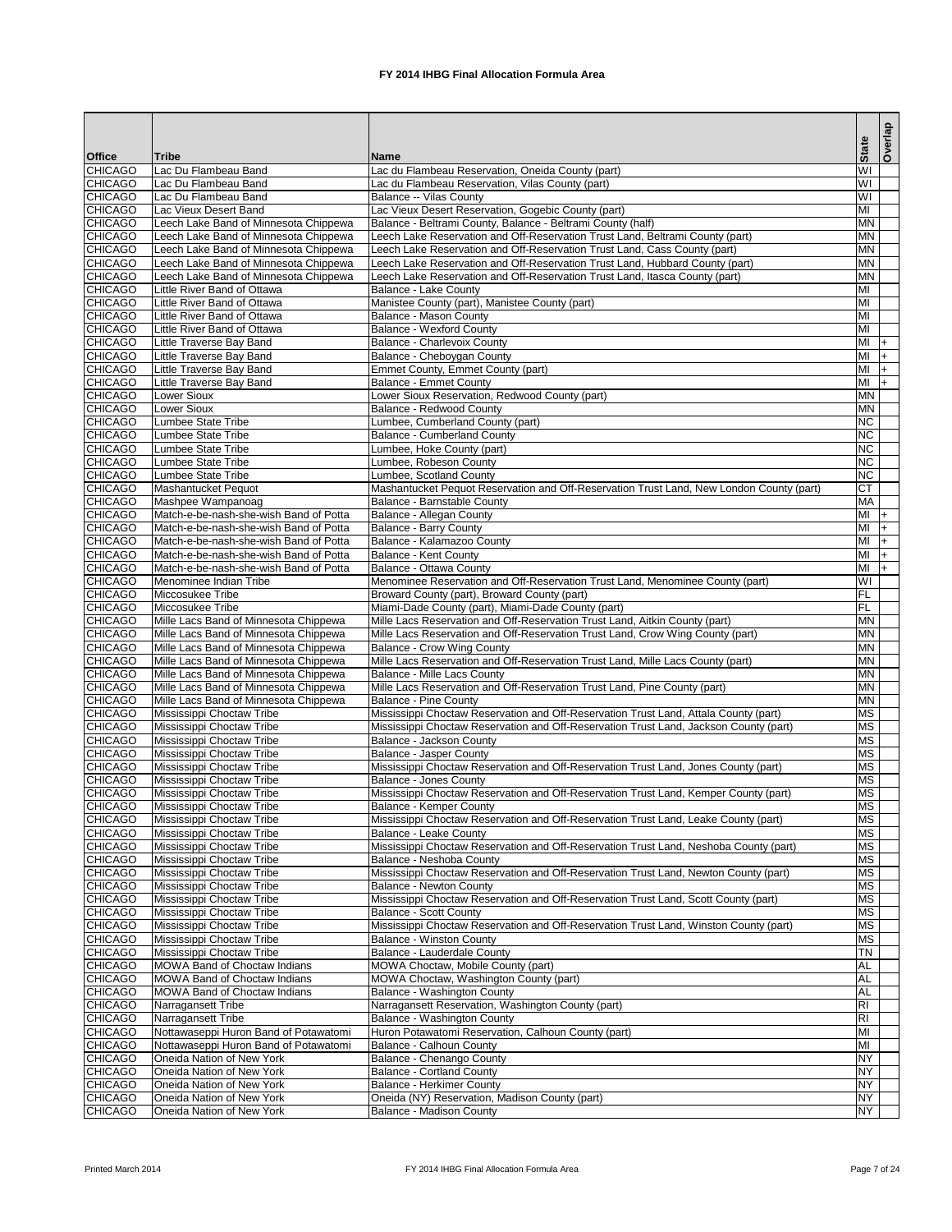|                                  |                                                                                |                                                                                                                                                           |                         | Overlap |
|----------------------------------|--------------------------------------------------------------------------------|-----------------------------------------------------------------------------------------------------------------------------------------------------------|-------------------------|---------|
| <b>Office</b>                    | <b>Tribe</b>                                                                   | <b>Name</b>                                                                                                                                               | <b>State</b>            |         |
| <b>CHICAGO</b>                   | Lac Du Flambeau Band                                                           | Lac du Flambeau Reservation, Oneida County (part)                                                                                                         | WI                      |         |
| <b>CHICAGO</b>                   | Lac Du Flambeau Band                                                           | Lac du Flambeau Reservation, Vilas County (part)                                                                                                          | WI                      |         |
| <b>CHICAGO</b>                   | Lac Du Flambeau Band                                                           | <b>Balance -- Vilas County</b>                                                                                                                            | $\overline{\mathsf{W}}$ |         |
| <b>CHICAGO</b>                   | Lac Vieux Desert Band                                                          | Lac Vieux Desert Reservation, Gogebic County (part)                                                                                                       | MI                      |         |
| <b>CHICAGO</b>                   | Leech Lake Band of Minnesota Chippewa                                          | Balance - Beltrami County, Balance - Beltrami County (half)                                                                                               | <b>MN</b>               |         |
| <b>CHICAGO</b>                   | Leech Lake Band of Minnesota Chippewa                                          | Leech Lake Reservation and Off-Reservation Trust Land, Beltrami County (part)                                                                             | <b>MN</b>               |         |
| <b>CHICAGO</b><br><b>CHICAGO</b> | Leech Lake Band of Minnesota Chippewa<br>Leech Lake Band of Minnesota Chippewa | Leech Lake Reservation and Off-Reservation Trust Land, Cass County (part)<br>Leech Lake Reservation and Off-Reservation Trust Land, Hubbard County (part) | <b>MN</b><br><b>MN</b>  |         |
| <b>CHICAGO</b>                   | Leech Lake Band of Minnesota Chippewa                                          | Leech Lake Reservation and Off-Reservation Trust Land, Itasca County (part)                                                                               | <b>MN</b>               |         |
| <b>CHICAGO</b>                   | Little River Band of Ottawa                                                    | <b>Balance - Lake County</b>                                                                                                                              | MI                      |         |
| <b>CHICAGO</b>                   | Little River Band of Ottawa                                                    | Manistee County (part), Manistee County (part)                                                                                                            | MI                      |         |
| <b>CHICAGO</b>                   | Little River Band of Ottawa                                                    | Balance - Mason County                                                                                                                                    | MI                      |         |
| <b>CHICAGO</b>                   | Little River Band of Ottawa                                                    | <b>Balance - Wexford County</b>                                                                                                                           | MI                      |         |
| <b>CHICAGO</b>                   | Little Traverse Bay Band                                                       | <b>Balance - Charlevoix County</b>                                                                                                                        | MI                      | l+      |
| <b>CHICAGO</b>                   | Little Traverse Bay Band                                                       | Balance - Cheboygan County                                                                                                                                | MI                      | l+.     |
| <b>CHICAGO</b>                   | Little Traverse Bay Band                                                       | Emmet County, Emmet County (part)                                                                                                                         | MI                      | l+      |
| <b>CHICAGO</b>                   | Little Traverse Bay Band                                                       | <b>Balance - Emmet County</b>                                                                                                                             | MI                      | l+      |
| <b>CHICAGO</b><br><b>CHICAGO</b> | Lower Sioux<br>Lower Sioux                                                     | Lower Sioux Reservation, Redwood County (part)<br><b>Balance - Redwood County</b>                                                                         | <b>MN</b><br><b>MN</b>  |         |
| <b>CHICAGO</b>                   | Lumbee State Tribe                                                             | Lumbee, Cumberland County (part)                                                                                                                          | NC                      |         |
| <b>CHICAGO</b>                   | Lumbee State Tribe                                                             | <b>Balance - Cumberland County</b>                                                                                                                        | <b>NC</b>               |         |
| <b>CHICAGO</b>                   | Lumbee State Tribe                                                             | Lumbee, Hoke County (part)                                                                                                                                | <b>NC</b>               |         |
| <b>CHICAGO</b>                   | Lumbee State Tribe                                                             | Lumbee, Robeson County                                                                                                                                    | $\overline{\text{NC}}$  |         |
| <b>CHICAGO</b>                   | Lumbee State Tribe                                                             | Lumbee, Scotland County                                                                                                                                   | <b>NC</b>               |         |
| <b>CHICAGO</b>                   | Mashantucket Pequot                                                            | Mashantucket Pequot Reservation and Off-Reservation Trust Land, New London County (part)                                                                  | <b>CT</b>               |         |
| <b>CHICAGO</b>                   | Mashpee Wampanoag                                                              | Balance - Barnstable County                                                                                                                               | <b>MA</b>               |         |
| <b>CHICAGO</b>                   | Match-e-be-nash-she-wish Band of Potta                                         | <b>Balance - Allegan County</b>                                                                                                                           | $\overline{\mathsf{M}}$ | $ + $   |
| <b>CHICAGO</b>                   | Match-e-be-nash-she-wish Band of Potta                                         | Balance - Barry County                                                                                                                                    | $\overline{\mathsf{M}}$ | I+      |
| <b>CHICAGO</b>                   | Match-e-be-nash-she-wish Band of Potta                                         | Balance - Kalamazoo County                                                                                                                                | MI                      | l+      |
| <b>CHICAGO</b>                   | Match-e-be-nash-she-wish Band of Potta                                         | <b>Balance - Kent County</b>                                                                                                                              | $\overline{\mathsf{M}}$ | l+      |
| <b>CHICAGO</b><br><b>CHICAGO</b> | Match-e-be-nash-she-wish Band of Potta<br>Menominee Indian Tribe               | Balance - Ottawa County<br>Menominee Reservation and Off-Reservation Trust Land, Menominee County (part)                                                  | MI<br>WI                | l+      |
| <b>CHICAGO</b>                   | Miccosukee Tribe                                                               | Broward County (part), Broward County (part)                                                                                                              | <b>FL</b>               |         |
| <b>CHICAGO</b>                   | Miccosukee Tribe                                                               | Miami-Dade County (part), Miami-Dade County (part)                                                                                                        | F                       |         |
| <b>CHICAGO</b>                   | Mille Lacs Band of Minnesota Chippewa                                          | Mille Lacs Reservation and Off-Reservation Trust Land, Aitkin County (part)                                                                               | <b>MN</b>               |         |
| <b>CHICAGO</b>                   | Mille Lacs Band of Minnesota Chippewa                                          | Mille Lacs Reservation and Off-Reservation Trust Land, Crow Wing County (part)                                                                            | <b>MN</b>               |         |
| <b>CHICAGO</b>                   | Mille Lacs Band of Minnesota Chippewa                                          | <b>Balance - Crow Wing County</b>                                                                                                                         | <b>MN</b>               |         |
| <b>CHICAGO</b>                   | Mille Lacs Band of Minnesota Chippewa                                          | Mille Lacs Reservation and Off-Reservation Trust Land, Mille Lacs County (part)                                                                           | <b>MN</b>               |         |
| <b>CHICAGO</b>                   | Mille Lacs Band of Minnesota Chippewa                                          | Balance - Mille Lacs County                                                                                                                               | <b>MN</b>               |         |
| <b>CHICAGO</b>                   | Mille Lacs Band of Minnesota Chippewa                                          | Mille Lacs Reservation and Off-Reservation Trust Land, Pine County (part)                                                                                 | <b>MN</b>               |         |
| <b>CHICAGO</b>                   | Mille Lacs Band of Minnesota Chippewa                                          | <b>Balance - Pine County</b>                                                                                                                              | <b>MN</b>               |         |
| <b>CHICAGO</b>                   | Mississippi Choctaw Tribe                                                      | Mississippi Choctaw Reservation and Off-Reservation Trust Land, Attala County (part)                                                                      | <b>MS</b>               |         |
| <b>CHICAGO</b>                   | Mississippi Choctaw Tribe                                                      | Mississippi Choctaw Reservation and Off-Reservation Trust Land, Jackson County (part)                                                                     | <b>MS</b><br><b>MS</b>  |         |
| <b>CHICAGO</b><br><b>CHICAGO</b> | Mississippi Choctaw Tribe<br>Mississippi Choctaw Tribe                         | Balance - Jackson County<br><b>Balance - Jasper County</b>                                                                                                | <b>MS</b>               |         |
| <b>CHICAGO</b>                   | Mississippi Choctaw Tribe                                                      | Mississippi Choctaw Reservation and Off-Reservation Trust Land, Jones County (part)                                                                       | <b>MS</b>               |         |
| <b>CHICAGO</b>                   | Mississippi Choctaw Tribe                                                      | <b>Balance - Jones County</b>                                                                                                                             | <b>MS</b>               |         |
| <b>CHICAGO</b>                   | Mississippi Choctaw Tribe                                                      | Mississippi Choctaw Reservation and Off-Reservation Trust Land, Kemper County (part)                                                                      | <b>MS</b>               |         |
| <b>CHICAGO</b>                   | Mississippi Choctaw Tribe                                                      | <b>Balance - Kemper County</b>                                                                                                                            | <b>MS</b>               |         |
| <b>CHICAGO</b>                   | Mississippi Choctaw Tribe                                                      | Mississippi Choctaw Reservation and Off-Reservation Trust Land, Leake County (part)                                                                       | <b>MS</b>               |         |
| <b>CHICAGO</b>                   | Mississippi Choctaw Tribe                                                      | <b>Balance - Leake County</b>                                                                                                                             | <b>MS</b>               |         |
| <b>CHICAGO</b>                   | Mississippi Choctaw Tribe                                                      | Mississippi Choctaw Reservation and Off-Reservation Trust Land, Neshoba County (part)                                                                     | <b>MS</b>               |         |
| <b>CHICAGO</b>                   | Mississippi Choctaw Tribe                                                      | Balance - Neshoba County                                                                                                                                  | <b>MS</b>               |         |
| <b>CHICAGO</b>                   | Mississippi Choctaw Tribe                                                      | Mississippi Choctaw Reservation and Off-Reservation Trust Land, Newton County (part)                                                                      | <b>MS</b>               |         |
| <b>CHICAGO</b><br><b>CHICAGO</b> | Mississippi Choctaw Tribe<br>Mississippi Choctaw Tribe                         | <b>Balance - Newton County</b>                                                                                                                            | <b>MS</b><br><b>MS</b>  |         |
| <b>CHICAGO</b>                   | Mississippi Choctaw Tribe                                                      | Mississippi Choctaw Reservation and Off-Reservation Trust Land, Scott County (part)<br><b>Balance - Scott County</b>                                      | <b>MS</b>               |         |
| <b>CHICAGO</b>                   | Mississippi Choctaw Tribe                                                      | Mississippi Choctaw Reservation and Off-Reservation Trust Land, Winston County (part)                                                                     | <b>MS</b>               |         |
| <b>CHICAGO</b>                   | Mississippi Choctaw Tribe                                                      | <b>Balance - Winston County</b>                                                                                                                           | <b>MS</b>               |         |
| <b>CHICAGO</b>                   | Mississippi Choctaw Tribe                                                      | Balance - Lauderdale County                                                                                                                               | $\overline{T}N$         |         |
| <b>CHICAGO</b>                   | MOWA Band of Choctaw Indians                                                   | MOWA Choctaw, Mobile County (part)                                                                                                                        | <b>AL</b>               |         |
| <b>CHICAGO</b>                   | MOWA Band of Choctaw Indians                                                   | MOWA Choctaw, Washington County (part)                                                                                                                    | <b>AL</b>               |         |
| <b>CHICAGO</b>                   | MOWA Band of Choctaw Indians                                                   | Balance - Washington County                                                                                                                               | <b>AL</b>               |         |
| <b>CHICAGO</b>                   | Narragansett Tribe                                                             | Narragansett Reservation, Washington County (part)                                                                                                        | R <sub>l</sub>          |         |
| <b>CHICAGO</b>                   | Narragansett Tribe                                                             | Balance - Washington County                                                                                                                               | $\overline{R}$          |         |
| <b>CHICAGO</b>                   | Nottawaseppi Huron Band of Potawatomi                                          | Huron Potawatomi Reservation, Calhoun County (part)                                                                                                       | MI                      |         |
| <b>CHICAGO</b>                   | Nottawaseppi Huron Band of Potawatomi                                          | Balance - Calhoun County                                                                                                                                  | MI                      |         |
| <b>CHICAGO</b>                   | Oneida Nation of New York                                                      | Balance - Chenango County                                                                                                                                 | <b>NY</b>               |         |
| <b>CHICAGO</b><br><b>CHICAGO</b> | Oneida Nation of New York<br>Oneida Nation of New York                         | <b>Balance - Cortland County</b><br>Balance - Herkimer County                                                                                             | <b>NY</b><br><b>NY</b>  |         |
| <b>CHICAGO</b>                   | Oneida Nation of New York                                                      | Oneida (NY) Reservation, Madison County (part)                                                                                                            | <b>NY</b>               |         |
| <b>CHICAGO</b>                   | Oneida Nation of New York                                                      | <b>Balance - Madison County</b>                                                                                                                           | <b>NY</b>               |         |

Printed March 2014 **FX 2014 IHBG Final Allocation Formula Area** Page 7 of 24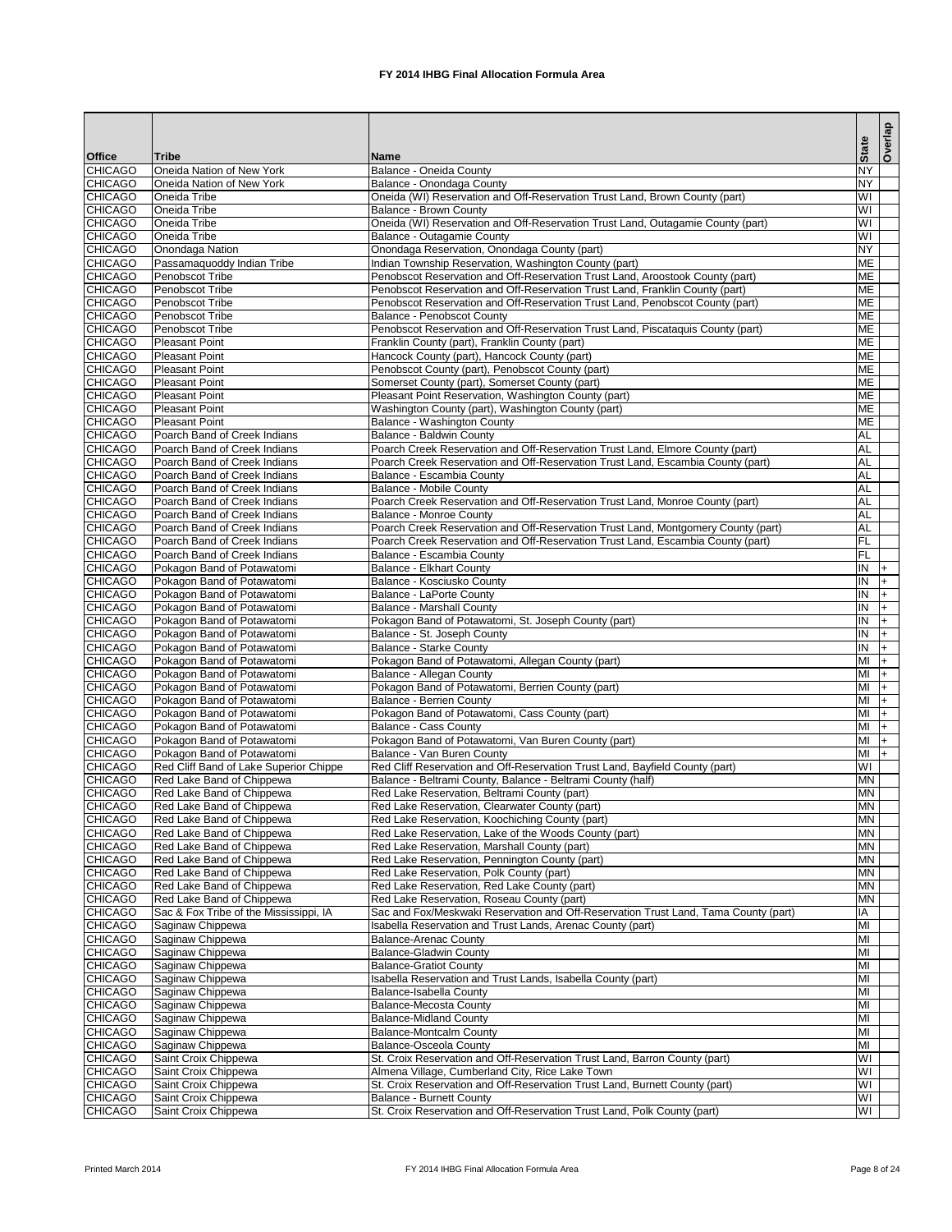|                                  |                                                              |                                                                                                                                        | <b>State</b>                      | Overlap  |
|----------------------------------|--------------------------------------------------------------|----------------------------------------------------------------------------------------------------------------------------------------|-----------------------------------|----------|
| <b>Office</b>                    | <b>Tribe</b>                                                 | <b>Name</b>                                                                                                                            |                                   |          |
| <b>CHICAGO</b><br><b>CHICAGO</b> | Oneida Nation of New York<br>Oneida Nation of New York       | Balance - Oneida County<br>Balance - Onondaga County                                                                                   | <b>NY</b><br><b>NY</b>            |          |
| <b>CHICAGO</b>                   | <b>Oneida Tribe</b>                                          | Oneida (WI) Reservation and Off-Reservation Trust Land, Brown County (part)                                                            | WI                                |          |
| <b>CHICAGO</b>                   | <b>Oneida Tribe</b>                                          | <b>Balance - Brown County</b>                                                                                                          | $\overline{\mathsf{W}}$           |          |
| <b>CHICAGO</b>                   | <b>Oneida Tribe</b>                                          | Oneida (WI) Reservation and Off-Reservation Trust Land, Outagamie County (part)                                                        | WI                                |          |
| <b>CHICAGO</b>                   | <b>Oneida Tribe</b>                                          | Balance - Outagamie County                                                                                                             | WI                                |          |
| <b>CHICAGO</b>                   | Onondaga Nation                                              | Onondaga Reservation, Onondaga County (part)                                                                                           | <b>NY</b>                         |          |
| <b>CHICAGO</b><br><b>CHICAGO</b> | Passamaquoddy Indian Tribe<br>Penobscot Tribe                | Indian Township Reservation, Washington County (part)<br>Penobscot Reservation and Off-Reservation Trust Land, Aroostook County (part) | <b>ME</b><br><b>ME</b>            |          |
| <b>CHICAGO</b>                   | Penobscot Tribe                                              | Penobscot Reservation and Off-Reservation Trust Land, Franklin County (part)                                                           | <b>ME</b>                         |          |
| <b>CHICAGO</b>                   | Penobscot Tribe                                              | Penobscot Reservation and Off-Reservation Trust Land, Penobscot County (part)                                                          | <b>ME</b>                         |          |
| <b>CHICAGO</b>                   | Penobscot Tribe                                              | <b>Balance - Penobscot County</b>                                                                                                      | <b>ME</b>                         |          |
| <b>CHICAGO</b>                   | Penobscot Tribe                                              | Penobscot Reservation and Off-Reservation Trust Land, Piscataquis County (part)                                                        | <b>ME</b>                         |          |
| <b>CHICAGO</b>                   | <b>Pleasant Point</b>                                        | Franklin County (part), Franklin County (part)                                                                                         | <b>ME</b>                         |          |
| <b>CHICAGO</b>                   | <b>Pleasant Point</b>                                        | Hancock County (part), Hancock County (part)                                                                                           | <b>ME</b>                         |          |
| <b>CHICAGO</b><br><b>CHICAGO</b> | Pleasant Point<br><b>Pleasant Point</b>                      | Penobscot County (part), Penobscot County (part)<br>Somerset County (part), Somerset County (part)                                     | <b>ME</b><br><b>ME</b>            |          |
| <b>CHICAGO</b>                   | <b>Pleasant Point</b>                                        | Pleasant Point Reservation, Washington County (part)                                                                                   | <b>ME</b>                         |          |
| <b>CHICAGO</b>                   | <b>Pleasant Point</b>                                        | Washington County (part), Washington County (part)                                                                                     | <b>ME</b>                         |          |
| <b>CHICAGO</b>                   | Pleasant Point                                               | Balance - Washington County                                                                                                            | <b>ME</b>                         |          |
| <b>CHICAGO</b>                   | Poarch Band of Creek Indians                                 | <b>Balance - Baldwin County</b>                                                                                                        | <b>AL</b>                         |          |
| <b>CHICAGO</b>                   | Poarch Band of Creek Indians                                 | Poarch Creek Reservation and Off-Reservation Trust Land, Elmore County (part)                                                          | <b>AL</b>                         |          |
| <b>CHICAGO</b>                   | Poarch Band of Creek Indians                                 | Poarch Creek Reservation and Off-Reservation Trust Land, Escambia County (part)                                                        | <b>AL</b>                         |          |
| <b>CHICAGO</b>                   | Poarch Band of Creek Indians                                 | Balance - Escambia County                                                                                                              | AL                                |          |
| <b>CHICAGO</b><br><b>CHICAGO</b> | Poarch Band of Creek Indians<br>Poarch Band of Creek Indians | Balance - Mobile County<br>Poarch Creek Reservation and Off-Reservation Trust Land, Monroe County (part)                               | AL<br>AL                          |          |
| <b>CHICAGO</b>                   | Poarch Band of Creek Indians                                 | <b>Balance - Monroe County</b>                                                                                                         | AL                                |          |
| <b>CHICAGO</b>                   | Poarch Band of Creek Indians                                 | Poarch Creek Reservation and Off-Reservation Trust Land, Montgomery County (part)                                                      | <b>AL</b>                         |          |
| <b>CHICAGO</b>                   | Poarch Band of Creek Indians                                 | Poarch Creek Reservation and Off-Reservation Trust Land, Escambia County (part)                                                        | $\overline{F}$                    |          |
| <b>CHICAGO</b>                   | Poarch Band of Creek Indians                                 | Balance - Escambia County                                                                                                              | $\overline{\mathsf{FL}}$          |          |
| <b>CHICAGO</b>                   | Pokagon Band of Potawatomi                                   | <b>Balance - Elkhart County</b>                                                                                                        | IN                                | $ + $    |
| <b>CHICAGO</b>                   | Pokagon Band of Potawatomi                                   | Balance - Kosciusko County                                                                                                             | Σ                                 | I+       |
| <b>CHICAGO</b><br><b>CHICAGO</b> | Pokagon Band of Potawatomi                                   | Balance - LaPorte County<br><b>Balance - Marshall County</b>                                                                           | $\overline{N}$<br>IN.             | $ + $    |
| <b>CHICAGO</b>                   | Pokagon Band of Potawatomi<br>Pokagon Band of Potawatomi     | Pokagon Band of Potawatomi, St. Joseph County (part)                                                                                   | ΙN                                | $ + $    |
| <b>CHICAGO</b>                   | Pokagon Band of Potawatomi                                   | Balance - St. Joseph County                                                                                                            | IN                                |          |
| <b>CHICAGO</b>                   | Pokagon Band of Potawatomi                                   | <b>Balance - Starke County</b>                                                                                                         | IN                                |          |
| <b>CHICAGO</b>                   | Pokagon Band of Potawatomi                                   | Pokagon Band of Potawatomi, Allegan County (part)                                                                                      | MI                                | $+$      |
| <b>CHICAGO</b>                   | Pokagon Band of Potawatomi                                   | Balance - Allegan County                                                                                                               | MI                                |          |
| <b>CHICAGO</b>                   | Pokagon Band of Potawatomi                                   | Pokagon Band of Potawatomi, Berrien County (part)                                                                                      | $\overline{\mathsf{M}}$           |          |
| <b>CHICAGO</b><br><b>CHICAGO</b> | Pokagon Band of Potawatomi                                   | <b>Balance - Berrien County</b>                                                                                                        | MI<br>MI                          | I+       |
| <b>CHICAGO</b>                   | Pokagon Band of Potawatomi<br>Pokagon Band of Potawatomi     | Pokagon Band of Potawatomi, Cass County (part)<br><b>Balance - Cass County</b>                                                         | MI                                | I+<br>I+ |
| <b>CHICAGO</b>                   | Pokagon Band of Potawatomi                                   | Pokagon Band of Potawatomi, Van Buren County (part)                                                                                    | $\overline{\mathsf{M}}$           | $+$      |
| <b>CHICAGO</b>                   | Pokagon Band of Potawatomi                                   | <b>Balance - Van Buren County</b>                                                                                                      | MI                                | $+$      |
| <b>CHICAGO</b>                   | Red Cliff Band of Lake Superior Chippe                       | Red Cliff Reservation and Off-Reservation Trust Land, Bayfield County (part)                                                           | WI                                |          |
| <b>CHICAGO</b>                   | Red Lake Band of Chippewa                                    | Balance - Beltrami County, Balance - Beltrami County (half)                                                                            | <b>MN</b>                         |          |
| <b>CHICAGO</b>                   | Red Lake Band of Chippewa                                    | Red Lake Reservation, Beltrami County (part)                                                                                           | <b>MN</b>                         |          |
| <b>CHICAGO</b>                   | Red Lake Band of Chippewa                                    | Red Lake Reservation, Clearwater County (part)                                                                                         | <b>MN</b>                         |          |
| <b>CHICAGO</b><br><b>CHICAGO</b> | Red Lake Band of Chippewa<br>Red Lake Band of Chippewa       | Red Lake Reservation, Koochiching County (part)<br>Red Lake Reservation, Lake of the Woods County (part)                               | <b>MN</b><br><b>MN</b>            |          |
| <b>CHICAGO</b>                   | Red Lake Band of Chippewa                                    | Red Lake Reservation, Marshall County (part)                                                                                           | <b>MN</b>                         |          |
| <b>CHICAGO</b>                   | Red Lake Band of Chippewa                                    | Red Lake Reservation, Pennington County (part)                                                                                         | <b>MN</b>                         |          |
| <b>CHICAGO</b>                   | Red Lake Band of Chippewa                                    | Red Lake Reservation, Polk County (part)                                                                                               | <b>MN</b>                         |          |
| <b>CHICAGO</b>                   | Red Lake Band of Chippewa                                    | Red Lake Reservation, Red Lake County (part)                                                                                           | <b>MN</b>                         |          |
| <b>CHICAGO</b>                   | Red Lake Band of Chippewa                                    | Red Lake Reservation, Roseau County (part)                                                                                             | <b>MN</b>                         |          |
| <b>CHICAGO</b>                   | Sac & Fox Tribe of the Mississippi, IA                       | Sac and Fox/Meskwaki Reservation and Off-Reservation Trust Land, Tama County (part)                                                    | IA                                |          |
| <b>CHICAGO</b><br><b>CHICAGO</b> | Saginaw Chippewa<br>Saginaw Chippewa                         | Isabella Reservation and Trust Lands, Arenac County (part)<br><b>Balance-Arenac County</b>                                             | MI<br>MI                          |          |
| <b>CHICAGO</b>                   | Saginaw Chippewa                                             | <b>Balance-Gladwin County</b>                                                                                                          | MI                                |          |
| <b>CHICAGO</b>                   | Saginaw Chippewa                                             | <b>Balance-Gratiot County</b>                                                                                                          | MI                                |          |
| <b>CHICAGO</b>                   | Saginaw Chippewa                                             | Isabella Reservation and Trust Lands, Isabella County (part)                                                                           | MI                                |          |
| <b>CHICAGO</b>                   | Saginaw Chippewa                                             | Balance-Isabella County                                                                                                                | MI                                |          |
| <b>CHICAGO</b>                   | Saginaw Chippewa                                             | <b>Balance-Mecosta County</b>                                                                                                          | MI                                |          |
| <b>CHICAGO</b>                   | Saginaw Chippewa                                             | <b>Balance-Midland County</b>                                                                                                          | MI                                |          |
| <b>CHICAGO</b>                   | Saginaw Chippewa                                             | <b>Balance-Montcalm County</b>                                                                                                         | $\overline{\mathsf{M}}$           |          |
| <b>CHICAGO</b><br><b>CHICAGO</b> | Saginaw Chippewa<br>Saint Croix Chippewa                     | <b>Balance-Osceola County</b><br>St. Croix Reservation and Off-Reservation Trust Land, Barron County (part)                            | MI<br>WI                          |          |
| <b>CHICAGO</b>                   | Saint Croix Chippewa                                         | Almena Village, Cumberland City, Rice Lake Town                                                                                        | WI                                |          |
| <b>CHICAGO</b>                   | Saint Croix Chippewa                                         | St. Croix Reservation and Off-Reservation Trust Land, Burnett County (part)                                                            | $\overline{\mathsf{I}\mathsf{M}}$ |          |
| <b>CHICAGO</b>                   | Saint Croix Chippewa                                         | <b>Balance - Burnett County</b>                                                                                                        | WI                                |          |
| <b>CHICAGO</b>                   | Saint Croix Chippewa                                         | St. Croix Reservation and Off-Reservation Trust Land, Polk County (part)                                                               | WI                                |          |

Printed March 2014 **FX 2014 IHBG Final Allocation Formula Area** Page 8 of 24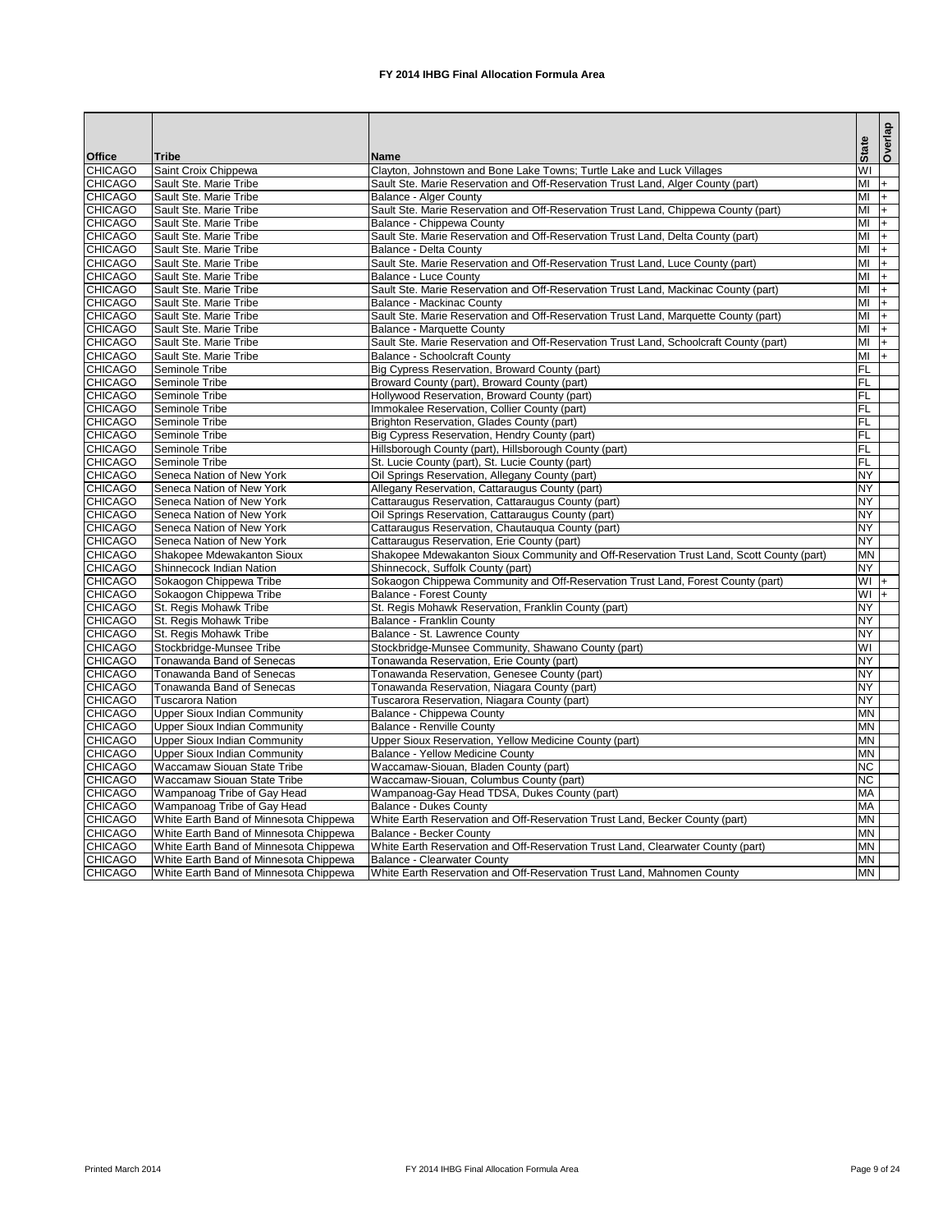|                                  |                                        |                                                                                                            |                | Overlap |
|----------------------------------|----------------------------------------|------------------------------------------------------------------------------------------------------------|----------------|---------|
| <b>Office</b>                    | <b>Tribe</b>                           | Name                                                                                                       | <b>State</b>   |         |
| <b>CHICAGO</b>                   | Saint Croix Chippewa                   | Clayton, Johnstown and Bone Lake Towns; Turtle Lake and Luck Villages                                      | WI             |         |
| <b>CHICAGO</b>                   | Sault Ste. Marie Tribe                 | Sault Ste. Marie Reservation and Off-Reservation Trust Land, Alger County (part)                           | MI             | $ + $   |
| <b>CHICAGO</b>                   | Sault Ste. Marie Tribe                 | <b>Balance - Alger County</b>                                                                              | MI             | l+.     |
| <b>CHICAGO</b>                   | Sault Ste. Marie Tribe                 | Sault Ste. Marie Reservation and Off-Reservation Trust Land, Chippewa County (part)                        | MI             | $ + $   |
| <b>CHICAGO</b>                   | Sault Ste. Marie Tribe                 | Balance - Chippewa County                                                                                  | MI             | $ + $   |
| <b>CHICAGO</b>                   | Sault Ste. Marie Tribe                 | Sault Ste. Marie Reservation and Off-Reservation Trust Land, Delta County (part)                           | MI             | l+.     |
| <b>CHICAGO</b>                   | Sault Ste. Marie Tribe                 | Balance - Delta County                                                                                     | MI             | $ + $   |
| <b>CHICAGO</b>                   | Sault Ste. Marie Tribe                 | Sault Ste. Marie Reservation and Off-Reservation Trust Land, Luce County (part)                            | MI             | l+      |
| <b>CHICAGO</b>                   | Sault Ste. Marie Tribe                 | <b>Balance - Luce County</b>                                                                               | MI             | l+      |
| <b>CHICAGO</b>                   | Sault Ste. Marie Tribe                 | Sault Ste. Marie Reservation and Off-Reservation Trust Land, Mackinac County (part)                        | MI             | l+.     |
| <b>CHICAGO</b>                   | Sault Ste. Marie Tribe                 | <b>Balance - Mackinac County</b>                                                                           | MI             | l+.     |
| <b>CHICAGO</b>                   | Sault Ste. Marie Tribe                 | Sault Ste. Marie Reservation and Off-Reservation Trust Land, Marquette County (part)                       | MI             | $ + $   |
| <b>CHICAGO</b>                   | Sault Ste. Marie Tribe                 | Balance - Marquette County                                                                                 | MI             | $ + $   |
| <b>CHICAGO</b>                   | Sault Ste. Marie Tribe                 | Sault Ste. Marie Reservation and Off-Reservation Trust Land, Schoolcraft County (part)                     | MI             | l+.     |
| <b>CHICAGO</b>                   | Sault Ste. Marie Tribe                 | <b>Balance - Schoolcraft County</b>                                                                        | MI             | I+.     |
| <b>CHICAGO</b>                   | Seminole Tribe                         | Big Cypress Reservation, Broward County (part)                                                             | $\overline{F}$ |         |
| <b>CHICAGO</b>                   | Seminole Tribe                         | Broward County (part), Broward County (part)                                                               | $\overline{F}$ |         |
| <b>CHICAGO</b>                   | Seminole Tribe                         | Hollywood Reservation, Broward County (part)                                                               | F              |         |
| <b>CHICAGO</b>                   | Seminole Tribe                         | Immokalee Reservation, Collier County (part)                                                               | FL             |         |
| <b>CHICAGO</b><br><b>CHICAGO</b> | Seminole Tribe                         | Brighton Reservation, Glades County (part)                                                                 | FL<br>FL       |         |
| <b>CHICAGO</b>                   | Seminole Tribe                         | Big Cypress Reservation, Hendry County (part)                                                              | FL             |         |
| <b>CHICAGO</b>                   | Seminole Tribe<br>Seminole Tribe       | Hillsborough County (part), Hillsborough County (part)<br>St. Lucie County (part), St. Lucie County (part) | FL             |         |
| <b>CHICAGO</b>                   | Seneca Nation of New York              | Oil Springs Reservation, Allegany County (part)                                                            | <b>NY</b>      |         |
| <b>CHICAGO</b>                   | Seneca Nation of New York              | Allegany Reservation, Cattaraugus County (part)                                                            | <b>NY</b>      |         |
| <b>CHICAGO</b>                   | Seneca Nation of New York              | Cattaraugus Reservation, Cattaraugus County (part)                                                         | <b>NY</b>      |         |
| <b>CHICAGO</b>                   | Seneca Nation of New York              | Oil Springs Reservation, Cattaraugus County (part)                                                         | <b>NY</b>      |         |
| <b>CHICAGO</b>                   | Seneca Nation of New York              | Cattaraugus Reservation, Chautauqua County (part)                                                          | <b>NY</b>      |         |
| <b>CHICAGO</b>                   | Seneca Nation of New York              | Cattaraugus Reservation, Erie County (part)                                                                | <b>NY</b>      |         |
| <b>CHICAGO</b>                   | Shakopee Mdewakanton Sioux             | Shakopee Mdewakanton Sioux Community and Off-Reservation Trust Land, Scott County (part)                   | <b>MN</b>      |         |
| <b>CHICAGO</b>                   | Shinnecock Indian Nation               | Shinnecock, Suffolk County (part)                                                                          | <b>NY</b>      |         |
| <b>CHICAGO</b>                   | Sokaogon Chippewa Tribe                | Sokaogon Chippewa Community and Off-Reservation Trust Land, Forest County (part)                           | $+$ IW         |         |
| <b>CHICAGO</b>                   | Sokaogon Chippewa Tribe                | <b>Balance - Forest County</b>                                                                             | $WI +$         |         |
| <b>CHICAGO</b>                   | St. Regis Mohawk Tribe                 | St. Regis Mohawk Reservation, Franklin County (part)                                                       | <b>NY</b>      |         |
| <b>CHICAGO</b>                   | St. Regis Mohawk Tribe                 | <b>Balance - Franklin County</b>                                                                           | <b>NY</b>      |         |
| <b>CHICAGO</b>                   | St. Regis Mohawk Tribe                 | Balance - St. Lawrence County                                                                              | <b>NY</b>      |         |
| <b>CHICAGO</b>                   | Stockbridge-Munsee Tribe               | Stockbridge-Munsee Community, Shawano County (part)                                                        | WI             |         |
| <b>CHICAGO</b>                   | Tonawanda Band of Senecas              | Tonawanda Reservation, Erie County (part)                                                                  | <b>NY</b>      |         |
| <b>CHICAGO</b>                   | Tonawanda Band of Senecas              | Tonawanda Reservation, Genesee County (part)                                                               | <b>NY</b>      |         |
| <b>CHICAGO</b>                   | Tonawanda Band of Senecas              | Tonawanda Reservation, Niagara County (part)                                                               | <b>NY</b>      |         |
| <b>CHICAGO</b>                   | <b>Tuscarora Nation</b>                | Tuscarora Reservation, Niagara County (part)                                                               | <b>NY</b>      |         |
| <b>CHICAGO</b>                   | <b>Upper Sioux Indian Community</b>    | <b>Balance - Chippewa County</b>                                                                           | <b>MN</b>      |         |
| <b>CHICAGO</b>                   | <b>Upper Sioux Indian Community</b>    | <b>Balance - Renville County</b>                                                                           | <b>MN</b>      |         |
| <b>CHICAGO</b>                   | <b>Upper Sioux Indian Community</b>    | Upper Sioux Reservation, Yellow Medicine County (part)                                                     | <b>MN</b>      |         |
| <b>CHICAGO</b>                   | <b>Upper Sioux Indian Community</b>    | <b>Balance - Yellow Medicine County</b>                                                                    | <b>MN</b>      |         |
| <b>CHICAGO</b>                   | <b>Waccamaw Siouan State Tribe</b>     | Waccamaw-Siouan, Bladen County (part)                                                                      | <b>NC</b>      |         |
| <b>CHICAGO</b>                   | <b>Waccamaw Siouan State Tribe</b>     | Waccamaw-Siouan, Columbus County (part)                                                                    | <b>NC</b>      |         |
| <b>CHICAGO</b>                   | Wampanoag Tribe of Gay Head            | Wampanoag-Gay Head TDSA, Dukes County (part)                                                               | <b>MA</b>      |         |
| <b>CHICAGO</b>                   | Wampanoag Tribe of Gay Head            | <b>Balance - Dukes County</b>                                                                              | <b>MA</b>      |         |
| <b>CHICAGO</b>                   | White Earth Band of Minnesota Chippewa | White Earth Reservation and Off-Reservation Trust Land, Becker County (part)                               | <b>MN</b>      |         |
| <b>CHICAGO</b>                   | White Earth Band of Minnesota Chippewa | <b>Balance - Becker County</b>                                                                             | <b>MN</b>      |         |
| <b>CHICAGO</b>                   | White Earth Band of Minnesota Chippewa | White Earth Reservation and Off-Reservation Trust Land, Clearwater County (part)                           | <b>MN</b>      |         |
| <b>CHICAGO</b>                   | White Earth Band of Minnesota Chippewa | <b>Balance - Clearwater County</b>                                                                         | <b>MN</b>      |         |
| <b>CHICAGO</b>                   | White Earth Band of Minnesota Chippewa | White Earth Reservation and Off-Reservation Trust Land, Mahnomen County                                    | <b>MN</b>      |         |

Printed March 2014 **FX 2014 IHBG Final Allocation Formula Area** Page 9 of 24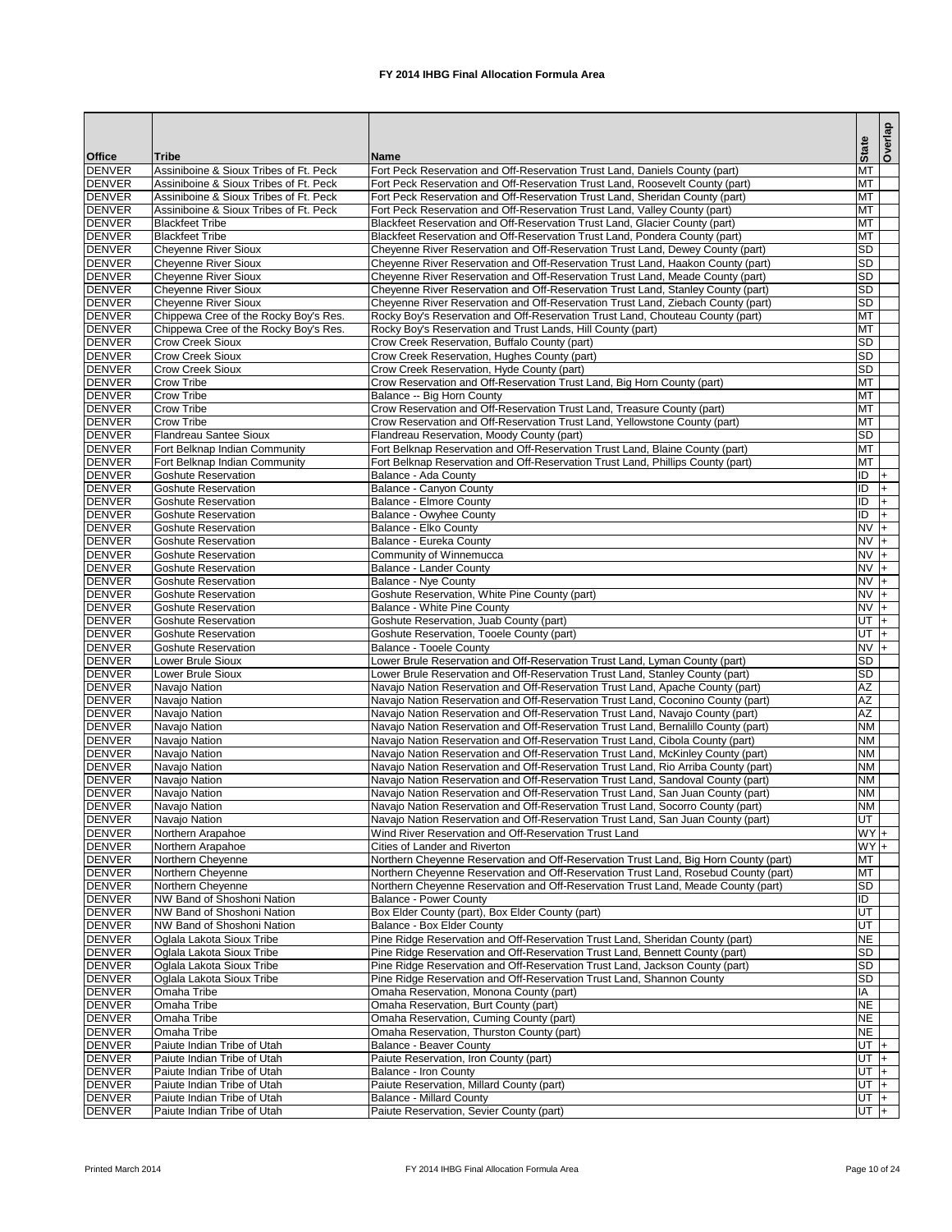|                                |                                                          |                                                                                                                                                                     |                          |      | Overlap  |
|--------------------------------|----------------------------------------------------------|---------------------------------------------------------------------------------------------------------------------------------------------------------------------|--------------------------|------|----------|
| <b>Office</b>                  | <b>Tribe</b>                                             | <b>Name</b>                                                                                                                                                         | <b>State</b>             |      |          |
| <b>DENVER</b>                  | Assiniboine & Sioux Tribes of Ft. Peck                   | Fort Peck Reservation and Off-Reservation Trust Land, Daniels County (part)                                                                                         | <b>MT</b>                |      |          |
| <b>DENVER</b>                  | Assiniboine & Sioux Tribes of Ft. Peck                   | Fort Peck Reservation and Off-Reservation Trust Land, Roosevelt County (part)                                                                                       | <b>MT</b>                |      |          |
| <b>DENVER</b>                  | Assiniboine & Sioux Tribes of Ft. Peck                   | Fort Peck Reservation and Off-Reservation Trust Land, Sheridan County (part)                                                                                        | <b>MT</b>                |      |          |
| <b>DENVER</b><br><b>DENVER</b> | Assiniboine & Sioux Tribes of Ft. Peck                   | Fort Peck Reservation and Off-Reservation Trust Land, Valley County (part)                                                                                          | MT<br><b>MT</b>          |      |          |
| <b>DENVER</b>                  | <b>Blackfeet Tribe</b><br><b>Blackfeet Tribe</b>         | Blackfeet Reservation and Off-Reservation Trust Land, Glacier County (part)<br>Blackfeet Reservation and Off-Reservation Trust Land, Pondera County (part)          | MT                       |      |          |
| <b>DENVER</b>                  | <b>Cheyenne River Sioux</b>                              | Cheyenne River Reservation and Off-Reservation Trust Land, Dewey County (part)                                                                                      | <b>SD</b>                |      |          |
| <b>DENVER</b>                  | <b>Cheyenne River Sioux</b>                              | Cheyenne River Reservation and Off-Reservation Trust Land, Haakon County (part)                                                                                     | <b>SD</b>                |      |          |
| <b>DENVER</b>                  | <b>Cheyenne River Sioux</b>                              | Cheyenne River Reservation and Off-Reservation Trust Land, Meade County (part)                                                                                      | <b>SD</b>                |      |          |
| <b>DENVER</b>                  | <b>Cheyenne River Sioux</b>                              | Cheyenne River Reservation and Off-Reservation Trust Land, Stanley County (part)                                                                                    | <b>SD</b>                |      |          |
| <b>DENVER</b>                  | <b>Cheyenne River Sioux</b>                              | Cheyenne River Reservation and Off-Reservation Trust Land, Ziebach County (part)                                                                                    | <b>SD</b>                |      |          |
| <b>DENVER</b>                  | Chippewa Cree of the Rocky Boy's Res.                    | Rocky Boy's Reservation and Off-Reservation Trust Land, Chouteau County (part)                                                                                      | <b>MT</b>                |      |          |
| <b>DENVER</b>                  | Chippewa Cree of the Rocky Boy's Res.                    | Rocky Boy's Reservation and Trust Lands, Hill County (part)                                                                                                         | <b>MT</b>                |      |          |
| <b>DENVER</b><br><b>DENVER</b> | <b>Crow Creek Sioux</b><br><b>Crow Creek Sioux</b>       | Crow Creek Reservation, Buffalo County (part)                                                                                                                       | <b>SD</b><br><b>SD</b>   |      |          |
| <b>DENVER</b>                  | <b>Crow Creek Sioux</b>                                  | Crow Creek Reservation, Hughes County (part)<br>Crow Creek Reservation, Hyde County (part)                                                                          | <b>SD</b>                |      |          |
| <b>DENVER</b>                  | <b>Crow Tribe</b>                                        | Crow Reservation and Off-Reservation Trust Land, Big Horn County (part)                                                                                             | MT                       |      |          |
| <b>DENVER</b>                  | <b>Crow Tribe</b>                                        | Balance -- Big Horn County                                                                                                                                          | <b>MT</b>                |      |          |
| <b>DENVER</b>                  | <b>Crow Tribe</b>                                        | Crow Reservation and Off-Reservation Trust Land, Treasure County (part)                                                                                             | MT                       |      |          |
| <b>DENVER</b>                  | <b>Crow Tribe</b>                                        | Crow Reservation and Off-Reservation Trust Land, Yellowstone County (part)                                                                                          | <b>MT</b>                |      |          |
| <b>DENVER</b>                  | <b>Flandreau Santee Sioux</b>                            | Flandreau Reservation, Moody County (part)                                                                                                                          | <b>SD</b>                |      |          |
| <b>DENVER</b>                  | Fort Belknap Indian Community                            | Fort Belknap Reservation and Off-Reservation Trust Land, Blaine County (part)                                                                                       | MT                       |      |          |
| <b>DENVER</b>                  | Fort Belknap Indian Community                            | Fort Belknap Reservation and Off-Reservation Trust Land, Phillips County (part)                                                                                     | <b>MT</b>                |      |          |
| <b>DENVER</b>                  | <b>Goshute Reservation</b>                               | Balance - Ada County                                                                                                                                                | Đ                        | I+   |          |
| <b>DENVER</b>                  | <b>Goshute Reservation</b>                               | Balance - Canyon County                                                                                                                                             | ID<br>ID                 |      | l+       |
| <b>DENVER</b><br><b>DENVER</b> | <b>Goshute Reservation</b><br><b>Goshute Reservation</b> | Balance - Elmore County<br>Balance - Owyhee County                                                                                                                  | ID                       |      | l+<br>l+ |
| <b>DENVER</b>                  | <b>Goshute Reservation</b>                               | Balance - Elko County                                                                                                                                               | $NV +$                   |      |          |
| <b>DENVER</b>                  | <b>Goshute Reservation</b>                               | Balance - Eureka County                                                                                                                                             | $NVI +$                  |      |          |
| <b>DENVER</b>                  | <b>Goshute Reservation</b>                               | Community of Winnemucca                                                                                                                                             | $NVI +$                  |      |          |
| <b>DENVER</b>                  | <b>Goshute Reservation</b>                               | Balance - Lander County                                                                                                                                             | $NVI +$                  |      |          |
| <b>DENVER</b>                  | <b>Goshute Reservation</b>                               | <b>Balance - Nye County</b>                                                                                                                                         | $NVI +$                  |      |          |
| <b>DENVER</b>                  | <b>Goshute Reservation</b>                               | Goshute Reservation, White Pine County (part)                                                                                                                       | $NVI +$                  |      |          |
| <b>DENVER</b>                  | <b>Goshute Reservation</b>                               | <b>Balance - White Pine County</b>                                                                                                                                  | $NVI +$                  |      |          |
| <b>DENVER</b>                  | <b>Goshute Reservation</b>                               | Goshute Reservation, Juab County (part)                                                                                                                             | UT $ +$                  |      |          |
| <b>DENVER</b>                  | <b>Goshute Reservation</b>                               | Goshute Reservation, Tooele County (part)                                                                                                                           | UT $\mid$                |      |          |
| <b>DENVER</b><br><b>DENVER</b> | <b>Goshute Reservation</b><br>Lower Brule Sioux          | <b>Balance - Tooele County</b><br>Lower Brule Reservation and Off-Reservation Trust Land, Lyman County (part)                                                       | $NV +$<br><b>SD</b>      |      |          |
| <b>DENVER</b>                  | Lower Brule Sioux                                        | Lower Brule Reservation and Off-Reservation Trust Land, Stanley County (part)                                                                                       | <b>SD</b>                |      |          |
| <b>DENVER</b>                  | Navajo Nation                                            | Navajo Nation Reservation and Off-Reservation Trust Land, Apache County (part)                                                                                      | $\overline{AZ}$          |      |          |
| <b>DENVER</b>                  | Navajo Nation                                            | Navajo Nation Reservation and Off-Reservation Trust Land, Coconino County (part)                                                                                    | AZ                       |      |          |
| <b>DENVER</b>                  | Navajo Nation                                            | Navajo Nation Reservation and Off-Reservation Trust Land, Navajo County (part)                                                                                      | <b>AZ</b>                |      |          |
| <b>DENVER</b>                  | Navajo Nation                                            | Navajo Nation Reservation and Off-Reservation Trust Land, Bernalillo County (part)                                                                                  | <b>NM</b>                |      |          |
| <b>DENVER</b>                  | Navajo Nation                                            | Navajo Nation Reservation and Off-Reservation Trust Land, Cibola County (part)                                                                                      | <b>NM</b>                |      |          |
| <b>DENVER</b>                  | Navajo Nation                                            | Navajo Nation Reservation and Off-Reservation Trust Land, McKinley County (part)                                                                                    | <b>NM</b>                |      |          |
| <b>DENVER</b>                  | Navajo Nation                                            | Navajo Nation Reservation and Off-Reservation Trust Land, Rio Arriba County (part)                                                                                  | <b>NM</b>                |      |          |
| <b>DENVER</b>                  | Navajo Nation                                            | Navajo Nation Reservation and Off-Reservation Trust Land, Sandoval County (part)                                                                                    | <b>NM</b>                |      |          |
| <b>DENVER</b><br><b>DENVER</b> | Navajo Nation                                            | Navajo Nation Reservation and Off-Reservation Trust Land, San Juan County (part)                                                                                    | <b>NM</b><br><b>NM</b>   |      |          |
| <b>DENVER</b>                  | Navajo Nation<br>Navajo Nation                           | Navajo Nation Reservation and Off-Reservation Trust Land, Socorro County (part)<br>Navajo Nation Reservation and Off-Reservation Trust Land, San Juan County (part) | E                        |      |          |
| <b>DENVER</b>                  | Northern Arapahoe                                        | Wind River Reservation and Off-Reservation Trust Land                                                                                                               | $WY +$                   |      |          |
| <b>DENVER</b>                  | Northern Arapahoe                                        | Cities of Lander and Riverton                                                                                                                                       | $WY +$                   |      |          |
| <b>DENVER</b>                  | Northern Cheyenne                                        | Northern Cheyenne Reservation and Off-Reservation Trust Land, Big Horn County (part)                                                                                | MT                       |      |          |
| <b>DENVER</b>                  | Northern Cheyenne                                        | Northern Cheyenne Reservation and Off-Reservation Trust Land, Rosebud County (part)                                                                                 | <b>MT</b>                |      |          |
| <b>DENVER</b>                  | Northern Cheyenne                                        | Northern Cheyenne Reservation and Off-Reservation Trust Land, Meade County (part)                                                                                   | <b>SD</b>                |      |          |
| <b>DENVER</b>                  | NW Band of Shoshoni Nation                               | <b>Balance - Power County</b>                                                                                                                                       | Ū                        |      |          |
| <b>DENVER</b>                  | NW Band of Shoshoni Nation                               | Box Elder County (part), Box Elder County (part)                                                                                                                    | UT                       |      |          |
| <b>DENVER</b>                  | <b>NW Band of Shoshoni Nation</b>                        | Balance - Box Elder County                                                                                                                                          | UT                       |      |          |
| <b>DENVER</b>                  | Oglala Lakota Sioux Tribe                                | Pine Ridge Reservation and Off-Reservation Trust Land, Sheridan County (part)                                                                                       | <b>NE</b><br><b>SD</b>   |      |          |
| <b>DENVER</b><br><b>DENVER</b> | Oglala Lakota Sioux Tribe<br>Oglala Lakota Sioux Tribe   | Pine Ridge Reservation and Off-Reservation Trust Land, Bennett County (part)<br>Pine Ridge Reservation and Off-Reservation Trust Land, Jackson County (part)        | <b>SD</b>                |      |          |
| <b>DENVER</b>                  | Oglala Lakota Sioux Tribe                                | Pine Ridge Reservation and Off-Reservation Trust Land, Shannon County                                                                                               | <b>SD</b>                |      |          |
| <b>DENVER</b>                  | Omaha Tribe                                              | Omaha Reservation, Monona County (part)                                                                                                                             | $\overline{A}$           |      |          |
| <b>DENVER</b>                  | Omaha Tribe                                              | Omaha Reservation, Burt County (part)                                                                                                                               | <b>NE</b>                |      |          |
| <b>DENVER</b>                  | Omaha Tribe                                              | Omaha Reservation, Cuming County (part)                                                                                                                             | <b>NE</b>                |      |          |
| <b>DENVER</b>                  | Omaha Tribe                                              | Omaha Reservation, Thurston County (part)                                                                                                                           | <b>NE</b>                |      |          |
| <b>DENVER</b>                  | Paiute Indian Tribe of Utah                              | <b>Balance - Beaver County</b>                                                                                                                                      | UT $\vert + \vert$       |      |          |
| <b>DENVER</b>                  | Paiute Indian Tribe of Utah                              | Paiute Reservation, Iron County (part)                                                                                                                              | UT $\vert + \vert$       |      |          |
| <b>DENVER</b>                  | Paiute Indian Tribe of Utah                              | <b>Balance - Iron County</b>                                                                                                                                        | UT                       | $ +$ |          |
| <b>DENVER</b>                  | Paiute Indian Tribe of Utah                              | Paiute Reservation, Millard County (part)                                                                                                                           | $\overline{UT}$ $\vdash$ |      |          |
| <b>DENVER</b>                  | Paiute Indian Tribe of Utah                              | <b>Balance - Millard County</b>                                                                                                                                     | $UT$ +<br>UT $\mid$      |      |          |
| <b>DENVER</b>                  | Paiute Indian Tribe of Utah                              | Paiute Reservation, Sevier County (part)                                                                                                                            |                          |      |          |

Printed March 2014 **FX 2014 IHBG Final Allocation Formula Area** Page 10 of 24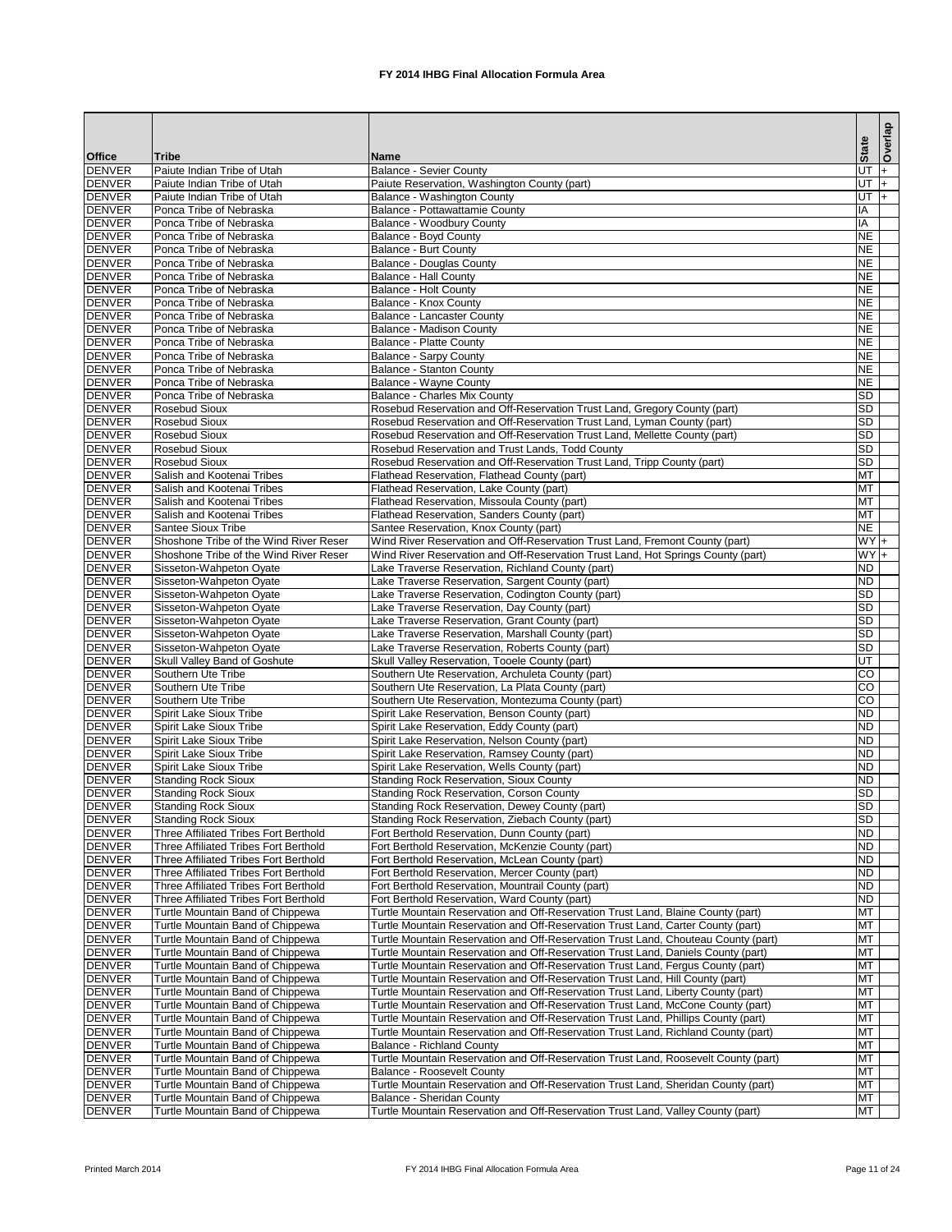|                                |                                                                                              |                                                                                                                                                                       | <b>State</b>                      | Overlap |
|--------------------------------|----------------------------------------------------------------------------------------------|-----------------------------------------------------------------------------------------------------------------------------------------------------------------------|-----------------------------------|---------|
| <b>Office</b><br><b>DENVER</b> | <b>Tribe</b><br>Paiute Indian Tribe of Utah                                                  | <b>Name</b><br><b>Balance - Sevier County</b>                                                                                                                         | UT                                | $ + $   |
| <b>DENVER</b>                  | Paiute Indian Tribe of Utah                                                                  | Paiute Reservation, Washington County (part)                                                                                                                          | $UT$ +                            |         |
| <b>DENVER</b>                  | Paiute Indian Tribe of Utah                                                                  | Balance - Washington County                                                                                                                                           | UT $\vert + \vert$                |         |
| <b>DENVER</b>                  | Ponca Tribe of Nebraska                                                                      | Balance - Pottawattamie County                                                                                                                                        | ΙA                                |         |
| <b>DENVER</b>                  | Ponca Tribe of Nebraska                                                                      | Balance - Woodbury County                                                                                                                                             | IA                                |         |
| <b>DENVER</b>                  | Ponca Tribe of Nebraska<br>Ponca Tribe of Nebraska                                           | <b>Balance - Boyd County</b>                                                                                                                                          | <b>NE</b>                         |         |
| <b>DENVER</b><br><b>DENVER</b> | Ponca Tribe of Nebraska                                                                      | <b>Balance - Burt County</b><br><b>Balance - Douglas County</b>                                                                                                       | <b>NE</b><br><b>NE</b>            |         |
| <b>DENVER</b>                  | Ponca Tribe of Nebraska                                                                      | <b>Balance - Hall County</b>                                                                                                                                          | <b>NE</b>                         |         |
| <b>DENVER</b>                  | Ponca Tribe of Nebraska                                                                      | <b>Balance - Holt County</b>                                                                                                                                          | <b>NE</b>                         |         |
| <b>DENVER</b>                  | Ponca Tribe of Nebraska                                                                      | <b>Balance - Knox County</b>                                                                                                                                          | <b>NE</b>                         |         |
| <b>DENVER</b>                  | Ponca Tribe of Nebraska                                                                      | Balance - Lancaster County                                                                                                                                            | <b>NE</b>                         |         |
| <b>DENVER</b><br><b>DENVER</b> | Ponca Tribe of Nebraska<br>Ponca Tribe of Nebraska                                           | <b>Balance - Madison County</b><br><b>Balance - Platte County</b>                                                                                                     | <b>NE</b><br><b>NE</b>            |         |
| <b>DENVER</b>                  | Ponca Tribe of Nebraska                                                                      | <b>Balance - Sarpy County</b>                                                                                                                                         | <b>NE</b>                         |         |
| <b>DENVER</b>                  | Ponca Tribe of Nebraska                                                                      | <b>Balance - Stanton County</b>                                                                                                                                       | <b>NE</b>                         |         |
| <b>DENVER</b>                  | Ponca Tribe of Nebraska                                                                      | <b>Balance - Wayne County</b>                                                                                                                                         | <b>NE</b>                         |         |
| <b>DENVER</b>                  | Ponca Tribe of Nebraska                                                                      | <b>Balance - Charles Mix County</b>                                                                                                                                   | <b>SD</b>                         |         |
| <b>DENVER</b>                  | <b>Rosebud Sioux</b>                                                                         | Rosebud Reservation and Off-Reservation Trust Land, Gregory County (part)                                                                                             | <b>SD</b>                         |         |
| <b>DENVER</b><br><b>DENVER</b> | Rosebud Sioux<br><b>Rosebud Sioux</b>                                                        | Rosebud Reservation and Off-Reservation Trust Land, Lyman County (part)<br>Rosebud Reservation and Off-Reservation Trust Land, Mellette County (part)                 | <b>SD</b><br><b>SD</b>            |         |
| <b>DENVER</b>                  | <b>Rosebud Sioux</b>                                                                         | Rosebud Reservation and Trust Lands, Todd County                                                                                                                      | <b>SD</b>                         |         |
| <b>DENVER</b>                  | <b>Rosebud Sioux</b>                                                                         | Rosebud Reservation and Off-Reservation Trust Land, Tripp County (part)                                                                                               | <b>SD</b>                         |         |
| <b>DENVER</b>                  | Salish and Kootenai Tribes                                                                   | Flathead Reservation, Flathead County (part)                                                                                                                          | <b>MT</b>                         |         |
| <b>DENVER</b>                  | Salish and Kootenai Tribes                                                                   | Flathead Reservation, Lake County (part)                                                                                                                              | <b>MT</b>                         |         |
| <b>DENVER</b>                  | Salish and Kootenai Tribes                                                                   | Flathead Reservation, Missoula County (part)                                                                                                                          | <b>MT</b>                         |         |
| <b>DENVER</b><br><b>DENVER</b> | Salish and Kootenai Tribes<br><b>Santee Sioux Tribe</b>                                      | Flathead Reservation, Sanders County (part)<br>Santee Reservation, Knox County (part)                                                                                 | <b>MT</b><br><b>NE</b>            |         |
| <b>DENVER</b>                  | Shoshone Tribe of the Wind River Reser                                                       | Wind River Reservation and Off-Reservation Trust Land, Fremont County (part)                                                                                          | $WY +$                            |         |
| <b>DENVER</b>                  | Shoshone Tribe of the Wind River Reser                                                       | Wind River Reservation and Off-Reservation Trust Land, Hot Springs County (part)                                                                                      | $WY +$                            |         |
| <b>DENVER</b>                  | Sisseton-Wahpeton Oyate                                                                      | Lake Traverse Reservation, Richland County (part)                                                                                                                     | <b>ND</b>                         |         |
| <b>DENVER</b>                  | Sisseton-Wahpeton Oyate                                                                      | Lake Traverse Reservation, Sargent County (part)                                                                                                                      | $\overline{ND}$                   |         |
| <b>DENVER</b>                  | Sisseton-Wahpeton Oyate                                                                      | Lake Traverse Reservation, Codington County (part)                                                                                                                    | SD                                |         |
| <b>DENVER</b><br><b>DENVER</b> | Sisseton-Wahpeton Oyate<br>Sisseton-Wahpeton Oyate                                           | Lake Traverse Reservation, Day County (part)<br>Lake Traverse Reservation, Grant County (part)                                                                        | <b>SD</b><br><b>SD</b>            |         |
| <b>DENVER</b>                  | Sisseton-Wahpeton Oyate                                                                      | Lake Traverse Reservation, Marshall County (part)                                                                                                                     | <b>SD</b>                         |         |
| <b>DENVER</b>                  | Sisseton-Wahpeton Oyate                                                                      | Lake Traverse Reservation, Roberts County (part)                                                                                                                      | SD                                |         |
| <b>DENVER</b>                  | Skull Valley Band of Goshute                                                                 | Skull Valley Reservation, Tooele County (part)                                                                                                                        | UT                                |         |
| <b>DENVER</b>                  | Southern Ute Tribe                                                                           | Southern Ute Reservation, Archuleta County (part)                                                                                                                     | $\overline{C}$                    |         |
| <b>DENVER</b>                  | Southern Ute Tribe                                                                           | Southern Ute Reservation, La Plata County (part)                                                                                                                      | $\overline{C}$<br>$\overline{CO}$ |         |
| <b>DENVER</b><br><b>DENVER</b> | Southern Ute Tribe<br>Spirit Lake Sioux Tribe                                                | Southern Ute Reservation, Montezuma County (part)<br>Spirit Lake Reservation, Benson County (part)                                                                    | <b>ND</b>                         |         |
| <b>DENVER</b>                  | Spirit Lake Sioux Tribe                                                                      | Spirit Lake Reservation, Eddy County (part)                                                                                                                           | <b>ND</b>                         |         |
| <b>DENVER</b>                  | <b>Spirit Lake Sioux Tribe</b>                                                               | Spirit Lake Reservation, Nelson County (part)                                                                                                                         | <b>ND</b>                         |         |
| <b>DENVER</b>                  | Spirit Lake Sioux Tribe                                                                      | Spirit Lake Reservation, Ramsey County (part)                                                                                                                         | <b>ND</b>                         |         |
| <b>DENVER</b>                  | Spirit Lake Sioux Tribe                                                                      | Spirit Lake Reservation, Wells County (part)                                                                                                                          | <b>ND</b>                         |         |
| <b>DENVER</b><br><b>DENVER</b> | <b>Standing Rock Sioux</b><br><b>Standing Rock Sioux</b>                                     | <b>Standing Rock Reservation, Sioux County</b><br><b>Standing Rock Reservation, Corson County</b>                                                                     | <b>ND</b><br><b>SD</b>            |         |
| <b>DENVER</b>                  | <b>Standing Rock Sioux</b>                                                                   | Standing Rock Reservation, Dewey County (part)                                                                                                                        | <b>SD</b>                         |         |
| <b>DENVER</b>                  | <b>Standing Rock Sioux</b>                                                                   | Standing Rock Reservation, Ziebach County (part)                                                                                                                      | <b>SD</b>                         |         |
| <b>DENVER</b>                  | Three Affiliated Tribes Fort Berthold                                                        | Fort Berthold Reservation, Dunn County (part)                                                                                                                         | <b>ND</b>                         |         |
| <b>DENVER</b>                  | Three Affiliated Tribes Fort Berthold                                                        | Fort Berthold Reservation, McKenzie County (part)                                                                                                                     | <b>ND</b>                         |         |
| <b>DENVER</b>                  | Three Affiliated Tribes Fort Berthold                                                        | Fort Berthold Reservation, McLean County (part)                                                                                                                       | <b>ND</b>                         |         |
| <b>DENVER</b><br><b>DENVER</b> | <b>Three Affiliated Tribes Fort Berthold</b><br><b>Three Affiliated Tribes Fort Berthold</b> | Fort Berthold Reservation, Mercer County (part)<br>Fort Berthold Reservation, Mountrail County (part)                                                                 | <b>ND</b><br><b>ND</b>            |         |
| <b>DENVER</b>                  | <b>Three Affiliated Tribes Fort Berthold</b>                                                 | Fort Berthold Reservation, Ward County (part)                                                                                                                         | <b>ND</b>                         |         |
| <b>DENVER</b>                  | Turtle Mountain Band of Chippewa                                                             | Turtle Mountain Reservation and Off-Reservation Trust Land, Blaine County (part)                                                                                      | MT                                |         |
| <b>DENVER</b>                  | Turtle Mountain Band of Chippewa                                                             | Turtle Mountain Reservation and Off-Reservation Trust Land, Carter County (part)                                                                                      | <b>MT</b>                         |         |
| <b>DENVER</b>                  | Turtle Mountain Band of Chippewa                                                             | Turtle Mountain Reservation and Off-Reservation Trust Land, Chouteau County (part)                                                                                    | MT                                |         |
| <b>DENVER</b><br><b>DENVER</b> | Turtle Mountain Band of Chippewa<br>Turtle Mountain Band of Chippewa                         | Turtle Mountain Reservation and Off-Reservation Trust Land, Daniels County (part)<br>Turtle Mountain Reservation and Off-Reservation Trust Land, Fergus County (part) | MT<br><b>MT</b>                   |         |
| <b>DENVER</b>                  | Turtle Mountain Band of Chippewa                                                             | Turtle Mountain Reservation and Off-Reservation Trust Land, Hill County (part)                                                                                        | <b>MT</b>                         |         |
| <b>DENVER</b>                  | Turtle Mountain Band of Chippewa                                                             | Turtle Mountain Reservation and Off-Reservation Trust Land, Liberty County (part)                                                                                     | <b>MT</b>                         |         |
| <b>DENVER</b>                  | Turtle Mountain Band of Chippewa                                                             | Turtle Mountain Reservation and Off-Reservation Trust Land, McCone County (part)                                                                                      | <b>MT</b>                         |         |
| <b>DENVER</b>                  | Turtle Mountain Band of Chippewa                                                             | Turtle Mountain Reservation and Off-Reservation Trust Land, Phillips County (part)                                                                                    | <b>MT</b>                         |         |
| <b>DENVER</b>                  | Turtle Mountain Band of Chippewa                                                             | Turtle Mountain Reservation and Off-Reservation Trust Land, Richland County (part)                                                                                    | MT                                |         |
| <b>DENVER</b><br><b>DENVER</b> | Turtle Mountain Band of Chippewa<br>Turtle Mountain Band of Chippewa                         | <b>Balance - Richland County</b><br>Turtle Mountain Reservation and Off-Reservation Trust Land, Roosevelt County (part)                                               | <b>MT</b><br><b>MT</b>            |         |
| <b>DENVER</b>                  | Turtle Mountain Band of Chippewa                                                             | <b>Balance - Roosevelt County</b>                                                                                                                                     | <b>MT</b>                         |         |
| <b>DENVER</b>                  | Turtle Mountain Band of Chippewa                                                             | Turtle Mountain Reservation and Off-Reservation Trust Land, Sheridan County (part)                                                                                    | MT                                |         |
| <b>DENVER</b>                  | Turtle Mountain Band of Chippewa                                                             | <b>Balance - Sheridan County</b>                                                                                                                                      | MT                                |         |
| <b>DENVER</b>                  | Turtle Mountain Band of Chippewa                                                             | Turtle Mountain Reservation and Off-Reservation Trust Land, Valley County (part)                                                                                      | MT                                |         |

Printed March 2014 **FX 2014 IHBG Final Allocation Formula Area** Page 11 of 24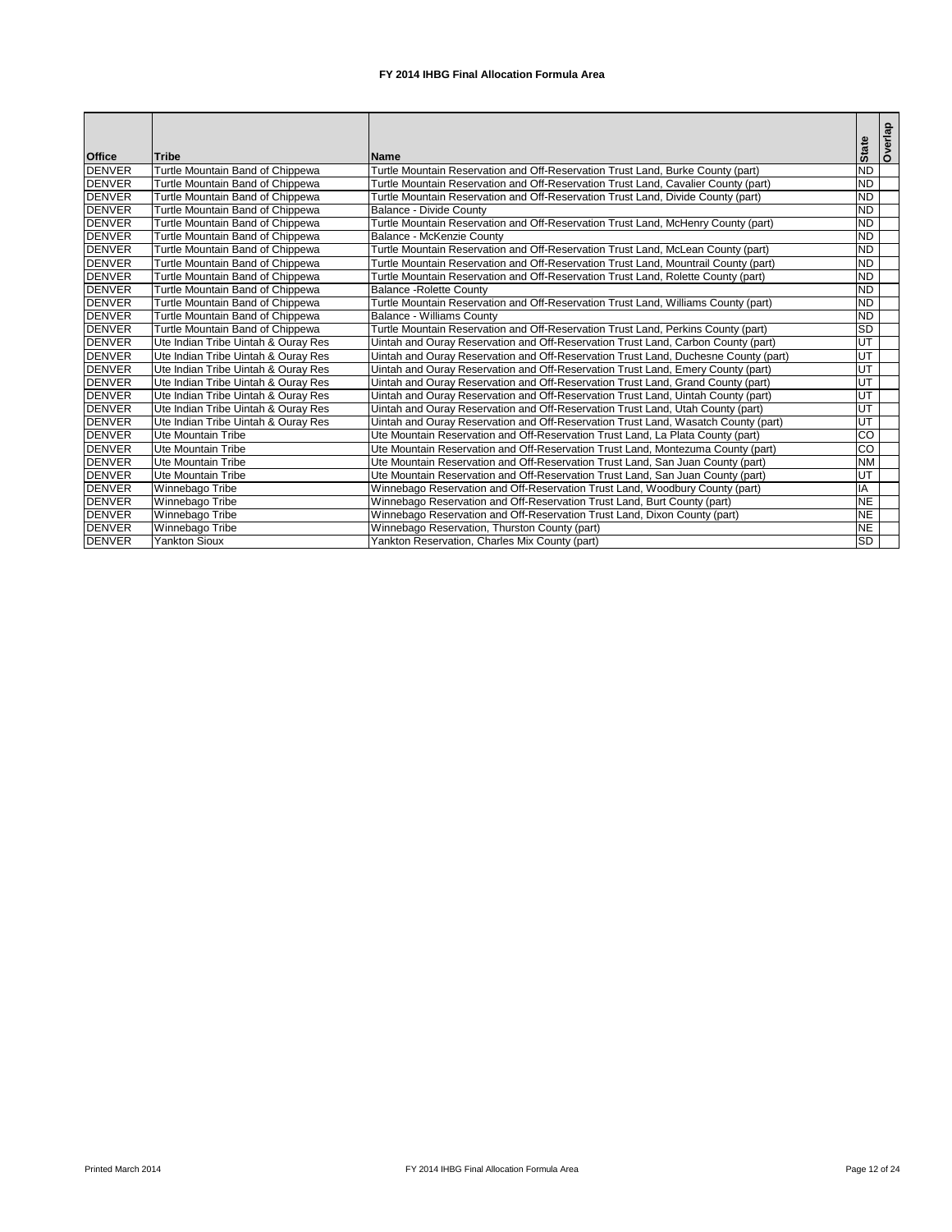|               |                                     |                                                                                     |                | Overlap |
|---------------|-------------------------------------|-------------------------------------------------------------------------------------|----------------|---------|
| <b>Office</b> | Tribe                               | <b>Name</b>                                                                         | <b>State</b>   |         |
| <b>DENVER</b> | Turtle Mountain Band of Chippewa    | Turtle Mountain Reservation and Off-Reservation Trust Land, Burke County (part)     | <b>ND</b>      |         |
| <b>DENVER</b> | Turtle Mountain Band of Chippewa    | Turtle Mountain Reservation and Off-Reservation Trust Land, Cavalier County (part)  | <b>ND</b>      |         |
| <b>DENVER</b> | Turtle Mountain Band of Chippewa    | Turtle Mountain Reservation and Off-Reservation Trust Land, Divide County (part)    | <b>ND</b>      |         |
| <b>DENVER</b> | Turtle Mountain Band of Chippewa    | Balance - Divide County                                                             | <b>ND</b>      |         |
| <b>DENVER</b> | Turtle Mountain Band of Chippewa    | Turtle Mountain Reservation and Off-Reservation Trust Land, McHenry County (part)   | <b>ND</b>      |         |
| <b>DENVER</b> | Turtle Mountain Band of Chippewa    | Balance - McKenzie County                                                           | <b>ND</b>      |         |
| <b>DENVER</b> | Turtle Mountain Band of Chippewa    | Turtle Mountain Reservation and Off-Reservation Trust Land, McLean County (part)    | <b>ND</b>      |         |
| <b>DENVER</b> | Turtle Mountain Band of Chippewa    | Turtle Mountain Reservation and Off-Reservation Trust Land, Mountrail County (part) | <b>ND</b>      |         |
| <b>DENVER</b> | Turtle Mountain Band of Chippewa    | Turtle Mountain Reservation and Off-Reservation Trust Land, Rolette County (part)   | <b>ND</b>      |         |
| <b>DENVER</b> | Turtle Mountain Band of Chippewa    | <b>Balance - Rolette County</b>                                                     | <b>ND</b>      |         |
| <b>DENVER</b> | Turtle Mountain Band of Chippewa    | Turtle Mountain Reservation and Off-Reservation Trust Land, Williams County (part)  | <b>ND</b>      |         |
| <b>DENVER</b> | Turtle Mountain Band of Chippewa    | <b>Balance - Williams County</b>                                                    | <b>ND</b>      |         |
| <b>DENVER</b> | Turtle Mountain Band of Chippewa    | Turtle Mountain Reservation and Off-Reservation Trust Land, Perkins County (part)   | <b>SD</b>      |         |
| <b>DENVER</b> | Ute Indian Tribe Uintah & Ouray Res | Uintah and Ouray Reservation and Off-Reservation Trust Land, Carbon County (part)   | UT             |         |
| <b>DENVER</b> | Ute Indian Tribe Uintah & Ouray Res | Uintah and Ouray Reservation and Off-Reservation Trust Land, Duchesne County (part) | E              |         |
| <b>DENVER</b> | Ute Indian Tribe Uintah & Ouray Res | Uintah and Ouray Reservation and Off-Reservation Trust Land, Emery County (part)    | UT             |         |
| <b>DENVER</b> | Ute Indian Tribe Uintah & Ouray Res | Uintah and Ouray Reservation and Off-Reservation Trust Land, Grand County (part)    | E              |         |
| <b>DENVER</b> | Ute Indian Tribe Uintah & Ouray Res | Uintah and Ouray Reservation and Off-Reservation Trust Land, Uintah County (part)   | UT             |         |
| <b>DENVER</b> | Ute Indian Tribe Uintah & Ouray Res | Uintah and Ouray Reservation and Off-Reservation Trust Land, Utah County (part)     | E              |         |
| <b>DENVER</b> | Ute Indian Tribe Uintah & Ouray Res | Jintah and Ouray Reservation and Off-Reservation Trust Land, Wasatch County (part)  | UT             |         |
| <b>DENVER</b> | <b>Ute Mountain Tribe</b>           | Ute Mountain Reservation and Off-Reservation Trust Land, La Plata County (part)     | $\overline{c}$ |         |
| <b>DENVER</b> | <b>Ute Mountain Tribe</b>           | Ute Mountain Reservation and Off-Reservation Trust Land, Montezuma County (part)    | $\overline{c}$ |         |
| <b>DENVER</b> | <b>Ute Mountain Tribe</b>           | Ute Mountain Reservation and Off-Reservation Trust Land, San Juan County (part)     | <b>NM</b>      |         |
| <b>DENVER</b> | Ute Mountain Tribe                  | Ute Mountain Reservation and Off-Reservation Trust Land, San Juan County (part)     | E              |         |
| <b>DENVER</b> | Winnebago Tribe                     | Winnebago Reservation and Off-Reservation Trust Land, Woodbury County (part)        | IA             |         |
| <b>DENVER</b> | Winnebago Tribe                     | Winnebago Reservation and Off-Reservation Trust Land, Burt County (part)            | <b>NE</b>      |         |
| <b>DENVER</b> | Winnebago Tribe                     | Winnebago Reservation and Off-Reservation Trust Land, Dixon County (part)           | <b>NE</b>      |         |
| <b>DENVER</b> | Winnebago Tribe                     | Winnebago Reservation, Thurston County (part)                                       | <b>NE</b>      |         |
| <b>DENVER</b> | <b>Yankton Sioux</b>                | Yankton Reservation, Charles Mix County (part)                                      | <b>SD</b>      |         |

Printed March 2014 **FX 2014 IHBG Final Allocation Formula Area** Page 12 of 24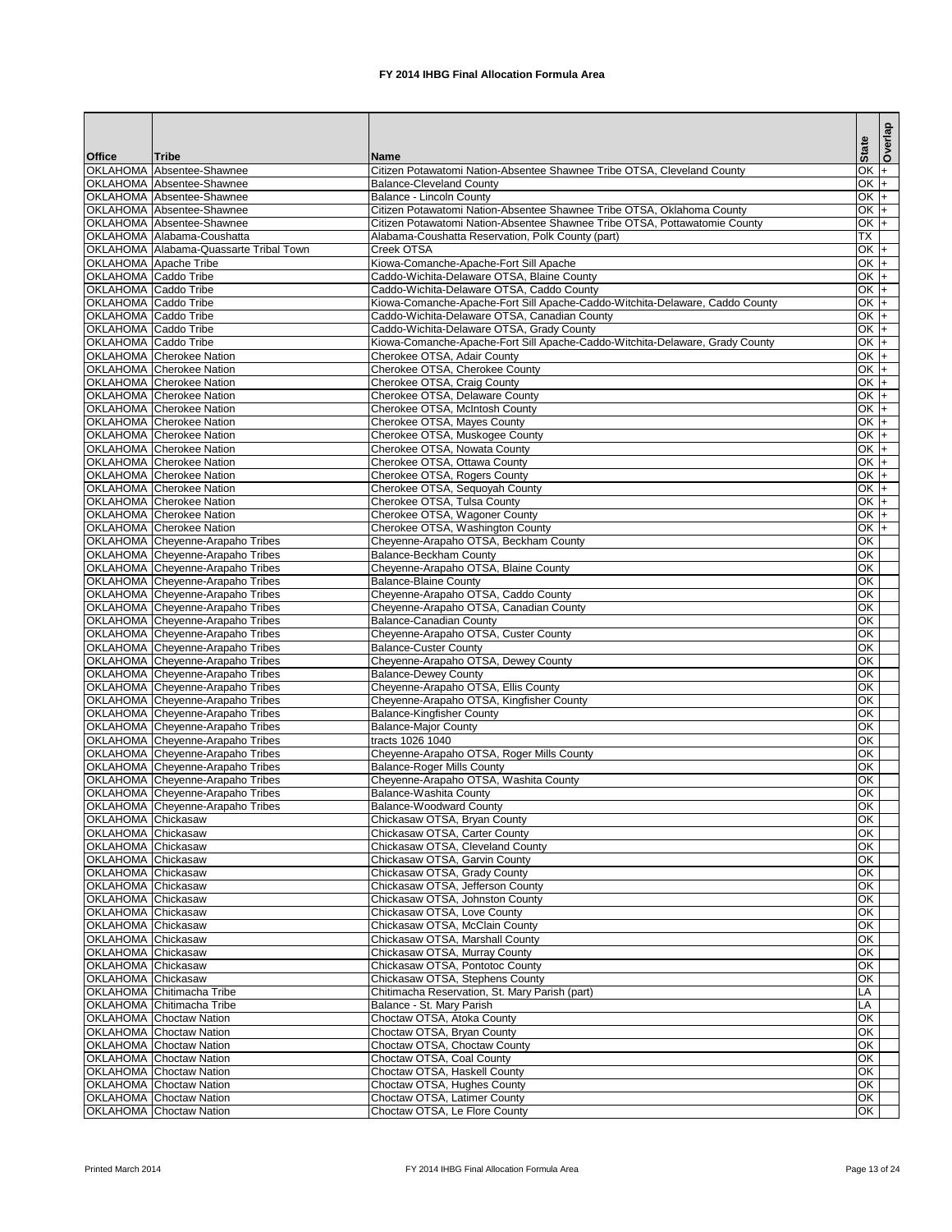|                                                            |                                                                                    |                                                                                                           |                                             | Overlap |
|------------------------------------------------------------|------------------------------------------------------------------------------------|-----------------------------------------------------------------------------------------------------------|---------------------------------------------|---------|
| <b>Office</b>                                              | <b>Tribe</b>                                                                       | <b>Name</b>                                                                                               | <b>State</b>                                |         |
|                                                            | OKLAHOMA Absentee-Shawnee                                                          | Citizen Potawatomi Nation-Absentee Shawnee Tribe OTSA, Cleveland County                                   | $OK +$                                      |         |
|                                                            | <b>OKLAHOMA</b> Absentee-Shawnee                                                   | <b>Balance-Cleveland County</b>                                                                           | $OK +$                                      |         |
|                                                            | OKLAHOMA Absentee-Shawnee<br>OKLAHOMA Absentee-Shawnee                             | <b>Balance - Lincoln County</b><br>Citizen Potawatomi Nation-Absentee Shawnee Tribe OTSA, Oklahoma County | $\overline{OK}$ +<br>OK $+$                 |         |
|                                                            | OKLAHOMA Absentee-Shawnee                                                          | Citizen Potawatomi Nation-Absentee Shawnee Tribe OTSA, Pottawatomie County                                | $OK +$                                      |         |
|                                                            | OKLAHOMA Alabama-Coushatta                                                         | Alabama-Coushatta Reservation, Polk County (part)                                                         | $\overline{\mathsf{TX}}$                    |         |
|                                                            | OKLAHOMA Alabama-Quassarte Tribal Town                                             | Creek OTSA                                                                                                | $OK +$                                      |         |
| <b>OKLAHOMA</b> Apache Tribe                               |                                                                                    | Kiowa-Comanche-Apache-Fort Sill Apache                                                                    | OK $+$                                      |         |
| <b>OKLAHOMA</b> Caddo Tribe<br><b>OKLAHOMA</b> Caddo Tribe |                                                                                    | Caddo-Wichita-Delaware OTSA, Blaine County<br>Caddo-Wichita-Delaware OTSA, Caddo County                   | $OK +$<br>$OK +$                            |         |
| <b>OKLAHOMA</b> Caddo Tribe                                |                                                                                    | Kiowa-Comanche-Apache-Fort Sill Apache-Caddo-Witchita-Delaware, Caddo County                              | $OK +$                                      |         |
| <b>OKLAHOMA</b> Caddo Tribe                                |                                                                                    | Caddo-Wichita-Delaware OTSA, Canadian County                                                              | $OK +$                                      |         |
| <b>OKLAHOMA</b> Caddo Tribe                                |                                                                                    | Caddo-Wichita-Delaware OTSA, Grady County                                                                 | OK $+$                                      |         |
| <b>OKLAHOMA</b> Caddo Tribe                                |                                                                                    | Kiowa-Comanche-Apache-Fort Sill Apache-Caddo-Witchita-Delaware, Grady County                              | $OK +$                                      |         |
|                                                            | <b>OKLAHOMA</b> Cherokee Nation                                                    | Cherokee OTSA, Adair County<br>Cherokee OTSA, Cherokee County                                             | $OK +$<br>$OK +$                            |         |
|                                                            | <b>OKLAHOMA</b> Cherokee Nation<br><b>OKLAHOMA</b> Cherokee Nation                 | Cherokee OTSA, Craig County                                                                               | $OK +$                                      |         |
|                                                            | <b>OKLAHOMA</b> Cherokee Nation                                                    | Cherokee OTSA, Delaware County                                                                            | $OK +$                                      |         |
|                                                            | <b>OKLAHOMA</b> Cherokee Nation                                                    | Cherokee OTSA, McIntosh County                                                                            | $OK +$                                      |         |
|                                                            | <b>OKLAHOMA</b> Cherokee Nation                                                    | Cherokee OTSA, Mayes County                                                                               | $OK +$                                      |         |
|                                                            | <b>OKLAHOMA</b> Cherokee Nation                                                    | Cherokee OTSA, Muskogee County                                                                            | $OK +$                                      |         |
|                                                            | <b>OKLAHOMA</b> Cherokee Nation<br><b>OKLAHOMA</b> Cherokee Nation                 | Cherokee OTSA, Nowata County<br>Cherokee OTSA, Ottawa County                                              | $OK +$<br>$OK +$                            |         |
|                                                            | OKLAHOMA Cherokee Nation                                                           | Cherokee OTSA, Rogers County                                                                              | $OK +$                                      |         |
|                                                            | <b>OKLAHOMA</b> Cherokee Nation                                                    | Cherokee OTSA, Sequoyah County                                                                            | $OK +$                                      |         |
|                                                            | <b>OKLAHOMA</b> Cherokee Nation                                                    | Cherokee OTSA, Tulsa County                                                                               | $OK +$                                      |         |
|                                                            | <b>OKLAHOMA</b> Cherokee Nation                                                    | Cherokee OTSA, Wagoner County                                                                             | $OK +$                                      |         |
|                                                            | <b>OKLAHOMA</b> Cherokee Nation                                                    | Cherokee OTSA, Washington County                                                                          | $OK +$                                      |         |
|                                                            | <b>OKLAHOMA</b> Cheyenne-Arapaho Tribes<br><b>OKLAHOMA</b> Cheyenne-Arapaho Tribes | Cheyenne-Arapaho OTSA, Beckham County<br><b>Balance-Beckham County</b>                                    | OK<br>$\overline{OK}$                       |         |
|                                                            | <b>OKLAHOMA</b> Cheyenne-Arapaho Tribes                                            | Cheyenne-Arapaho OTSA, Blaine County                                                                      | OK                                          |         |
|                                                            | OKLAHOMA Cheyenne-Arapaho Tribes                                                   | <b>Balance-Blaine County</b>                                                                              | OK                                          |         |
|                                                            | <b>OKLAHOMA</b> Cheyenne-Arapaho Tribes                                            | Cheyenne-Arapaho OTSA, Caddo County                                                                       | OK                                          |         |
|                                                            | OKLAHOMA Cheyenne-Arapaho Tribes                                                   | Cheyenne-Arapaho OTSA, Canadian County                                                                    | OK                                          |         |
|                                                            | OKLAHOMA Cheyenne-Arapaho Tribes<br>OKLAHOMA Cheyenne-Arapaho Tribes               | <b>Balance-Canadian County</b><br>Cheyenne-Arapaho OTSA, Custer County                                    | OK<br>$\overline{OK}$                       |         |
|                                                            | <b>OKLAHOMA</b> Cheyenne-Arapaho Tribes                                            | <b>Balance-Custer County</b>                                                                              | OK                                          |         |
|                                                            | <b>OKLAHOMA</b> Cheyenne-Arapaho Tribes                                            | Cheyenne-Arapaho OTSA, Dewey County                                                                       | $\overline{OK}$                             |         |
|                                                            | OKLAHOMA Cheyenne-Arapaho Tribes                                                   | <b>Balance-Dewey County</b>                                                                               | OK                                          |         |
|                                                            | <b>OKLAHOMA</b> Cheyenne-Arapaho Tribes                                            | Cheyenne-Arapaho OTSA, Ellis County                                                                       | $\overline{OK}$                             |         |
|                                                            | <b>OKLAHOMA</b> Cheyenne-Arapaho Tribes<br><b>OKLAHOMA</b> Cheyenne-Arapaho Tribes | Cheyenne-Arapaho OTSA, Kingfisher County<br><b>Balance-Kingfisher County</b>                              | OK<br>$\overline{OK}$                       |         |
|                                                            | OKLAHOMA Cheyenne-Arapaho Tribes                                                   | <b>Balance-Major County</b>                                                                               | $\overline{OK}$                             |         |
|                                                            | OKLAHOMA Cheyenne-Arapaho Tribes                                                   | tracts 1026 1040                                                                                          | $\overline{OK}$                             |         |
|                                                            | OKLAHOMA Cheyenne-Arapaho Tribes                                                   | Cheyenne-Arapaho OTSA, Roger Mills County                                                                 | $\overline{OK}$                             |         |
|                                                            | OKLAHOMA Cheyenne-Arapaho Tribes                                                   | <b>Balance-Roger Mills County</b>                                                                         | OK                                          |         |
|                                                            | OKLAHOMA Cheyenne-Arapaho Tribes                                                   | Cheyenne-Arapaho OTSA, Washita County                                                                     | $\overline{OK}$<br>OK                       |         |
|                                                            | <b>OKLAHOMA</b> Cheyenne-Arapaho Tribes<br>OKLAHOMA Cheyenne-Arapaho Tribes        | <b>Balance-Washita County</b><br><b>Balance-Woodward County</b>                                           | OK                                          |         |
| OKLAHOMA Chickasaw                                         |                                                                                    | Chickasaw OTSA, Bryan County                                                                              | OK                                          |         |
| OKLAHOMA Chickasaw                                         |                                                                                    | Chickasaw OTSA, Carter County                                                                             | $\overline{OK}$                             |         |
| <b>OKLAHOMA</b> Chickasaw                                  |                                                                                    | Chickasaw OTSA, Cleveland County                                                                          | $\overline{OK}$                             |         |
| <b>OKLAHOMA</b> Chickasaw                                  |                                                                                    | Chickasaw OTSA, Garvin County                                                                             | $\overline{OK}$                             |         |
| OKLAHOMA Chickasaw<br><b>OKLAHOMA</b> Chickasaw            |                                                                                    | Chickasaw OTSA, Grady County<br>Chickasaw OTSA, Jefferson County                                          | OK<br>$\overline{OK}$                       |         |
| OKLAHOMA Chickasaw                                         |                                                                                    | Chickasaw OTSA, Johnston County                                                                           | OK                                          |         |
| <b>OKLAHOMA</b> Chickasaw                                  |                                                                                    | Chickasaw OTSA, Love County                                                                               | $\overline{OK}$                             |         |
| <b>OKLAHOMA</b> Chickasaw                                  |                                                                                    | Chickasaw OTSA, McClain County                                                                            | OK                                          |         |
| OKLAHOMA Chickasaw                                         |                                                                                    | Chickasaw OTSA, Marshall County                                                                           | $\overline{OK}$                             |         |
| OKLAHOMA Chickasaw<br><b>OKLAHOMA</b> Chickasaw            |                                                                                    | Chickasaw OTSA, Murray County<br>Chickasaw OTSA, Pontotoc County                                          | $\overline{\mathsf{OK}}$<br>$\overline{OK}$ |         |
| <b>OKLAHOMA</b> Chickasaw                                  |                                                                                    | Chickasaw OTSA, Stephens County                                                                           | $\overline{OK}$                             |         |
|                                                            | <b>OKLAHOMA</b> Chitimacha Tribe                                                   | Chitimacha Reservation, St. Mary Parish (part)                                                            | LA                                          |         |
|                                                            | <b>OKLAHOMA Chitimacha Tribe</b>                                                   | Balance - St. Mary Parish                                                                                 | LA                                          |         |
|                                                            | <b>OKLAHOMA</b> Choctaw Nation                                                     | Choctaw OTSA, Atoka County                                                                                | OK                                          |         |
|                                                            | <b>OKLAHOMA</b> Choctaw Nation<br><b>OKLAHOMA</b> Choctaw Nation                   | Choctaw OTSA, Bryan County<br>Choctaw OTSA, Choctaw County                                                | OK<br>OK                                    |         |
|                                                            | <b>OKLAHOMA</b> Choctaw Nation                                                     | Choctaw OTSA, Coal County                                                                                 | OK                                          |         |
|                                                            | <b>OKLAHOMA</b> Choctaw Nation                                                     | Choctaw OTSA, Haskell County                                                                              | OK                                          |         |
|                                                            | <b>OKLAHOMA</b> Choctaw Nation                                                     | Choctaw OTSA, Hughes County                                                                               | $\overline{\mathsf{OK}}$                    |         |
|                                                            | <b>OKLAHOMA</b> Choctaw Nation                                                     | Choctaw OTSA, Latimer County                                                                              | OK                                          |         |
|                                                            | <b>OKLAHOMA</b> Choctaw Nation                                                     | Choctaw OTSA, Le Flore County                                                                             | OK                                          |         |

Printed March 2014 **FX 2014 IHBG Final Allocation Formula Area** Page 13 of 24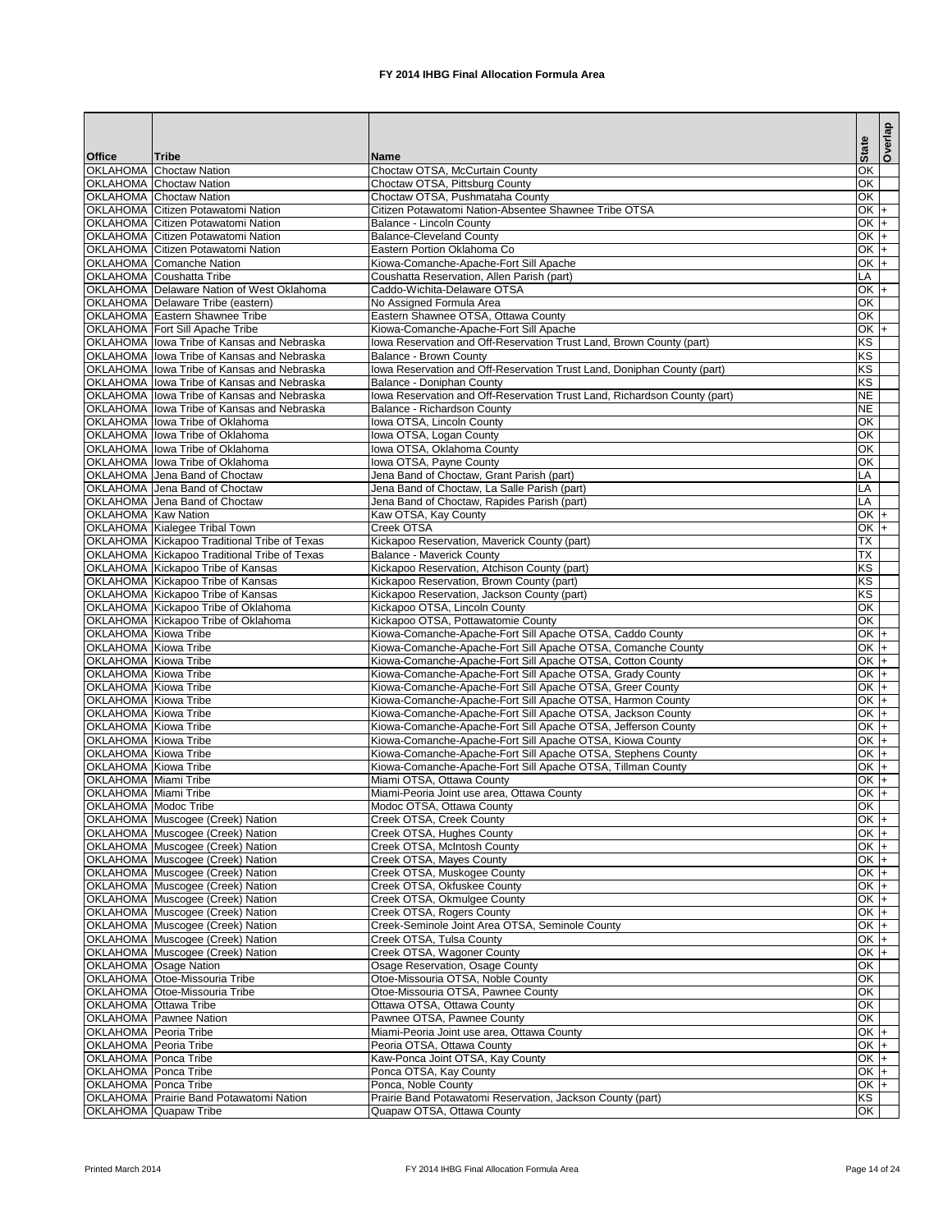|                                                            |                                                                                              |                                                                                                                            | <b>State</b>                       | Overlap |
|------------------------------------------------------------|----------------------------------------------------------------------------------------------|----------------------------------------------------------------------------------------------------------------------------|------------------------------------|---------|
| <b>Office</b>                                              | Tribe                                                                                        | <b>Name</b>                                                                                                                |                                    |         |
|                                                            | <b>OKLAHOMA</b> Choctaw Nation                                                               | Choctaw OTSA, McCurtain County                                                                                             | $\overline{OK}$                    |         |
|                                                            | <b>OKLAHOMA Choctaw Nation</b>                                                               | Choctaw OTSA, Pittsburg County                                                                                             | OK                                 |         |
|                                                            | <b>OKLAHOMA</b> Choctaw Nation<br><b>OKLAHOMA Citizen Potawatomi Nation</b>                  | Choctaw OTSA, Pushmataha County<br>Citizen Potawatomi Nation-Absentee Shawnee Tribe OTSA                                   | OK<br>$OK +$                       |         |
|                                                            | <b>OKLAHOMA Citizen Potawatomi Nation</b>                                                    | <b>Balance - Lincoln County</b>                                                                                            | $OK$ +                             |         |
|                                                            | <b>OKLAHOMA Citizen Potawatomi Nation</b>                                                    | <b>Balance-Cleveland County</b>                                                                                            | $OK +$                             |         |
|                                                            | <b>OKLAHOMA Citizen Potawatomi Nation</b>                                                    | Eastern Portion Oklahoma Co                                                                                                | $OK +$                             |         |
|                                                            | <b>OKLAHOMA</b> Comanche Nation                                                              | Kiowa-Comanche-Apache-Fort Sill Apache                                                                                     | $OK +$                             |         |
|                                                            | <b>OKLAHOMA</b> Coushatta Tribe                                                              | Coushatta Reservation, Allen Parish (part)                                                                                 | LA                                 |         |
|                                                            | OKLAHOMA Delaware Nation of West Oklahoma                                                    | Caddo-Wichita-Delaware OTSA                                                                                                | $OK +$                             |         |
|                                                            | <b>OKLAHOMA</b> Delaware Tribe (eastern)                                                     | No Assigned Formula Area                                                                                                   | $\overline{OK}$                    |         |
|                                                            | <b>OKLAHOMA Eastern Shawnee Tribe</b>                                                        | Eastern Shawnee OTSA, Ottawa County                                                                                        | $\overline{OK}$                    |         |
|                                                            | <b>OKLAHOMA Fort Sill Apache Tribe</b><br>OKLAHOMA lowa Tribe of Kansas and Nebraska         | Kiowa-Comanche-Apache-Fort Sill Apache                                                                                     | $OK +$<br>KS                       |         |
|                                                            | OKLAHOMA lowa Tribe of Kansas and Nebraska                                                   | Iowa Reservation and Off-Reservation Trust Land, Brown County (part)<br><b>Balance - Brown County</b>                      | KS                                 |         |
|                                                            | OKLAHOMA lowa Tribe of Kansas and Nebraska                                                   | lowa Reservation and Off-Reservation Trust Land, Doniphan County (part)                                                    | KS                                 |         |
|                                                            | OKLAHOMA Iowa Tribe of Kansas and Nebraska                                                   | <b>Balance - Doniphan County</b>                                                                                           | KS                                 |         |
|                                                            | OKLAHOMA lowa Tribe of Kansas and Nebraska                                                   | Iowa Reservation and Off-Reservation Trust Land, Richardson County (part)                                                  | <b>NE</b>                          |         |
|                                                            | OKLAHOMA Ilowa Tribe of Kansas and Nebraska                                                  | <b>Balance - Richardson County</b>                                                                                         | <b>NE</b>                          |         |
|                                                            | OKLAHOMA lowa Tribe of Oklahoma                                                              | Iowa OTSA, Lincoln County                                                                                                  | OK                                 |         |
|                                                            | OKLAHOMA lowa Tribe of Oklahoma                                                              | Iowa OTSA, Logan County                                                                                                    | $\overline{\mathsf{OK}}$           |         |
|                                                            | OKLAHOMA lowa Tribe of Oklahoma                                                              | Iowa OTSA, Oklahoma County                                                                                                 | OK                                 |         |
|                                                            | OKLAHOMA lowa Tribe of Oklahoma                                                              | Iowa OTSA, Payne County                                                                                                    | $\overline{OK}$                    |         |
|                                                            | <b>OKLAHOMA</b> Jena Band of Choctaw                                                         | Jena Band of Choctaw, Grant Parish (part)                                                                                  | LA                                 |         |
|                                                            | OKLAHOMA Jena Band of Choctaw                                                                | Jena Band of Choctaw, La Salle Parish (part)                                                                               | LA                                 |         |
|                                                            | <b>OKLAHOMA</b> Jena Band of Choctaw                                                         | Jena Band of Choctaw, Rapides Parish (part)                                                                                | $\overline{LA}$                    |         |
| <b>OKLAHOMA</b> Kaw Nation                                 |                                                                                              | Kaw OTSA, Kay County                                                                                                       | $OK +$                             |         |
|                                                            | OKLAHOMA Kialegee Tribal Town                                                                | Creek OTSA                                                                                                                 | $\overline{OK}$<br>$\overline{TX}$ | l+      |
|                                                            | OKLAHOMA Kickapoo Traditional Tribe of Texas<br>OKLAHOMA Kickapoo Traditional Tribe of Texas | Kickapoo Reservation, Maverick County (part)<br><b>Balance - Maverick County</b>                                           | $\overline{\mathsf{TX}}$           |         |
|                                                            | OKLAHOMA Kickapoo Tribe of Kansas                                                            | Kickapoo Reservation, Atchison County (part)                                                                               | KS                                 |         |
|                                                            | OKLAHOMA Kickapoo Tribe of Kansas                                                            | Kickapoo Reservation, Brown County (part)                                                                                  | KS                                 |         |
|                                                            | OKLAHOMA Kickapoo Tribe of Kansas                                                            | Kickapoo Reservation, Jackson County (part)                                                                                | KS                                 |         |
|                                                            | OKLAHOMA Kickapoo Tribe of Oklahoma                                                          | Kickapoo OTSA, Lincoln County                                                                                              | OK                                 |         |
|                                                            | OKLAHOMA Kickapoo Tribe of Oklahoma                                                          | Kickapoo OTSA, Pottawatomie County                                                                                         | OK                                 |         |
| <b>OKLAHOMA</b> Kiowa Tribe                                |                                                                                              | Kiowa-Comanche-Apache-Fort Sill Apache OTSA, Caddo County                                                                  | $OK$ +                             |         |
| <b>OKLAHOMA</b> Kiowa Tribe                                |                                                                                              | Kiowa-Comanche-Apache-Fort Sill Apache OTSA, Comanche County                                                               | $OK +$                             |         |
| <b>OKLAHOMA</b> Kiowa Tribe                                |                                                                                              | Kiowa-Comanche-Apache-Fort Sill Apache OTSA, Cotton County                                                                 | $OK$ +                             |         |
| <b>OKLAHOMA</b> Kiowa Tribe                                |                                                                                              | Kiowa-Comanche-Apache-Fort Sill Apache OTSA, Grady County                                                                  | $OK$ +                             |         |
| <b>OKLAHOMA</b> Kiowa Tribe                                |                                                                                              | Kiowa-Comanche-Apache-Fort Sill Apache OTSA, Greer County                                                                  | $OK$ +                             |         |
| <b>OKLAHOMA</b> Kiowa Tribe                                |                                                                                              | Kiowa-Comanche-Apache-Fort Sill Apache OTSA, Harmon County                                                                 | $OK +$                             |         |
| <b>OKLAHOMA</b> Kiowa Tribe<br><b>OKLAHOMA</b> Kiowa Tribe |                                                                                              | Kiowa-Comanche-Apache-Fort Sill Apache OTSA, Jackson County                                                                | $OK +$<br>$OK +$                   |         |
| <b>OKLAHOMA</b> Kiowa Tribe                                |                                                                                              | Kiowa-Comanche-Apache-Fort Sill Apache OTSA, Jefferson County<br>Kiowa-Comanche-Apache-Fort Sill Apache OTSA, Kiowa County | $OK$ +                             |         |
| <b>OKLAHOMA</b> Kiowa Tribe                                |                                                                                              | Kiowa-Comanche-Apache-Fort Sill Apache OTSA, Stephens County                                                               | $OK \,   +$                        |         |
| OKLAHOMA Kiowa Tribe                                       |                                                                                              | Kiowa-Comanche-Apache-Fort Sill Apache OTSA, Tillman County                                                                | $OK \,   +$                        |         |
| <b>OKLAHOMA</b> Miami Tribe                                |                                                                                              | Miami OTSA, Ottawa County                                                                                                  | $OK +$                             |         |
| <b>OKLAHOMA</b> Miami Tribe                                |                                                                                              | Miami-Peoria Joint use area, Ottawa County                                                                                 | $OK +$                             |         |
| <b>OKLAHOMA</b> Modoc Tribe                                |                                                                                              | Modoc OTSA, Ottawa County                                                                                                  | OK                                 |         |
|                                                            | OKLAHOMA Muscogee (Creek) Nation                                                             | Creek OTSA, Creek County                                                                                                   | $OK \,   +$                        |         |
|                                                            | <b>OKLAHOMA Muscogee (Creek) Nation</b>                                                      | Creek OTSA, Hughes County                                                                                                  | $OK +$                             |         |
|                                                            | OKLAHOMA Muscogee (Creek) Nation                                                             | Creek OTSA, McIntosh County                                                                                                | $OK +$                             |         |
|                                                            | <b>OKLAHOMA</b> Muscogee (Creek) Nation                                                      | Creek OTSA, Mayes County                                                                                                   | $OK +$                             |         |
|                                                            | OKLAHOMA Muscogee (Creek) Nation                                                             | Creek OTSA, Muskogee County                                                                                                | $OK$ +                             |         |
|                                                            | OKLAHOMA Muscogee (Creek) Nation                                                             | Creek OTSA, Okfuskee County                                                                                                | $OK +$                             |         |
|                                                            | OKLAHOMA Muscogee (Creek) Nation<br>OKLAHOMA Muscogee (Creek) Nation                         | Creek OTSA, Okmulgee County<br>Creek OTSA, Rogers County                                                                   | $OK +$<br>OK $+$                   |         |
|                                                            | OKLAHOMA Muscogee (Creek) Nation                                                             | Creek-Seminole Joint Area OTSA, Seminole County                                                                            | $OK +$                             |         |
|                                                            | OKLAHOMA Muscogee (Creek) Nation                                                             | Creek OTSA, Tulsa County                                                                                                   | $\frac{1}{2}$                      |         |
|                                                            | OKLAHOMA Muscogee (Creek) Nation                                                             | Creek OTSA, Wagoner County                                                                                                 | $OK +$                             |         |
|                                                            | <b>OKLAHOMA</b> Osage Nation                                                                 | Osage Reservation, Osage County                                                                                            | $\overline{\alpha}$                |         |
|                                                            | OKLAHOMA Otoe-Missouria Tribe                                                                | Otoe-Missouria OTSA, Noble County                                                                                          | $\overline{OK}$                    |         |
|                                                            | OKLAHOMA Otoe-Missouria Tribe                                                                | Otoe-Missouria OTSA, Pawnee County                                                                                         | $\overline{OK}$                    |         |
| <b>OKLAHOMA Ottawa Tribe</b>                               |                                                                                              | Ottawa OTSA, Ottawa County                                                                                                 | $\overline{OK}$                    |         |
|                                                            | <b>OKLAHOMA</b> Pawnee Nation                                                                | Pawnee OTSA, Pawnee County                                                                                                 | $\overline{OK}$                    |         |
| <b>OKLAHOMA</b> Peoria Tribe                               |                                                                                              | Miami-Peoria Joint use area, Ottawa County                                                                                 | $OK \,   +$                        |         |
| <b>OKLAHOMA</b> Peoria Tribe                               |                                                                                              | Peoria OTSA, Ottawa County                                                                                                 | $OK \,   +$                        |         |
| <b>OKLAHOMA</b> Ponca Tribe                                |                                                                                              | Kaw-Ponca Joint OTSA, Kay County                                                                                           | $OK \,   +$                        |         |
| <b>OKLAHOMA</b> Ponca Tribe                                |                                                                                              | Ponca OTSA, Kay County                                                                                                     | $OK \,   +$                        |         |
| <b>OKLAHOMA</b> Ponca Tribe                                |                                                                                              | Ponca, Noble County                                                                                                        | $OK +$                             |         |
|                                                            | <b>OKLAHOMA Prairie Band Potawatomi Nation</b><br><b>OKLAHOMA</b> Quapaw Tribe               | Prairie Band Potawatomi Reservation, Jackson County (part)<br>Quapaw OTSA, Ottawa County                                   | KS<br>OK                           |         |
|                                                            |                                                                                              |                                                                                                                            |                                    |         |

Printed March 2014 **FX 2014 IHBG Final Allocation Formula Area** Page 14 of 24 Page 14 of 24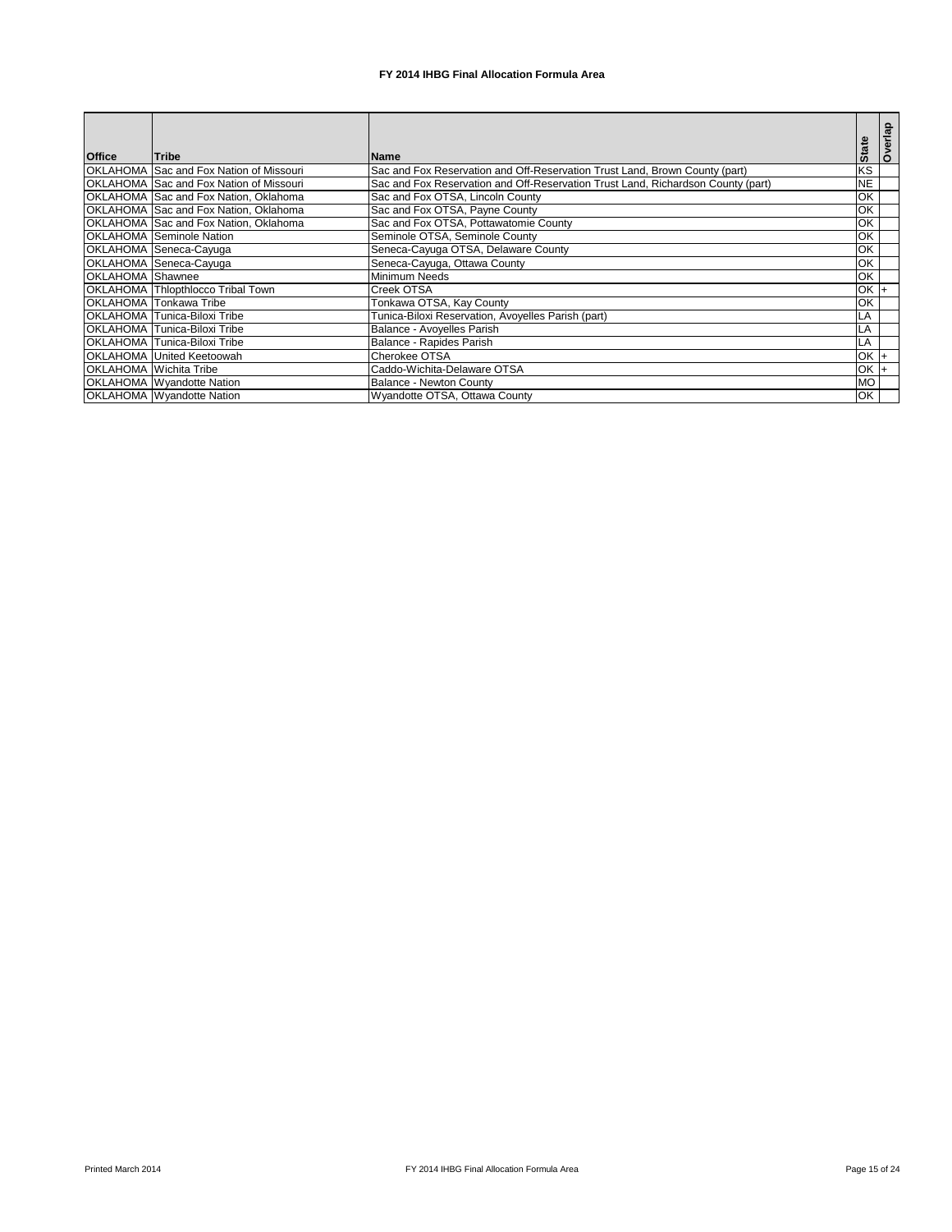| <b>Office</b>           | <b>Tribe</b>                                   | lName∶                                                                           | <b>State</b>   | Overlap |
|-------------------------|------------------------------------------------|----------------------------------------------------------------------------------|----------------|---------|
|                         | OKLAHOMA Sac and Fox Nation of Missouri        | Sac and Fox Reservation and Off-Reservation Trust Land, Brown County (part)      | <b>KS</b>      |         |
|                         | <b>OKLAHOMA Sac and Fox Nation of Missouri</b> | Sac and Fox Reservation and Off-Reservation Trust Land, Richardson County (part) | <b>NE</b>      |         |
|                         | OKLAHOMA Sac and Fox Nation, Oklahoma          | Sac and Fox OTSA, Lincoln County                                                 | OK             |         |
|                         | OKLAHOMA Sac and Fox Nation, Oklahoma          | Sac and Fox OTSA, Payne County                                                   | OK             |         |
|                         | OKLAHOMA Sac and Fox Nation, Oklahoma          | Sac and Fox OTSA, Pottawatomie County                                            | OK             |         |
|                         | <b>OKLAHOMA</b> Seminole Nation                | Seminole OTSA, Seminole County                                                   | ЮK             |         |
|                         | OKLAHOMA Seneca-Cayuga                         | Seneca-Cayuga OTSA, Delaware County                                              | <b>OK</b>      |         |
|                         | OKLAHOMA Seneca-Cayuga                         | Seneca-Cayuga, Ottawa County                                                     | ЮK             |         |
| <b>OKLAHOMA</b> Shawnee |                                                | Minimum Needs                                                                    | ЮK             |         |
|                         | <b>OKLAHOMA</b> Thlopthlocco Tribal Town       | Creek OTSA                                                                       | $OK +$         |         |
|                         | <b>OKLAHOMA</b> Tonkawa Tribe                  | Tonkawa OTSA, Kay County                                                         | ЮK             |         |
|                         | <b>OKLAHOMA Tunica-Biloxi Tribe</b>            | Tunica-Biloxi Reservation, Avoyelles Parish (part)                               | LA             |         |
|                         | OKLAHOMA Tunica-Biloxi Tribe                   | Balance - Avoyelles Parish                                                       | LA             |         |
|                         | <b>OKLAHOMA Tunica-Biloxi Tribe</b>            | Balance - Rapides Parish                                                         | LA             |         |
|                         | <b>OKLAHOMA United Keetoowah</b>               | Cherokee OTSA                                                                    | $\overline{S}$ |         |
|                         | <b>OKLAHOMA Wichita Tribe</b>                  | Caddo-Wichita-Delaware OTSA                                                      | OK             |         |
|                         | <b>OKLAHOMA</b> Wyandotte Nation               | <b>Balance - Newton County</b>                                                   | <b>OM</b>      |         |
|                         | <b>OKLAHOMA</b> Wyandotte Nation               | Wyandotte OTSA, Ottawa County                                                    | OK             |         |

Printed March 2014 **FX 2014 IHBG Final Allocation Formula Area** Page 15 of 24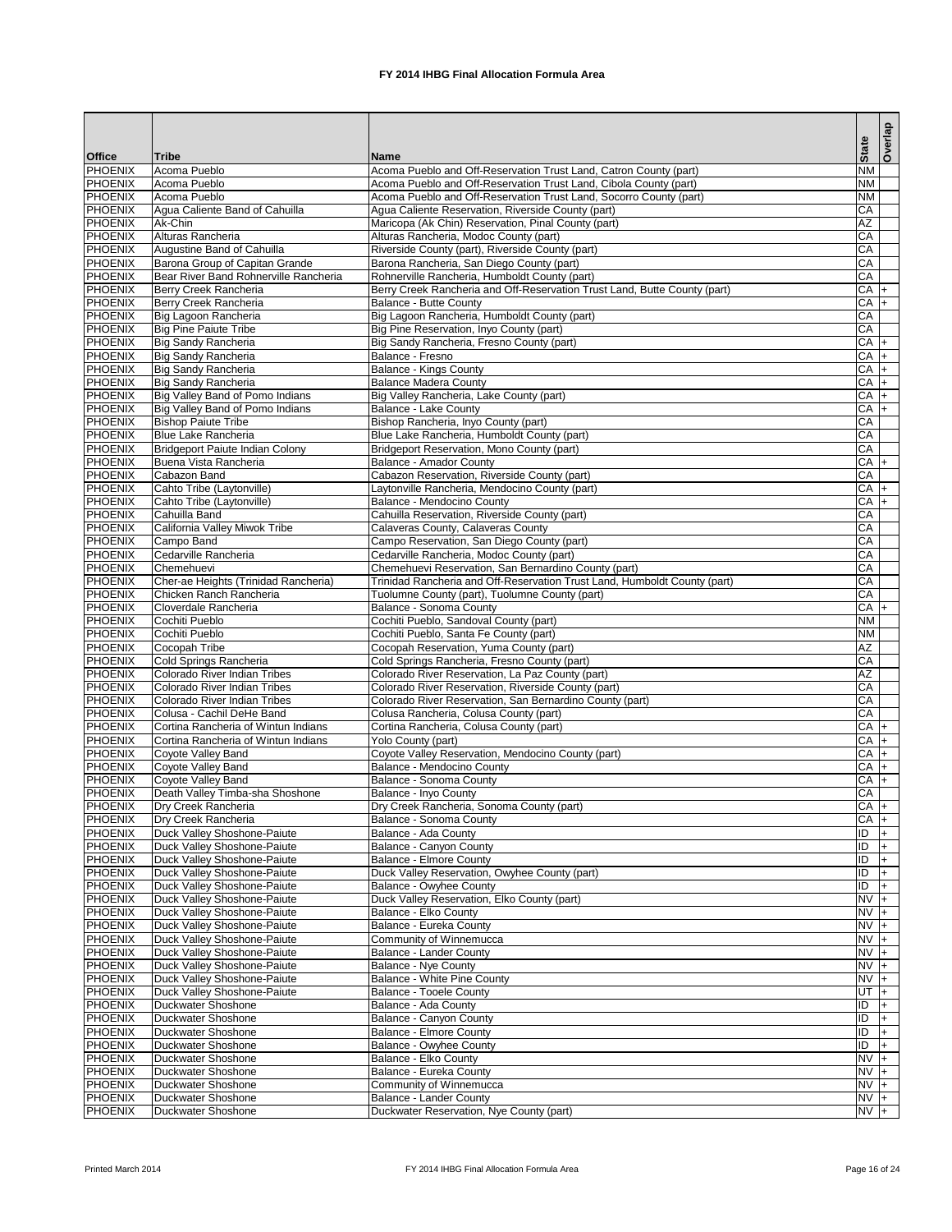|                                  |                                                               |                                                                                                                                   |                              | delayo |
|----------------------------------|---------------------------------------------------------------|-----------------------------------------------------------------------------------------------------------------------------------|------------------------------|--------|
| <b>Office</b>                    | <b>Tribe</b>                                                  | <b>Name</b>                                                                                                                       | <b>State</b>                 |        |
| PHOENIX                          | Acoma Pueblo                                                  | Acoma Pueblo and Off-Reservation Trust Land, Catron County (part)                                                                 | N <sub>M</sub>               |        |
| <b>PHOENIX</b>                   | Acoma Pueblo                                                  | Acoma Pueblo and Off-Reservation Trust Land, Cibola County (part)                                                                 | N <sub>M</sub>               |        |
| <b>PHOENIX</b>                   | Acoma Pueblo                                                  | Acoma Pueblo and Off-Reservation Trust Land, Socorro County (part)                                                                | <b>NM</b>                    |        |
| <b>PHOENIX</b>                   | Agua Caliente Band of Cahuilla                                | Agua Caliente Reservation, Riverside County (part)                                                                                | CA                           |        |
| <b>PHOENIX</b>                   | Ak-Chin                                                       | Maricopa (Ak Chin) Reservation, Pinal County (part)                                                                               | AZ                           |        |
| <b>PHOENIX</b><br><b>PHOENIX</b> | Alturas Rancheria<br>Augustine Band of Cahuilla               | Alturas Rancheria, Modoc County (part)<br>Riverside County (part), Riverside County (part)                                        | CA<br>CA                     |        |
| <b>PHOENIX</b>                   | <b>Barona Group of Capitan Grande</b>                         | Barona Rancheria, San Diego County (part)                                                                                         | CA                           |        |
| <b>PHOENIX</b>                   | Bear River Band Rohnerville Rancheria                         | Rohnerville Rancheria, Humboldt County (part)                                                                                     | CA                           |        |
| <b>PHOENIX</b>                   | Berry Creek Rancheria                                         | Berry Creek Rancheria and Off-Reservation Trust Land, Butte County (part)                                                         | $CA +$                       |        |
| <b>PHOENIX</b>                   | Berry Creek Rancheria                                         | <b>Balance - Butte County</b>                                                                                                     | $CA$ +                       |        |
| PHOENIX                          | Big Lagoon Rancheria                                          | Big Lagoon Rancheria, Humboldt County (part)                                                                                      | CA                           |        |
| <b>PHOENIX</b>                   | <b>Big Pine Paiute Tribe</b>                                  | Big Pine Reservation, Inyo County (part)                                                                                          | CA                           |        |
| <b>PHOENIX</b>                   | <b>Big Sandy Rancheria</b>                                    | Big Sandy Rancheria, Fresno County (part)                                                                                         | $CA +$                       |        |
| <b>PHOENIX</b>                   | <b>Big Sandy Rancheria</b>                                    | Balance - Fresno                                                                                                                  | $CA +$                       |        |
| <b>PHOENIX</b>                   | <b>Big Sandy Rancheria</b>                                    | <b>Balance - Kings County</b>                                                                                                     | $CA$ +                       |        |
| <b>PHOENIX</b><br><b>PHOENIX</b> | <b>Big Sandy Rancheria</b><br>Big Valley Band of Pomo Indians | <b>Balance Madera County</b><br>Big Valley Rancheria, Lake County (part)                                                          | $CA +$<br>CA                 |        |
| <b>PHOENIX</b>                   | Big Valley Band of Pomo Indians                               | <b>Balance - Lake County</b>                                                                                                      | CA                           |        |
| <b>PHOENIX</b>                   | <b>Bishop Paiute Tribe</b>                                    | Bishop Rancheria, Inyo County (part)                                                                                              | CA                           |        |
| <b>PHOENIX</b>                   | <b>Blue Lake Rancheria</b>                                    | Blue Lake Rancheria, Humboldt County (part)                                                                                       | CA                           |        |
| <b>PHOENIX</b>                   | Bridgeport Paiute Indian Colony                               | Bridgeport Reservation, Mono County (part)                                                                                        | CA                           |        |
| <b>PHOENIX</b>                   | Buena Vista Rancheria                                         | <b>Balance - Amador County</b>                                                                                                    | $CA$ $+$                     |        |
| <b>PHOENIX</b>                   | Cabazon Band                                                  | Cabazon Reservation, Riverside County (part)                                                                                      | CA                           |        |
| <b>PHOENIX</b>                   | Cahto Tribe (Laytonville)                                     | Laytonville Rancheria, Mendocino County (part)                                                                                    | $CA +$                       |        |
| <b>PHOENIX</b>                   | Cahto Tribe (Laytonville)                                     | <b>Balance - Mendocino County</b>                                                                                                 | $CA +$                       |        |
| <b>PHOENIX</b>                   | Cahuilla Band                                                 | Cahuilla Reservation, Riverside County (part)                                                                                     | CA                           |        |
| <b>PHOENIX</b>                   | <b>California Valley Miwok Tribe</b>                          | Calaveras County, Calaveras County                                                                                                | CA                           |        |
| PHOENIX                          | Campo Band                                                    | Campo Reservation, San Diego County (part)                                                                                        | CA                           |        |
| <b>PHOENIX</b>                   | Cedarville Rancheria                                          | Cedarville Rancheria, Modoc County (part)                                                                                         | CA                           |        |
| <b>PHOENIX</b><br><b>PHOENIX</b> | Chemehuevi<br>Cher-ae Heights (Trinidad Rancheria)            | Chemehuevi Reservation, San Bernardino County (part)<br>Trinidad Rancheria and Off-Reservation Trust Land, Humboldt County (part) | CA<br>CA                     |        |
| PHOENIX                          | Chicken Ranch Rancheria                                       | Tuolumne County (part), Tuolumne County (part)                                                                                    | CA                           |        |
| <b>PHOENIX</b>                   | Cloverdale Rancheria                                          | Balance - Sonoma County                                                                                                           | $CA +$                       |        |
| <b>PHOENIX</b>                   | Cochiti Pueblo                                                | Cochiti Pueblo, Sandoval County (part)                                                                                            | <b>NM</b>                    |        |
| <b>PHOENIX</b>                   | Cochiti Pueblo                                                | Cochiti Pueblo, Santa Fe County (part)                                                                                            | N <sub>M</sub>               |        |
| PHOENIX                          | Cocopah Tribe                                                 | Cocopah Reservation, Yuma County (part)                                                                                           | AZ                           |        |
| <b>PHOENIX</b>                   | <b>Cold Springs Rancheria</b>                                 | Cold Springs Rancheria, Fresno County (part)                                                                                      | CA                           |        |
| <b>PHOENIX</b>                   | Colorado River Indian Tribes                                  | Colorado River Reservation, La Paz County (part)                                                                                  | AZ                           |        |
| <b>PHOENIX</b>                   | Colorado River Indian Tribes                                  | Colorado River Reservation, Riverside County (part)                                                                               | CA                           |        |
| <b>PHOENIX</b>                   | Colorado River Indian Tribes                                  | Colorado River Reservation, San Bernardino County (part)                                                                          | CA                           |        |
| <b>PHOENIX</b>                   | Colusa - Cachil DeHe Band                                     | Colusa Rancheria, Colusa County (part)                                                                                            | CA                           |        |
| <b>PHOENIX</b>                   | Cortina Rancheria of Wintun Indians                           | Cortina Rancheria, Colusa County (part)                                                                                           | $CA +$                       |        |
| <b>PHOENIX</b><br><b>PHOENIX</b> | Cortina Rancheria of Wintun Indians<br>Coyote Valley Band     | Yolo County (part)<br>Coyote Valley Reservation, Mendocino County (part)                                                          | $CA +$<br>$CA +$             |        |
| <b>PHOENIX</b>                   | Coyote Valley Band                                            | <b>Balance - Mendocino County</b>                                                                                                 | $CA$ +                       |        |
| <b>PHOENIX</b>                   | Coyote Valley Band                                            | <b>Balance - Sonoma County</b>                                                                                                    | $CA +$                       |        |
| <b>PHOENIX</b>                   | Death Valley Timba-sha Shoshone                               | Balance - Inyo County                                                                                                             | CA                           |        |
| <b>PHOENIX</b>                   | Dry Creek Rancheria                                           | Dry Creek Rancheria, Sonoma County (part)                                                                                         | $CA +$                       |        |
| <b>PHOENIX</b>                   | Dry Creek Rancheria                                           | Balance - Sonoma County                                                                                                           | $CA$ +                       |        |
| <b>PHOENIX</b>                   | Duck Valley Shoshone-Paiute                                   | Balance - Ada County                                                                                                              | $\overline{D}$               |        |
| PHOENIX                          | Duck Valley Shoshone-Paiute                                   | Balance - Canyon County                                                                                                           | ID                           |        |
| <b>PHOENIX</b>                   | Duck Valley Shoshone-Paiute                                   | <b>Balance - Elmore County</b>                                                                                                    | $\overline{D}$               |        |
| PHOENIX                          | Duck Valley Shoshone-Paiute                                   | Duck Valley Reservation, Owyhee County (part)                                                                                     | ID                           |        |
| <b>PHOENIX</b>                   | Duck Valley Shoshone-Paiute                                   | <b>Balance - Owyhee County</b>                                                                                                    | $\overline{ID}$              | I+     |
| <b>PHOENIX</b><br><b>PHOENIX</b> | Duck Valley Shoshone-Paiute<br>Duck Valley Shoshone-Paiute    | Duck Valley Reservation, Elko County (part)<br>Balance - Elko County                                                              | $N\overline{V}$ +<br>$NVI +$ |        |
| PHOENIX                          | Duck Valley Shoshone-Paiute                                   | Balance - Eureka County                                                                                                           | $NVI +$                      |        |
| <b>PHOENIX</b>                   | Duck Valley Shoshone-Paiute                                   | Community of Winnemucca                                                                                                           | $NVI +$                      |        |
| <b>PHOENIX</b>                   | Duck Valley Shoshone-Paiute                                   | <b>Balance - Lander County</b>                                                                                                    | $NVI +$                      |        |
| <b>PHOENIX</b>                   | Duck Valley Shoshone-Paiute                                   | <b>Balance - Nye County</b>                                                                                                       | $NVI +$                      |        |
| <b>PHOENIX</b>                   | Duck Valley Shoshone-Paiute                                   | <b>Balance - White Pine County</b>                                                                                                | $NVI +$                      |        |
| <b>PHOENIX</b>                   | Duck Valley Shoshone-Paiute                                   | <b>Balance - Tooele County</b>                                                                                                    | UT $ +$                      |        |
| <b>PHOENIX</b>                   | <b>Duckwater Shoshone</b>                                     | Balance - Ada County                                                                                                              | ID                           | $ + $  |
| <b>PHOENIX</b>                   | <b>Duckwater Shoshone</b>                                     | Balance - Canyon County                                                                                                           | ID                           | I+     |
| <b>PHOENIX</b>                   | Duckwater Shoshone                                            | <b>Balance - Elmore County</b>                                                                                                    | $\overline{D}$               | l+     |
| PHOENIX                          | Duckwater Shoshone                                            | Balance - Owyhee County                                                                                                           | ID                           | I+     |
| <b>PHOENIX</b>                   | Duckwater Shoshone                                            | <b>Balance - Elko County</b>                                                                                                      | $NVI +$                      |        |
| PHOENIX<br>PHOENIX               | Duckwater Shoshone<br>Duckwater Shoshone                      | Balance - Eureka County                                                                                                           | <b>NV</b><br>$NV +$          | $ + $  |
| PHOENIX                          | Duckwater Shoshone                                            | Community of Winnemucca<br>Balance - Lander County                                                                                | $NV +$                       |        |
| <b>PHOENIX</b>                   | <b>Duckwater Shoshone</b>                                     | Duckwater Reservation, Nye County (part)                                                                                          | $NV +$                       |        |
|                                  |                                                               |                                                                                                                                   |                              |        |

Printed March 2014 **FX 2014 IHBG Final Allocation Formula Area** Page 16 of 24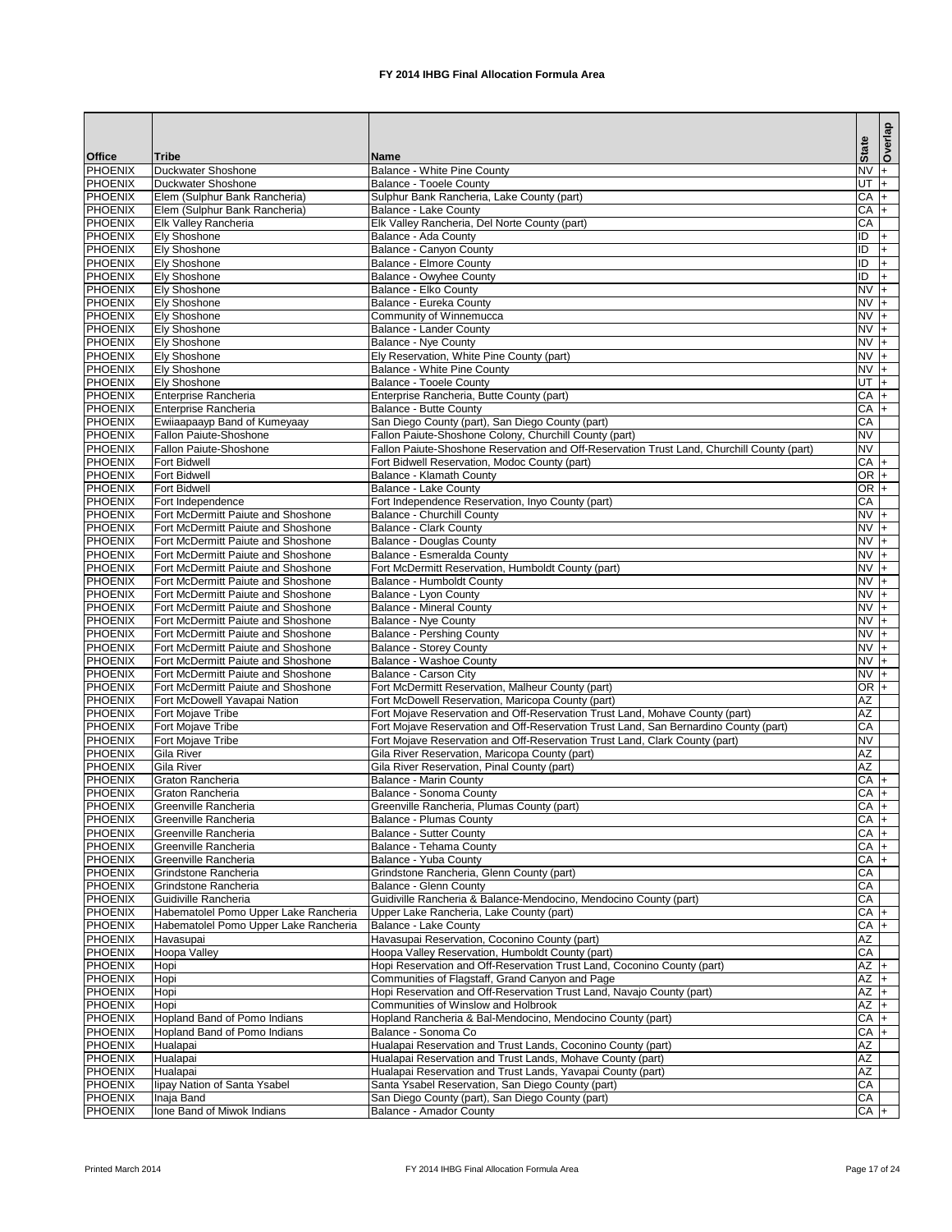|                                  |                                                                          |                                                                                                   |                   | Overlap            |
|----------------------------------|--------------------------------------------------------------------------|---------------------------------------------------------------------------------------------------|-------------------|--------------------|
| <b>Office</b>                    | <b>Tribe</b>                                                             | <b>Name</b>                                                                                       | <b>State</b>      |                    |
| <b>PHOENIX</b>                   | Duckwater Shoshone                                                       | <b>Balance - White Pine County</b>                                                                | <b>NV</b>         | l+                 |
| <b>PHOENIX</b>                   | Duckwater Shoshone                                                       | <b>Balance - Tooele County</b>                                                                    | $\frac{1}{2}$     |                    |
| PHOENIX<br><b>PHOENIX</b>        | Elem (Sulphur Bank Rancheria)<br>Elem (Sulphur Bank Rancheria)           | Sulphur Bank Rancheria, Lake County (part)<br><b>Balance - Lake County</b>                        | CA<br>CA          | l+<br>l+           |
| <b>PHOENIX</b>                   | <b>Elk Valley Rancheria</b>                                              | Elk Valley Rancheria, Del Norte County (part)                                                     | CA                |                    |
| <b>PHOENIX</b>                   | <b>Ely Shoshone</b>                                                      | Balance - Ada County                                                                              | $\overline{ID}$   | l+                 |
| <b>PHOENIX</b>                   | <b>Ely Shoshone</b>                                                      | Balance - Canyon County                                                                           | $\overline{ID}$   | $+$                |
| <b>PHOENIX</b>                   | <b>Ely Shoshone</b>                                                      | <b>Balance - Elmore County</b>                                                                    | ID                | l+                 |
| <b>PHOENIX</b>                   | <b>Ely Shoshone</b>                                                      | <b>Balance - Owyhee County</b>                                                                    | ID                | l+                 |
| <b>PHOENIX</b>                   | <b>Ely Shoshone</b>                                                      | Balance - Elko County                                                                             | $NVI +$           |                    |
| <b>PHOENIX</b>                   | <b>Ely Shoshone</b>                                                      | <b>Balance - Eureka County</b>                                                                    | $NVI +$           |                    |
| <b>PHOENIX</b>                   | <b>Ely Shoshone</b>                                                      | Community of Winnemucca                                                                           | $NV +$            |                    |
| <b>PHOENIX</b><br><b>PHOENIX</b> | <b>Ely Shoshone</b><br><b>Ely Shoshone</b>                               | <b>Balance - Lander County</b><br>Balance - Nye County                                            | $NV +$<br>$NV +$  |                    |
| <b>PHOENIX</b>                   | <b>Ely Shoshone</b>                                                      | Ely Reservation, White Pine County (part)                                                         | $NVI +$           |                    |
| PHOENIX                          | <b>Ely Shoshone</b>                                                      | <b>Balance - White Pine County</b>                                                                | $NVI +$           |                    |
| <b>PHOENIX</b>                   | <b>Ely Shoshone</b>                                                      | <b>Balance - Tooele County</b>                                                                    | UT                | $\overline{+}$     |
| <b>PHOENIX</b>                   | Enterprise Rancheria                                                     | Enterprise Rancheria, Butte County (part)                                                         | $CA +$            |                    |
| <b>PHOENIX</b>                   | <b>Enterprise Rancheria</b>                                              | <b>Balance - Butte County</b>                                                                     | CA                | l+                 |
| <b>PHOENIX</b>                   | Ewiiaapaayp Band of Kumeyaay                                             | San Diego County (part), San Diego County (part)                                                  | CA                |                    |
| <b>PHOENIX</b>                   | <b>Fallon Paiute-Shoshone</b>                                            | Fallon Paiute-Shoshone Colony, Churchill County (part)                                            | <b>NV</b>         |                    |
| <b>PHOENIX</b>                   | Fallon Paiute-Shoshone                                                   | Fallon Paiute-Shoshone Reservation and Off-Reservation Trust Land, Churchill County (part)        | <b>NV</b>         |                    |
| <b>PHOENIX</b>                   | <b>Fort Bidwell</b>                                                      | Fort Bidwell Reservation, Modoc County (part)                                                     | CA                | l+                 |
| PHOENIX                          | <b>Fort Bidwell</b>                                                      | <b>Balance - Klamath County</b>                                                                   | $OR +$            |                    |
| <b>PHOENIX</b>                   | <b>Fort Bidwell</b>                                                      | <b>Balance - Lake County</b>                                                                      | OR $+$            |                    |
| <b>PHOENIX</b><br><b>PHOENIX</b> | Fort Independence<br><b>Fort McDermitt Paiute and Shoshone</b>           | Fort Independence Reservation, Inyo County (part)                                                 | CA<br>$NVI +$     |                    |
| <b>PHOENIX</b>                   | Fort McDermitt Paiute and Shoshone                                       | <b>Balance - Churchill County</b><br><b>Balance - Clark County</b>                                | $NVI +$           |                    |
| <b>PHOENIX</b>                   | Fort McDermitt Paiute and Shoshone                                       | <b>Balance - Douglas County</b>                                                                   | $NVI +$           |                    |
| <b>PHOENIX</b>                   | <b>Fort McDermitt Paiute and Shoshone</b>                                | Balance - Esmeralda County                                                                        | $NVI +$           |                    |
| <b>PHOENIX</b>                   | Fort McDermitt Paiute and Shoshone                                       | Fort McDermitt Reservation, Humboldt County (part)                                                | $NVI +$           |                    |
| <b>PHOENIX</b>                   | Fort McDermitt Paiute and Shoshone                                       | <b>Balance - Humboldt County</b>                                                                  | $NV +$            |                    |
| PHOENIX                          | Fort McDermitt Paiute and Shoshone                                       | Balance - Lyon County                                                                             | $NV +$            |                    |
| <b>PHOENIX</b>                   | <b>Fort McDermitt Paiute and Shoshone</b>                                | <b>Balance - Mineral County</b>                                                                   | $NVI +$           |                    |
| <b>PHOENIX</b>                   | Fort McDermitt Paiute and Shoshone                                       | <b>Balance - Nye County</b>                                                                       | $NVI +$           |                    |
| <b>PHOENIX</b>                   | Fort McDermitt Paiute and Shoshone                                       | <b>Balance - Pershing County</b>                                                                  | $NVI +$           |                    |
| <b>PHOENIX</b><br><b>PHOENIX</b> | Fort McDermitt Paiute and Shoshone<br>Fort McDermitt Paiute and Shoshone | <b>Balance - Storey County</b><br><b>Balance - Washoe County</b>                                  | $NVI +$<br>$NV +$ |                    |
| <b>PHOENIX</b>                   | Fort McDermitt Paiute and Shoshone                                       | Balance - Carson City                                                                             | $NV +$            |                    |
| <b>PHOENIX</b>                   | Fort McDermitt Paiute and Shoshone                                       | Fort McDermitt Reservation, Malheur County (part)                                                 | $OR +$            |                    |
| <b>PHOENIX</b>                   | Fort McDowell Yavapai Nation                                             | Fort McDowell Reservation, Maricopa County (part)                                                 | $\overline{AZ}$   |                    |
| <b>PHOENIX</b>                   | Fort Mojave Tribe                                                        | Fort Mojave Reservation and Off-Reservation Trust Land, Mohave County (part)                      | $\overline{AZ}$   |                    |
| <b>PHOENIX</b>                   | Fort Mojave Tribe                                                        | Fort Mojave Reservation and Off-Reservation Trust Land, San Bernardino County (part)              | CA                |                    |
| <b>PHOENIX</b>                   | Fort Mojave Tribe                                                        | Fort Mojave Reservation and Off-Reservation Trust Land, Clark County (part)                       | <b>NV</b>         |                    |
| <b>PHOENIX</b>                   | Gila River                                                               | Gila River Reservation, Maricopa County (part)                                                    | AZ                |                    |
| <b>PHOENIX</b>                   | Gila River                                                               | Gila River Reservation, Pinal County (part)                                                       | AZ                |                    |
| <b>PHOENIX</b>                   | Graton Rancheria                                                         | <b>Balance - Marin County</b>                                                                     | $CA +$            |                    |
| <b>PHOENIX</b>                   | Graton Rancheria                                                         | Balance - Sonoma County                                                                           | CA                | I+                 |
| <b>PHOENIX</b><br><b>PHOENIX</b> | Greenville Rancheria<br>Greenville Rancheria                             | Greenville Rancheria, Plumas County (part)<br><b>Balance - Plumas County</b>                      | CA<br>CA          | $\mathsf{I}$<br>I+ |
| <b>PHOENIX</b>                   | Greenville Rancheria                                                     | <b>Balance - Sutter County</b>                                                                    | $CA +$            |                    |
| <b>PHOENIX</b>                   | Greenville Rancheria                                                     | Balance - Tehama County                                                                           | CA                | l+                 |
| <b>PHOENIX</b>                   | Greenville Rancheria                                                     | Balance - Yuba County                                                                             | CA                |                    |
| <b>PHOENIX</b>                   | Grindstone Rancheria                                                     | Grindstone Rancheria, Glenn County (part)                                                         | CA                |                    |
| <b>PHOENIX</b>                   | Grindstone Rancheria                                                     | Balance - Glenn County                                                                            | CA                |                    |
| <b>PHOENIX</b>                   | Guidiville Rancheria                                                     | Guidiville Rancheria & Balance-Mendocino, Mendocino County (part)                                 | CA                |                    |
| <b>PHOENIX</b>                   | Habematolel Pomo Upper Lake Rancheria                                    | Upper Lake Rancheria, Lake County (part)                                                          | CA                | l+                 |
| <b>PHOENIX</b>                   | Habematolel Pomo Upper Lake Rancheria                                    | Balance - Lake County                                                                             | CA                |                    |
| <b>PHOENIX</b><br><b>PHOENIX</b> | Havasupai<br><b>Hoopa Valley</b>                                         | Havasupai Reservation, Coconino County (part)<br>Hoopa Valley Reservation, Humboldt County (part) | AZ<br>CA          |                    |
| <b>PHOENIX</b>                   | Hopi                                                                     | Hopi Reservation and Off-Reservation Trust Land, Coconino County (part)                           | $AZ +$            |                    |
| <b>PHOENIX</b>                   | Hopi                                                                     | Communities of Flagstaff, Grand Canyon and Page                                                   | $AZ +$            |                    |
| PHOENIX                          | Hopi                                                                     | Hopi Reservation and Off-Reservation Trust Land, Navajo County (part)                             | $AZ$ +            |                    |
| <b>PHOENIX</b>                   | Hopi                                                                     | <b>Communities of Winslow and Holbrook</b>                                                        | $AZ +$            |                    |
| <b>PHOENIX</b>                   | <b>Hopland Band of Pomo Indians</b>                                      | Hopland Rancheria & Bal-Mendocino, Mendocino County (part)                                        | $\overline{CA}$   | I+                 |
| <b>PHOENIX</b>                   | <b>Hopland Band of Pomo Indians</b>                                      | Balance - Sonoma Co                                                                               | CA                | I+                 |
| <b>PHOENIX</b>                   | Hualapai                                                                 | Hualapai Reservation and Trust Lands, Coconino County (part)                                      | $\overline{AZ}$   |                    |
| <b>PHOENIX</b>                   | Hualapai                                                                 | Hualapai Reservation and Trust Lands, Mohave County (part)                                        | <b>AZ</b>         |                    |
| <b>PHOENIX</b>                   | Hualapai                                                                 | Hualapai Reservation and Trust Lands, Yavapai County (part)                                       | $\overline{AZ}$   |                    |
| <b>PHOENIX</b>                   | lipay Nation of Santa Ysabel                                             | Santa Ysabel Reservation, San Diego County (part)                                                 | CA                |                    |
| <b>PHOENIX</b><br><b>PHOENIX</b> | Inaja Band<br>Ione Band of Miwok Indians                                 | San Diego County (part), San Diego County (part)<br><b>Balance - Amador County</b>                | CA<br>$CA +$      |                    |
|                                  |                                                                          |                                                                                                   |                   |                    |

Printed March 2014 **FX 2014 IHBG Final Allocation Formula Area** Page 17 of 24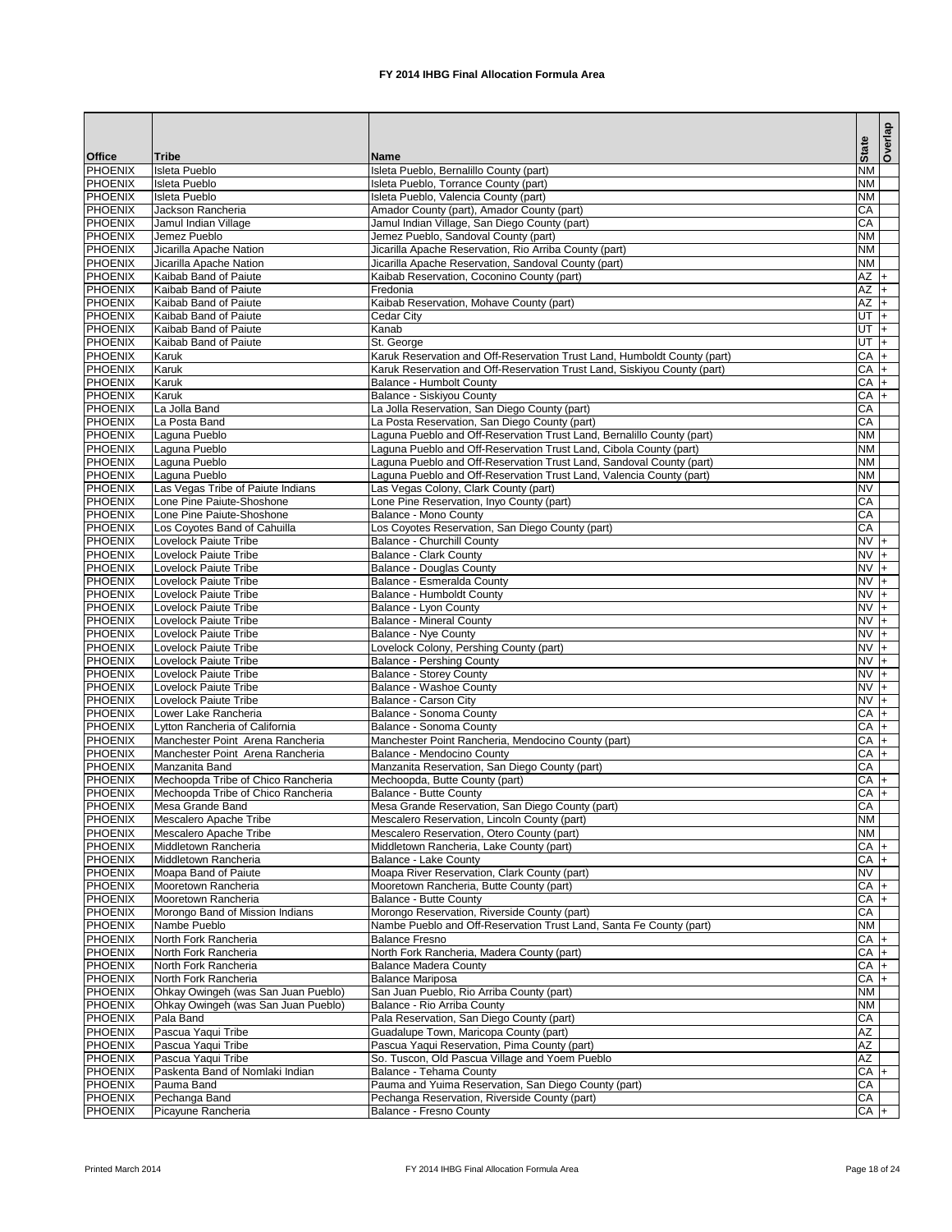|                                  |                                                        |                                                                                                                                            | <b>State</b>           | Overlap  |
|----------------------------------|--------------------------------------------------------|--------------------------------------------------------------------------------------------------------------------------------------------|------------------------|----------|
| <b>Office</b>                    | <b>Tribe</b>                                           | Name                                                                                                                                       |                        |          |
| <b>PHOENIX</b>                   | <b>Isleta Pueblo</b>                                   | Isleta Pueblo, Bernalillo County (part)                                                                                                    | <b>NM</b>              |          |
| <b>PHOENIX</b>                   | <b>Isleta Pueblo</b>                                   | Isleta Pueblo, Torrance County (part)                                                                                                      | <b>NM</b><br><b>NM</b> |          |
| <b>PHOENIX</b><br><b>PHOENIX</b> | <b>Isleta Pueblo</b><br>Jackson Rancheria              | Isleta Pueblo, Valencia County (part)<br>Amador County (part), Amador County (part)                                                        | CA                     |          |
| <b>PHOENIX</b>                   | Jamul Indian Village                                   | Jamul Indian Village, San Diego County (part)                                                                                              | CA                     |          |
| <b>PHOENIX</b>                   | Jemez Pueblo                                           | Jemez Pueblo, Sandoval County (part)                                                                                                       | <b>NM</b>              |          |
| <b>PHOENIX</b>                   | Jicarilla Apache Nation                                | Jicarilla Apache Reservation, Rio Arriba County (part)                                                                                     | <b>NM</b>              |          |
| <b>PHOENIX</b>                   | Jicarilla Apache Nation                                | Jicarilla Apache Reservation, Sandoval County (part)                                                                                       | <b>NM</b>              |          |
| <b>PHOENIX</b>                   | Kaibab Band of Paiute                                  | Kaibab Reservation, Coconino County (part)                                                                                                 | $AZ +$                 |          |
| <b>PHOENIX</b>                   | Kaibab Band of Paiute                                  | Fredonia                                                                                                                                   | $AZ +$                 |          |
| <b>PHOENIX</b>                   | Kaibab Band of Paiute                                  | Kaibab Reservation, Mohave County (part)                                                                                                   | $AZ +$                 |          |
| <b>PHOENIX</b><br><b>PHOENIX</b> | Kaibab Band of Paiute<br>Kaibab Band of Paiute         | <b>Cedar City</b><br>Kanab                                                                                                                 | $-1$ TU<br>UT $\mid$   |          |
| <b>PHOENIX</b>                   | Kaibab Band of Paiute                                  | St. George                                                                                                                                 | UT                     | $ + $    |
| <b>PHOENIX</b>                   | Karuk                                                  | Karuk Reservation and Off-Reservation Trust Land, Humboldt County (part)                                                                   | CA                     | $ + $    |
| <b>PHOENIX</b>                   | Karuk                                                  | Karuk Reservation and Off-Reservation Trust Land, Siskiyou County (part)                                                                   | CA                     | $ + $    |
| <b>PHOENIX</b>                   | Karuk                                                  | <b>Balance - Humbolt County</b>                                                                                                            | $CA +$                 |          |
| <b>PHOENIX</b>                   | Karuk                                                  | Balance - Siskiyou County                                                                                                                  | $CA +$                 |          |
| <b>PHOENIX</b>                   | La Jolla Band                                          | La Jolla Reservation, San Diego County (part)                                                                                              | CA                     |          |
| <b>PHOENIX</b>                   | La Posta Band                                          | La Posta Reservation, San Diego County (part)                                                                                              | CA                     |          |
| <b>PHOENIX</b>                   | Laguna Pueblo                                          | Laguna Pueblo and Off-Reservation Trust Land, Bernalillo County (part)                                                                     | <b>NM</b>              |          |
| <b>PHOENIX</b><br><b>PHOENIX</b> | Laguna Pueblo                                          | Laguna Pueblo and Off-Reservation Trust Land, Cibola County (part)<br>Laguna Pueblo and Off-Reservation Trust Land, Sandoval County (part) | <b>NM</b><br><b>NM</b> |          |
| <b>PHOENIX</b>                   | Laguna Pueblo<br>Laguna Pueblo                         | Laguna Pueblo and Off-Reservation Trust Land, Valencia County (part)                                                                       | <b>NM</b>              |          |
| <b>PHOENIX</b>                   | Las Vegas Tribe of Paiute Indians                      | Las Vegas Colony, Clark County (part)                                                                                                      | <b>NV</b>              |          |
| <b>PHOENIX</b>                   | Lone Pine Paiute-Shoshone                              | Lone Pine Reservation, Inyo County (part)                                                                                                  | CA                     |          |
| <b>PHOENIX</b>                   | Lone Pine Paiute-Shoshone                              | <b>Balance - Mono County</b>                                                                                                               | CA                     |          |
| <b>PHOENIX</b>                   | Los Coyotes Band of Cahuilla                           | Los Coyotes Reservation, San Diego County (part)                                                                                           | CA                     |          |
| <b>PHOENIX</b>                   | Lovelock Paiute Tribe                                  | <b>Balance - Churchill County</b>                                                                                                          | $NVI +$                |          |
| <b>PHOENIX</b>                   | Lovelock Paiute Tribe                                  | <b>Balance - Clark County</b>                                                                                                              | $NVI +$                |          |
| <b>PHOENIX</b>                   | Lovelock Paiute Tribe                                  | Balance - Douglas County                                                                                                                   | $NV +$                 |          |
| <b>PHOENIX</b>                   | Lovelock Paiute Tribe                                  | Balance - Esmeralda County                                                                                                                 | $NV +$<br>$NV +$       |          |
| PHOENIX<br><b>PHOENIX</b>        | Lovelock Paiute Tribe<br>Lovelock Paiute Tribe         | Balance - Humboldt County<br>Balance - Lyon County                                                                                         | $NVI +$                |          |
| <b>PHOENIX</b>                   | Lovelock Paiute Tribe                                  | <b>Balance - Mineral County</b>                                                                                                            | $NV +$                 |          |
| <b>PHOENIX</b>                   | Lovelock Paiute Tribe                                  | <b>Balance - Nye County</b>                                                                                                                | $NVI +$                |          |
| <b>PHOENIX</b>                   | Lovelock Paiute Tribe                                  | Lovelock Colony, Pershing County (part)                                                                                                    | $NV +$                 |          |
| <b>PHOENIX</b>                   | Lovelock Paiute Tribe                                  | <b>Balance - Pershing County</b>                                                                                                           | $NV +$                 |          |
| <b>PHOENIX</b>                   | Lovelock Paiute Tribe                                  | <b>Balance - Storey County</b>                                                                                                             | $NVI +$                |          |
| <b>PHOENIX</b>                   | Lovelock Paiute Tribe                                  | <b>Balance - Washoe County</b>                                                                                                             | $NV +$                 |          |
| <b>PHOENIX</b>                   | Lovelock Paiute Tribe                                  | <b>Balance - Carson City</b>                                                                                                               | <b>NV</b>              | I+       |
| <b>PHOENIX</b><br><b>PHOENIX</b> | Lower Lake Rancheria<br>Lytton Rancheria of California | <b>Balance - Sonoma County</b><br><b>Balance - Sonoma County</b>                                                                           | CA<br>CA               | l+<br>l+ |
| <b>PHOENIX</b>                   | Manchester Point Arena Rancheria                       | Manchester Point Rancheria, Mendocino County (part)                                                                                        | CA                     | $ + $    |
| <b>PHOENIX</b>                   | Manchester Point Arena Rancheria                       | <b>Balance - Mendocino County</b>                                                                                                          | $CA +$                 |          |
| <b>PHOENIX</b>                   | Manzanita Band                                         | Manzanita Reservation, San Diego County (part)                                                                                             | CA                     |          |
| <b>PHOENIX</b>                   | Mechoopda Tribe of Chico Rancheria                     | Mechoopda, Butte County (part)                                                                                                             | $CA +$                 |          |
| <b>PHOENIX</b>                   | Mechoopda Tribe of Chico Rancheria                     | <b>Balance - Butte County</b>                                                                                                              | CA                     | I+.      |
| <b>PHOENIX</b>                   | Mesa Grande Band                                       | Mesa Grande Reservation, San Diego County (part)                                                                                           | CA                     |          |
| PHOENIX                          | Mescalero Apache Tribe                                 | Mescalero Reservation, Lincoln County (part)                                                                                               | <b>NM</b>              |          |
| <b>PHOENIX</b><br><b>PHOENIX</b> | Mescalero Apache Tribe<br>Middletown Rancheria         | Mescalero Reservation, Otero County (part)                                                                                                 | <b>NM</b><br>$CA +$    |          |
| <b>PHOENIX</b>                   | Middletown Rancheria                                   | Middletown Rancheria, Lake County (part)<br><b>Balance - Lake County</b>                                                                   | CA                     | I÷.      |
| <b>PHOENIX</b>                   | Moapa Band of Paiute                                   | Moapa River Reservation, Clark County (part)                                                                                               | <b>NV</b>              |          |
| <b>PHOENIX</b>                   | Mooretown Rancheria                                    | Mooretown Rancheria, Butte County (part)                                                                                                   | CA                     |          |
| <b>PHOENIX</b>                   | Mooretown Rancheria                                    | <b>Balance - Butte County</b>                                                                                                              | $\overline{CA}$        |          |
| <b>PHOENIX</b>                   | Morongo Band of Mission Indians                        | Morongo Reservation, Riverside County (part)                                                                                               | CA                     |          |
| <b>PHOENIX</b>                   | Nambe Pueblo                                           | Nambe Pueblo and Off-Reservation Trust Land, Santa Fe County (part)                                                                        | <b>NM</b>              |          |
| <b>PHOENIX</b>                   | North Fork Rancheria                                   | <b>Balance Fresno</b>                                                                                                                      | $CA +$                 |          |
| <b>PHOENIX</b>                   | North Fork Rancheria                                   | North Fork Rancheria, Madera County (part)                                                                                                 | CA                     | I+       |
| <b>PHOENIX</b><br><b>PHOENIX</b> | North Fork Rancheria<br>North Fork Rancheria           | <b>Balance Madera County</b><br><b>Balance Mariposa</b>                                                                                    | $CA +$<br>CA           |          |
| <b>PHOENIX</b>                   | Ohkay Owingeh (was San Juan Pueblo)                    | San Juan Pueblo, Rio Arriba County (part)                                                                                                  | <b>NM</b>              | I+       |
| <b>PHOENIX</b>                   | Ohkay Owingeh (was San Juan Pueblo)                    | Balance - Rio Arriba County                                                                                                                | <b>NM</b>              |          |
| PHOENIX                          | Pala Band                                              | Pala Reservation, San Diego County (part)                                                                                                  | CA                     |          |
| <b>PHOENIX</b>                   | Pascua Yaqui Tribe                                     | Guadalupe Town, Maricopa County (part)                                                                                                     | AZ                     |          |
| <b>PHOENIX</b>                   | Pascua Yaqui Tribe                                     | Pascua Yaqui Reservation, Pima County (part)                                                                                               | $\overline{AZ}$        |          |
| <b>PHOENIX</b>                   | Pascua Yaqui Tribe                                     | So. Tuscon, Old Pascua Village and Yoem Pueblo                                                                                             | <b>AZ</b>              |          |
| <b>PHOENIX</b>                   | Paskenta Band of Nomlaki Indian                        | Balance - Tehama County                                                                                                                    | CA                     | l+       |
| <b>PHOENIX</b>                   | Pauma Band                                             | Pauma and Yuima Reservation, San Diego County (part)                                                                                       | CA                     |          |
| PHOENIX                          | Pechanga Band                                          | Pechanga Reservation, Riverside County (part)                                                                                              | CA                     |          |
| <b>PHOENIX</b>                   | Picayune Rancheria                                     | <b>Balance - Fresno County</b>                                                                                                             | $CA +$                 |          |

Printed March 2014 **FX 2014 IHBG Final Allocation Formula Area** Page 18 of 24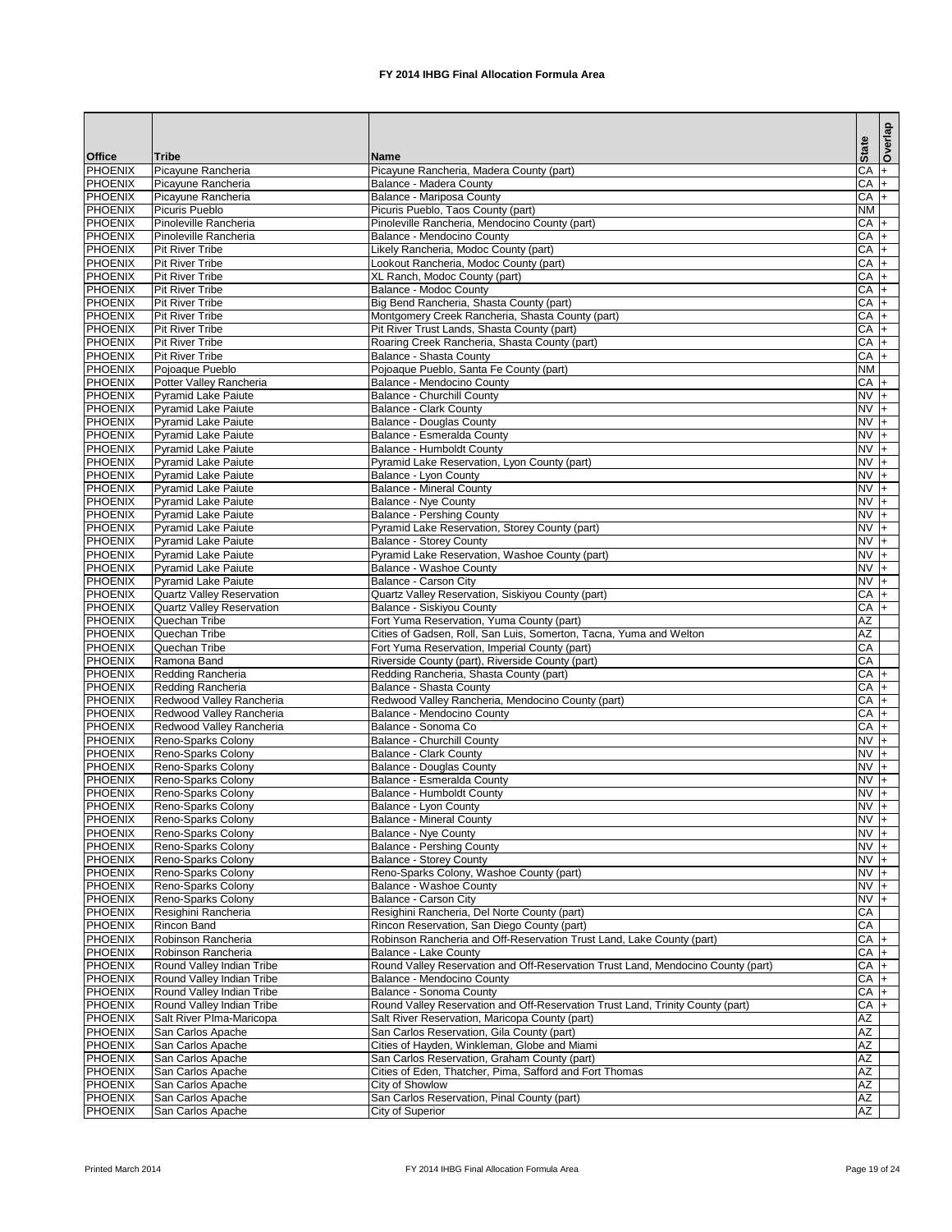|                                  |                                                          |                                                                                                |                     | Overlap |
|----------------------------------|----------------------------------------------------------|------------------------------------------------------------------------------------------------|---------------------|---------|
| <b>Office</b>                    | <b>Tribe</b>                                             | Name                                                                                           | <b>State</b>        |         |
| <b>PHOENIX</b>                   | Picayune Rancheria                                       | Picayune Rancheria, Madera County (part)                                                       | CA                  | l+      |
| <b>PHOENIX</b>                   | Picayune Rancheria                                       | <b>Balance - Madera County</b>                                                                 | $CA +$              |         |
| PHOENIX<br><b>PHOENIX</b>        | Picayune Rancheria<br><b>Picuris Pueblo</b>              | <b>Balance - Mariposa County</b><br>Picuris Pueblo, Taos County (part)                         | $CA$ +<br><b>NM</b> |         |
| <b>PHOENIX</b>                   | Pinoleville Rancheria                                    | Pinoleville Rancheria, Mendocino County (part)                                                 | $CA +$              |         |
| <b>PHOENIX</b>                   | Pinoleville Rancheria                                    | <b>Balance - Mendocino County</b>                                                              | CA                  | l+      |
| <b>PHOENIX</b>                   | <b>Pit River Tribe</b>                                   | Likely Rancheria, Modoc County (part)                                                          | CA                  | l+      |
| <b>PHOENIX</b>                   | <b>Pit River Tribe</b>                                   | Lookout Rancheria, Modoc County (part)                                                         | CA                  | I+      |
| <b>PHOENIX</b>                   | <b>Pit River Tribe</b>                                   | XL Ranch, Modoc County (part)                                                                  | $CA +$              |         |
| <b>PHOENIX</b>                   | <b>Pit River Tribe</b>                                   | <b>Balance - Modoc County</b>                                                                  | $CA$ +              |         |
| <b>PHOENIX</b>                   | <b>Pit River Tribe</b>                                   | Big Bend Rancheria, Shasta County (part)                                                       | $CA$ +              |         |
| <b>PHOENIX</b>                   | <b>Pit River Tribe</b>                                   | Montgomery Creek Rancheria, Shasta County (part)                                               | $CA$ +              |         |
| <b>PHOENIX</b>                   | <b>Pit River Tribe</b>                                   | Pit River Trust Lands, Shasta County (part)                                                    | $CA$ +              |         |
| <b>PHOENIX</b>                   | <b>Pit River Tribe</b>                                   | Roaring Creek Rancheria, Shasta County (part)                                                  | $CA +$              |         |
| <b>PHOENIX</b><br><b>PHOENIX</b> | <b>Pit River Tribe</b>                                   | Balance - Shasta County                                                                        | $CA +$<br><b>NM</b> |         |
| <b>PHOENIX</b>                   | Pojoaque Pueblo<br>Potter Valley Rancheria               | Pojoaque Pueblo, Santa Fe County (part)<br>Balance - Mendocino County                          | $CA +$              |         |
| <b>PHOENIX</b>                   | <b>Pyramid Lake Paiute</b>                               | <b>Balance - Churchill County</b>                                                              | $NV +$              |         |
| <b>PHOENIX</b>                   | <b>Pyramid Lake Paiute</b>                               | <b>Balance - Clark County</b>                                                                  | $NV +$              |         |
| <b>PHOENIX</b>                   | <b>Pyramid Lake Paiute</b>                               | <b>Balance - Douglas County</b>                                                                | $NV +$              |         |
| <b>PHOENIX</b>                   | <b>Pyramid Lake Paiute</b>                               | Balance - Esmeralda County                                                                     | $NV +$              |         |
| <b>PHOENIX</b>                   | <b>Pyramid Lake Paiute</b>                               | <b>Balance - Humboldt County</b>                                                               | $NV +$              |         |
| <b>PHOENIX</b>                   | <b>Pyramid Lake Paiute</b>                               | Pyramid Lake Reservation, Lyon County (part)                                                   | $NVI +$             |         |
| <b>PHOENIX</b>                   | Pyramid Lake Paiute                                      | Balance - Lyon County                                                                          | $NV +$              |         |
| <b>PHOENIX</b>                   | <b>Pyramid Lake Paiute</b>                               | <b>Balance - Mineral County</b>                                                                | $NVI +$             |         |
| <b>PHOENIX</b>                   | <b>Pyramid Lake Paiute</b>                               | <b>Balance - Nye County</b>                                                                    | $NVI +$             |         |
| <b>PHOENIX</b>                   | <b>Pyramid Lake Paiute</b>                               | <b>Balance - Pershing County</b>                                                               | $NVI +$             |         |
| <b>PHOENIX</b>                   | <b>Pyramid Lake Paiute</b>                               | Pyramid Lake Reservation, Storey County (part)                                                 | $NVI +$             |         |
| PHOENIX                          | <b>Pyramid Lake Paiute</b>                               | <b>Balance - Storey County</b>                                                                 | $NV +$              |         |
| <b>PHOENIX</b>                   | <b>Pyramid Lake Paiute</b>                               | Pyramid Lake Reservation, Washoe County (part)<br><b>Balance - Washoe County</b>               | $NVI +$             |         |
| <b>PHOENIX</b><br><b>PHOENIX</b> | <b>Pyramid Lake Paiute</b><br><b>Pyramid Lake Paiute</b> | <b>Balance - Carson City</b>                                                                   | $NVI +$<br>$NVI +$  |         |
| PHOENIX                          | <b>Quartz Valley Reservation</b>                         | Quartz Valley Reservation, Siskiyou County (part)                                              | $CA$ +              |         |
| <b>PHOENIX</b>                   | <b>Quartz Valley Reservation</b>                         | Balance - Siskiyou County                                                                      | $CA +$              |         |
| <b>PHOENIX</b>                   | Quechan Tribe                                            | Fort Yuma Reservation, Yuma County (part)                                                      | AZ                  |         |
| <b>PHOENIX</b>                   | Quechan Tribe                                            | Cities of Gadsen, Roll, San Luis, Somerton, Tacna, Yuma and Welton                             | <b>AZ</b>           |         |
| <b>PHOENIX</b>                   | Quechan Tribe                                            | Fort Yuma Reservation, Imperial County (part)                                                  | CA                  |         |
| <b>PHOENIX</b>                   | Ramona Band                                              | Riverside County (part), Riverside County (part)                                               | CA                  |         |
| <b>PHOENIX</b>                   | Redding Rancheria                                        | Redding Rancheria, Shasta County (part)                                                        | $CA +$              |         |
| <b>PHOENIX</b>                   | <b>Redding Rancheria</b>                                 | Balance - Shasta County                                                                        | CA                  | l+      |
| <b>PHOENIX</b>                   | Redwood Valley Rancheria                                 | Redwood Valley Rancheria, Mendocino County (part)                                              | CA                  | l+      |
| <b>PHOENIX</b>                   | Redwood Valley Rancheria                                 | Balance - Mendocino County                                                                     | CA                  | l+.     |
| <b>PHOENIX</b>                   | Redwood Valley Rancheria                                 | Balance - Sonoma Co                                                                            | $CA +$              |         |
| <b>PHOENIX</b>                   | Reno-Sparks Colony                                       | <b>Balance - Churchill County</b>                                                              | $NV +$              |         |
| <b>PHOENIX</b><br><b>PHOENIX</b> | Reno-Sparks Colony<br>Reno-Sparks Colony                 | <b>Balance - Clark County</b><br><b>Balance - Douglas County</b>                               | $NV +$<br>$NV +$    |         |
| <b>PHOENIX</b>                   | Reno-Sparks Colony                                       | Balance - Esmeralda County                                                                     | $NV +$              |         |
| <b>PHOENIX</b>                   | Reno-Sparks Colony                                       | Balance - Humboldt County                                                                      | $NV +$              |         |
| <b>PHOENIX</b>                   | Reno-Sparks Colony                                       | Balance - Lyon County                                                                          | $NVI +$             |         |
| <b>PHOENIX</b>                   | Reno-Sparks Colony                                       | <b>Balance - Mineral County</b>                                                                | $NV +$              |         |
| <b>PHOENIX</b>                   | Reno-Sparks Colony                                       | Balance - Nye County                                                                           | $NV +$              |         |
| <b>PHOENIX</b>                   | Reno-Sparks Colony                                       | <b>Balance - Pershing County</b>                                                               | $NV +$              |         |
| <b>PHOENIX</b>                   | Reno-Sparks Colony                                       | <b>Balance - Storey County</b>                                                                 | $NVI +$             |         |
| <b>PHOENIX</b>                   | Reno-Sparks Colony                                       | Reno-Sparks Colony, Washoe County (part)                                                       | $NVI +$             |         |
| <b>PHOENIX</b>                   | Reno-Sparks Colony                                       | <b>Balance - Washoe County</b>                                                                 | $NV +$              |         |
| <b>PHOENIX</b>                   | Reno-Sparks Colony                                       | <b>Balance - Carson City</b>                                                                   | $NVI +$             |         |
| <b>PHOENIX</b>                   | Resighini Rancheria                                      | Resighini Rancheria, Del Norte County (part)                                                   | CA                  |         |
| PHOENIX                          | <b>Rincon Band</b>                                       | Rincon Reservation, San Diego County (part)                                                    | CA                  |         |
| <b>PHOENIX</b><br><b>PHOENIX</b> | Robinson Rancheria<br>Robinson Rancheria                 | Robinson Rancheria and Off-Reservation Trust Land, Lake County (part)<br>Balance - Lake County | $CA +$<br>$CA +$    |         |
| <b>PHOENIX</b>                   | Round Valley Indian Tribe                                | Round Valley Reservation and Off-Reservation Trust Land, Mendocino County (part)               | $CA +$              |         |
| <b>PHOENIX</b>                   | Round Valley Indian Tribe                                | Balance - Mendocino County                                                                     | $CA +$              |         |
| PHOENIX                          | Round Valley Indian Tribe                                | Balance - Sonoma County                                                                        | $CA$ +              |         |
| <b>PHOENIX</b>                   | Round Valley Indian Tribe                                | Round Valley Reservation and Off-Reservation Trust Land, Trinity County (part)                 | $CA +$              |         |
| <b>PHOENIX</b>                   | Salt River Plma-Maricopa                                 | Salt River Reservation, Maricopa County (part)                                                 | <b>AZ</b>           |         |
| <b>PHOENIX</b>                   | San Carlos Apache                                        | San Carlos Reservation, Gila County (part)                                                     | <b>AZ</b>           |         |
| PHOENIX                          | San Carlos Apache                                        | Cities of Hayden, Winkleman, Globe and Miami                                                   | <b>AZ</b>           |         |
| <b>PHOENIX</b>                   | San Carlos Apache                                        | San Carlos Reservation, Graham County (part)                                                   | <b>AZ</b>           |         |
| PHOENIX                          | San Carlos Apache                                        | Cities of Eden, Thatcher, Pima, Safford and Fort Thomas                                        | <b>AZ</b>           |         |
| <b>PHOENIX</b>                   | San Carlos Apache                                        | <b>City of Showlow</b>                                                                         | AZ                  |         |
| PHOENIX                          | San Carlos Apache                                        | San Carlos Reservation, Pinal County (part)                                                    | $\frac{AZ}{AZ}$     |         |
| <b>PHOENIX</b>                   | San Carlos Apache                                        | <b>City of Superior</b>                                                                        |                     |         |

Printed March 2014 **FX 2014 IHBG Final Allocation Formula Area** Page 19 of 24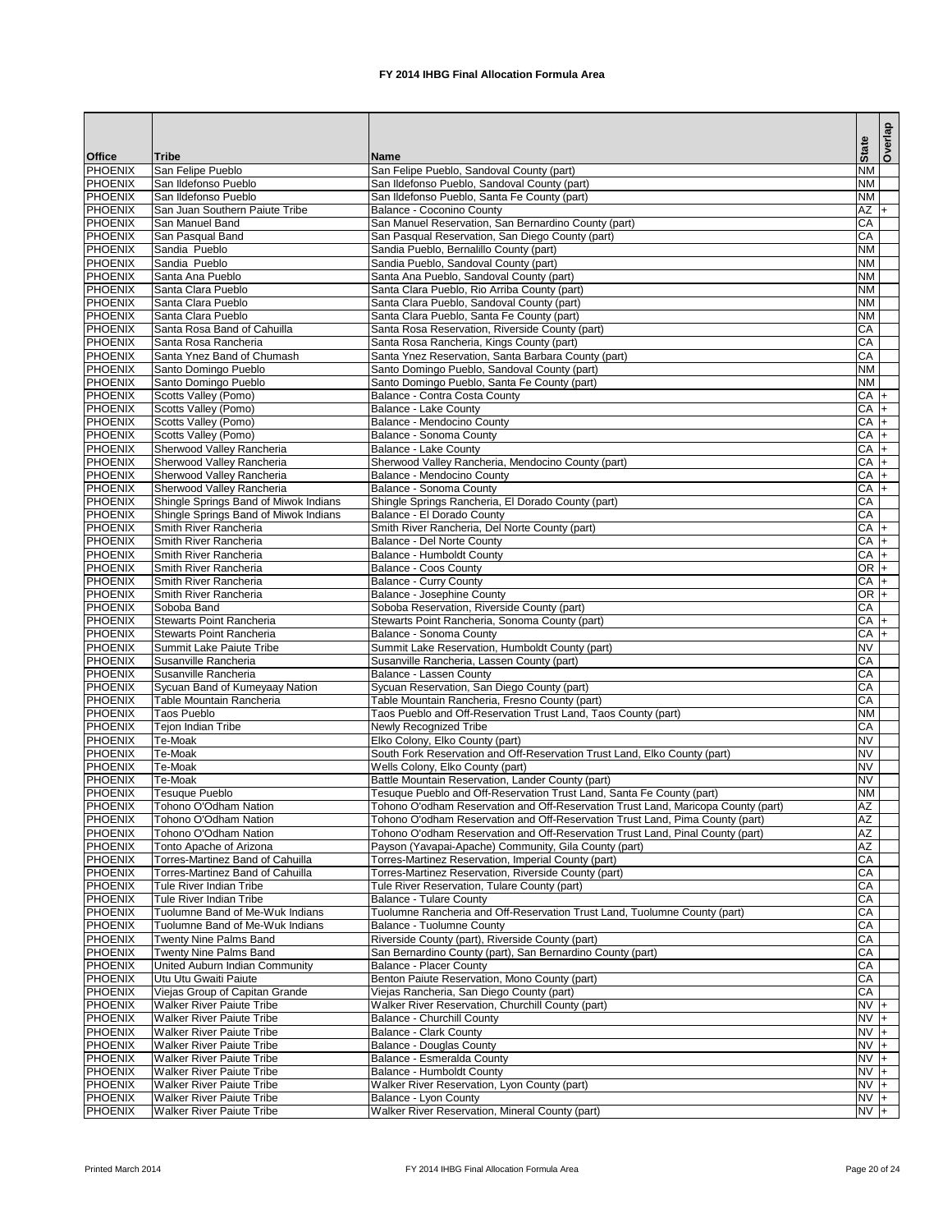|                                  |                                                                      |                                                                                                               |                        | Overlap |
|----------------------------------|----------------------------------------------------------------------|---------------------------------------------------------------------------------------------------------------|------------------------|---------|
| <b>Office</b>                    | <b>Tribe</b>                                                         | Name                                                                                                          | <b>State</b>           |         |
| PHOENIX                          | San Felipe Pueblo                                                    | San Felipe Pueblo, Sandoval County (part)                                                                     | <b>NM</b>              |         |
| <b>PHOENIX</b>                   | San Ildefonso Pueblo                                                 | San Ildefonso Pueblo, Sandoval County (part)                                                                  | <b>NM</b><br><b>NM</b> |         |
| <b>PHOENIX</b><br><b>PHOENIX</b> | San Ildefonso Pueblo<br>San Juan Southern Paiute Tribe               | San Ildefonso Pueblo, Santa Fe County (part)<br><b>Balance - Coconino County</b>                              | $AZ$ +                 |         |
| <b>PHOENIX</b>                   | San Manuel Band                                                      | San Manuel Reservation, San Bernardino County (part)                                                          | CA                     |         |
| <b>PHOENIX</b>                   | San Pasqual Band                                                     | San Pasqual Reservation, San Diego County (part)                                                              | CA                     |         |
| <b>PHOENIX</b>                   | Sandia Pueblo                                                        | Sandia Pueblo, Bernalillo County (part)                                                                       | <b>NM</b>              |         |
| <b>PHOENIX</b>                   | Sandia Pueblo                                                        | Sandia Pueblo, Sandoval County (part)                                                                         | <b>NM</b>              |         |
| <b>PHOENIX</b>                   | Santa Ana Pueblo                                                     | Santa Ana Pueblo, Sandoval County (part)                                                                      | <b>NM</b>              |         |
| <b>PHOENIX</b>                   | Santa Clara Pueblo                                                   | Santa Clara Pueblo, Rio Arriba County (part)                                                                  | <b>NM</b>              |         |
| <b>PHOENIX</b>                   | Santa Clara Pueblo                                                   | Santa Clara Pueblo, Sandoval County (part)                                                                    | <b>NM</b>              |         |
| <b>PHOENIX</b><br><b>PHOENIX</b> | Santa Clara Pueblo                                                   | Santa Clara Pueblo, Santa Fe County (part)                                                                    | <b>NM</b>              |         |
| <b>PHOENIX</b>                   | Santa Rosa Band of Cahuilla<br>Santa Rosa Rancheria                  | Santa Rosa Reservation, Riverside County (part)<br>Santa Rosa Rancheria, Kings County (part)                  | CA<br>CA               |         |
| <b>PHOENIX</b>                   | Santa Ynez Band of Chumash                                           | Santa Ynez Reservation, Santa Barbara County (part)                                                           | CA                     |         |
| <b>PHOENIX</b>                   | Santo Domingo Pueblo                                                 | Santo Domingo Pueblo, Sandoval County (part)                                                                  | <b>NM</b>              |         |
| <b>PHOENIX</b>                   | Santo Domingo Pueblo                                                 | Santo Domingo Pueblo, Santa Fe County (part)                                                                  | <b>NM</b>              |         |
| <b>PHOENIX</b>                   | Scotts Valley (Pomo)                                                 | Balance - Contra Costa County                                                                                 | $CA +$                 |         |
| <b>PHOENIX</b>                   | <b>Scotts Valley (Pomo)</b>                                          | <b>Balance - Lake County</b>                                                                                  | $CA +$                 |         |
| <b>PHOENIX</b>                   | Scotts Valley (Pomo)                                                 | Balance - Mendocino County                                                                                    | CA                     | I+      |
| <b>PHOENIX</b>                   | <b>Scotts Valley (Pomo)</b>                                          | <b>Balance - Sonoma County</b>                                                                                | CA                     | l+      |
| <b>PHOENIX</b>                   | Sherwood Valley Rancheria                                            | <b>Balance - Lake County</b>                                                                                  | CA                     | l+      |
| <b>PHOENIX</b>                   | Sherwood Valley Rancheria                                            | Sherwood Valley Rancheria, Mendocino County (part)                                                            | CA                     | l+      |
| <b>PHOENIX</b>                   | Sherwood Valley Rancheria                                            | <b>Balance - Mendocino County</b>                                                                             | CA                     |         |
| <b>PHOENIX</b><br><b>PHOENIX</b> | Sherwood Valley Rancheria<br>Shingle Springs Band of Miwok Indians   | <b>Balance - Sonoma County</b><br>Shingle Springs Rancheria, El Dorado County (part)                          | CA<br>CA               | $+$     |
| <b>PHOENIX</b>                   | Shingle Springs Band of Miwok Indians                                | Balance - El Dorado County                                                                                    | CA                     |         |
| <b>PHOENIX</b>                   | Smith River Rancheria                                                | Smith River Rancheria, Del Norte County (part)                                                                | $CA +$                 |         |
| <b>PHOENIX</b>                   | Smith River Rancheria                                                | Balance - Del Norte County                                                                                    | $CA +$                 |         |
| <b>PHOENIX</b>                   | Smith River Rancheria                                                | <b>Balance - Humboldt County</b>                                                                              | $CA +$                 |         |
| <b>PHOENIX</b>                   | Smith River Rancheria                                                | <b>Balance - Coos County</b>                                                                                  | $OR$ +                 |         |
| <b>PHOENIX</b>                   | Smith River Rancheria                                                | <b>Balance - Curry County</b>                                                                                 | $CA +$                 |         |
| PHOENIX                          | Smith River Rancheria                                                | Balance - Josephine County                                                                                    | $OR +$                 |         |
| <b>PHOENIX</b>                   | Soboba Band                                                          | Soboba Reservation, Riverside County (part)                                                                   | CA                     |         |
| <b>PHOENIX</b>                   | <b>Stewarts Point Rancheria</b>                                      | Stewarts Point Rancheria, Sonoma County (part)                                                                | $CA$ +                 |         |
| <b>PHOENIX</b><br><b>PHOENIX</b> | <b>Stewarts Point Rancheria</b><br><b>Summit Lake Paiute Tribe</b>   | Balance - Sonoma County<br>Summit Lake Reservation, Humboldt County (part)                                    | $CA +$<br><b>NV</b>    |         |
| <b>PHOENIX</b>                   | Susanville Rancheria                                                 | Susanville Rancheria, Lassen County (part)                                                                    | CA                     |         |
| <b>PHOENIX</b>                   | Susanville Rancheria                                                 | <b>Balance - Lassen County</b>                                                                                | CA                     |         |
| <b>PHOENIX</b>                   | Sycuan Band of Kumeyaay Nation                                       | Sycuan Reservation, San Diego County (part)                                                                   | CA                     |         |
| <b>PHOENIX</b>                   | Table Mountain Rancheria                                             | Table Mountain Rancheria, Fresno County (part)                                                                | CA                     |         |
| <b>PHOENIX</b>                   | <b>Taos Pueblo</b>                                                   | Taos Pueblo and Off-Reservation Trust Land, Taos County (part)                                                | <b>NM</b>              |         |
| <b>PHOENIX</b>                   | Tejon Indian Tribe                                                   | Newly Recognized Tribe                                                                                        | CA                     |         |
| <b>PHOENIX</b>                   | Te-Moak                                                              | Elko Colony, Elko County (part)                                                                               | <b>NV</b>              |         |
| <b>PHOENIX</b>                   | <b>Te-Moak</b>                                                       | South Fork Reservation and Off-Reservation Trust Land, Elko County (part)                                     | <b>NV</b>              |         |
| <b>PHOENIX</b><br><b>PHOENIX</b> | Te-Moak<br>Te-Moak                                                   | Wells Colony, Elko County (part)<br>Battle Mountain Reservation, Lander County (part)                         | <b>NV</b><br><b>NV</b> |         |
| <b>PHOENIX</b>                   | Tesuque Pueblo                                                       | Tesuque Pueblo and Off-Reservation Trust Land, Santa Fe County (part)                                         | <b>NM</b>              |         |
| <b>PHOENIX</b>                   | Tohono O'Odham Nation                                                | Tohono O'odham Reservation and Off-Reservation Trust Land, Maricopa County (part)                             | <b>AZ</b>              |         |
| <b>PHOENIX</b>                   | Tohono O'Odham Nation                                                | Tohono O'odham Reservation and Off-Reservation Trust Land, Pima County (part)                                 | AZ                     |         |
| <b>PHOENIX</b>                   | Tohono O'Odham Nation                                                | Tohono O'odham Reservation and Off-Reservation Trust Land, Pinal County (part)                                | AZ                     |         |
| <b>PHOENIX</b>                   | Tonto Apache of Arizona                                              | Payson (Yavapai-Apache) Community, Gila County (part)                                                         | <b>AZ</b>              |         |
| <b>PHOENIX</b>                   | <b>Torres-Martinez Band of Cahuilla</b>                              | Torres-Martinez Reservation, Imperial County (part)                                                           | CA                     |         |
| <b>PHOENIX</b>                   | Torres-Martinez Band of Cahuilla                                     | Torres-Martinez Reservation, Riverside County (part)                                                          | CA                     |         |
| <b>PHOENIX</b>                   | Tule River Indian Tribe                                              | Tule River Reservation, Tulare County (part)                                                                  | CA                     |         |
| <b>PHOENIX</b>                   | Tule River Indian Tribe                                              | <b>Balance - Tulare County</b>                                                                                | CA<br>CA               |         |
| <b>PHOENIX</b><br><b>PHOENIX</b> | Tuolumne Band of Me-Wuk Indians<br>Tuolumne Band of Me-Wuk Indians   | Tuolumne Rancheria and Off-Reservation Trust Land, Tuolumne County (part)<br><b>Balance - Tuolumne County</b> | CA                     |         |
| <b>PHOENIX</b>                   | <b>Twenty Nine Palms Band</b>                                        | Riverside County (part), Riverside County (part)                                                              | CA                     |         |
| <b>PHOENIX</b>                   | <b>Twenty Nine Palms Band</b>                                        | San Bernardino County (part), San Bernardino County (part)                                                    | CA                     |         |
| <b>PHOENIX</b>                   | <b>United Auburn Indian Community</b>                                | <b>Balance - Placer County</b>                                                                                | CA                     |         |
| <b>PHOENIX</b>                   | Utu Utu Gwaiti Paiute                                                | Benton Paiute Reservation, Mono County (part)                                                                 | CA                     |         |
| <b>PHOENIX</b>                   | Viejas Group of Capitan Grande                                       | Viejas Rancheria, San Diego County (part)                                                                     | CA                     |         |
| <b>PHOENIX</b>                   | <b>Walker River Paiute Tribe</b>                                     | Walker River Reservation, Churchill County (part)                                                             | $NVI +$                |         |
| PHOENIX                          | <b>Walker River Paiute Tribe</b>                                     | <b>Balance - Churchill County</b>                                                                             | $NVI +$                |         |
| <b>PHOENIX</b>                   | <b>Walker River Paiute Tribe</b>                                     | <b>Balance - Clark County</b>                                                                                 | $NVI +$                |         |
| <b>PHOENIX</b>                   | <b>Walker River Paiute Tribe</b>                                     | <b>Balance - Douglas County</b>                                                                               | $NVI +$                |         |
| <b>PHOENIX</b><br><b>PHOENIX</b> | <b>Walker River Paiute Tribe</b>                                     | <b>Balance - Esmeralda County</b>                                                                             | $NV +$                 |         |
| <b>PHOENIX</b>                   | <b>Walker River Paiute Tribe</b><br><b>Walker River Paiute Tribe</b> | <b>Balance - Humboldt County</b><br>Walker River Reservation, Lyon County (part)                              | $NVI +$<br>$NV +$      |         |
| PHOENIX                          | <b>Walker River Paiute Tribe</b>                                     | Balance - Lyon County                                                                                         | NV +                   |         |
| <b>PHOENIX</b>                   | <b>Walker River Paiute Tribe</b>                                     | Walker River Reservation, Mineral County (part)                                                               | $NV +$                 |         |

Printed March 2014 **FX 2014 IHBG Final Allocation Formula Area** Page 20 of 24 Page 20 of 24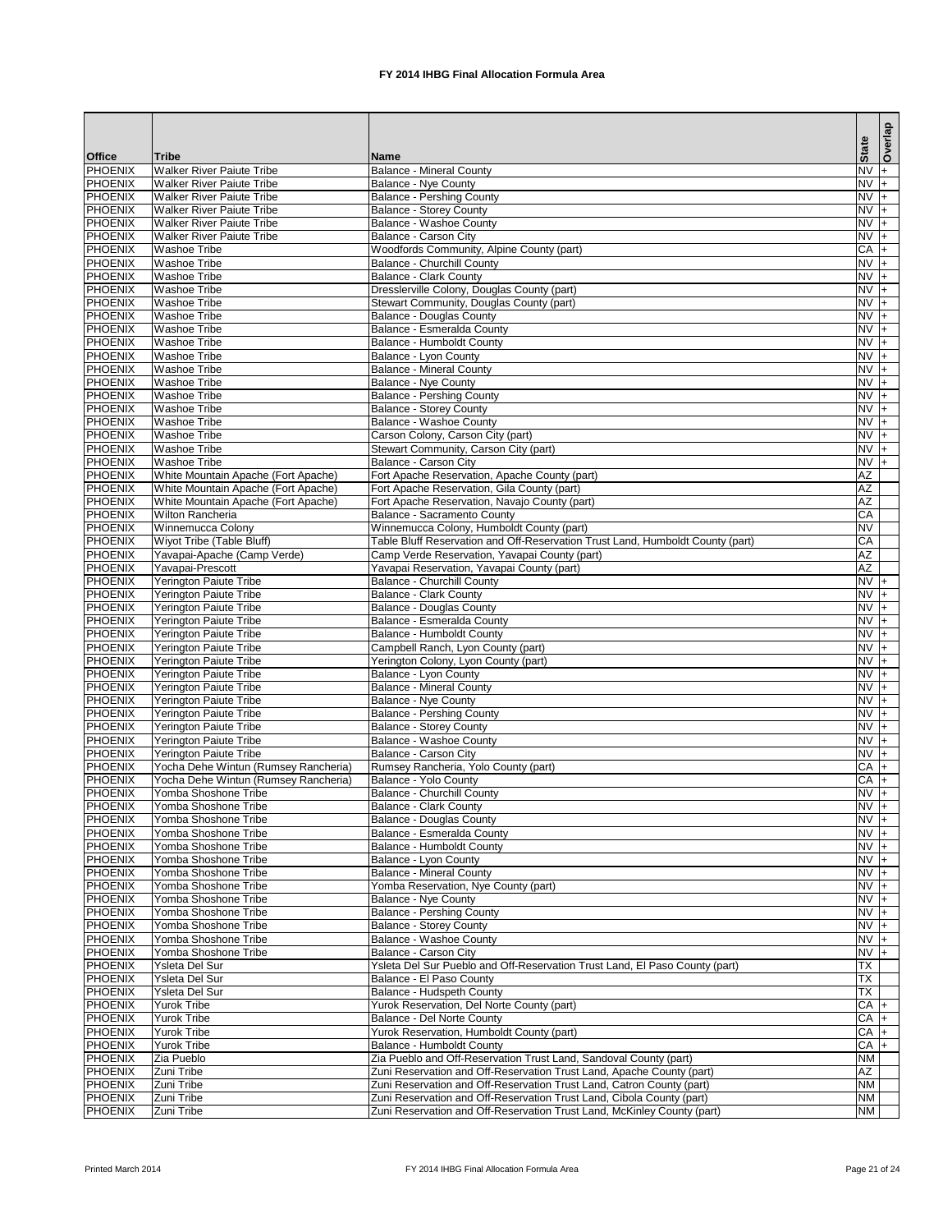|                                  |                                                                      |                                                                                                                                            | <b>State</b>                | Overlap |
|----------------------------------|----------------------------------------------------------------------|--------------------------------------------------------------------------------------------------------------------------------------------|-----------------------------|---------|
| <b>Office</b>                    | <b>Tribe</b>                                                         | <b>Name</b>                                                                                                                                |                             |         |
| <b>PHOENIX</b><br><b>PHOENIX</b> | <b>Walker River Paiute Tribe</b>                                     | <b>Balance - Mineral County</b>                                                                                                            | $NV +$<br>$NV +$            |         |
| <b>PHOENIX</b>                   | <b>Walker River Paiute Tribe</b><br><b>Walker River Paiute Tribe</b> | <b>Balance - Nye County</b><br><b>Balance - Pershing County</b>                                                                            | $NVI +$                     |         |
| <b>PHOENIX</b>                   | <b>Walker River Paiute Tribe</b>                                     | <b>Balance - Storey County</b>                                                                                                             | $NV +$                      |         |
| <b>PHOENIX</b>                   | <b>Walker River Paiute Tribe</b>                                     | <b>Balance - Washoe County</b>                                                                                                             | $NV +$                      |         |
| <b>PHOENIX</b>                   | <b>Walker River Paiute Tribe</b>                                     | <b>Balance - Carson City</b>                                                                                                               | $NV +$                      |         |
| <b>PHOENIX</b>                   | <b>Washoe Tribe</b>                                                  | Woodfords Community, Alpine County (part)                                                                                                  | CA                          | l+      |
| <b>PHOENIX</b>                   | <b>Washoe Tribe</b>                                                  | <b>Balance - Churchill County</b>                                                                                                          | $NVI +$                     |         |
| <b>PHOENIX</b>                   | <b>Washoe Tribe</b>                                                  | <b>Balance - Clark County</b>                                                                                                              | $NV +$                      |         |
| <b>PHOENIX</b><br><b>PHOENIX</b> | <b>Washoe Tribe</b>                                                  | Dresslerville Colony, Douglas County (part)                                                                                                | $NV +$<br>$NV +$            |         |
| <b>PHOENIX</b>                   | <b>Washoe Tribe</b><br><b>Washoe Tribe</b>                           | Stewart Community, Douglas County (part)<br><b>Balance - Douglas County</b>                                                                | $NV +$                      |         |
| <b>PHOENIX</b>                   | <b>Washoe Tribe</b>                                                  | <b>Balance - Esmeralda County</b>                                                                                                          | $NV +$                      |         |
| <b>PHOENIX</b>                   | <b>Washoe Tribe</b>                                                  | <b>Balance - Humboldt County</b>                                                                                                           | $NV +$                      |         |
| <b>PHOENIX</b>                   | <b>Washoe Tribe</b>                                                  | Balance - Lyon County                                                                                                                      | $NV +$                      |         |
| <b>PHOENIX</b>                   | <b>Washoe Tribe</b>                                                  | <b>Balance - Mineral County</b>                                                                                                            | $NV +$                      |         |
| <b>PHOENIX</b>                   | <b>Washoe Tribe</b>                                                  | <b>Balance - Nye County</b>                                                                                                                | $NV +$                      |         |
| <b>PHOENIX</b>                   | <b>Washoe Tribe</b>                                                  | <b>Balance - Pershing County</b>                                                                                                           | $NV +$                      |         |
| <b>PHOENIX</b>                   | <b>Washoe Tribe</b>                                                  | <b>Balance - Storey County</b>                                                                                                             | $NV +$                      |         |
| <b>PHOENIX</b><br><b>PHOENIX</b> | <b>Washoe Tribe</b>                                                  | <b>Balance - Washoe County</b>                                                                                                             | $NV +$<br>$NV +$            |         |
| <b>PHOENIX</b>                   | <b>Washoe Tribe</b><br><b>Washoe Tribe</b>                           | Carson Colony, Carson City (part)<br>Stewart Community, Carson City (part)                                                                 | $NVI +$                     |         |
| <b>PHOENIX</b>                   | <b>Washoe Tribe</b>                                                  | <b>Balance - Carson City</b>                                                                                                               | $NV +$                      |         |
| <b>PHOENIX</b>                   | White Mountain Apache (Fort Apache)                                  | Fort Apache Reservation, Apache County (part)                                                                                              | AZ                          |         |
| <b>PHOENIX</b>                   | White Mountain Apache (Fort Apache)                                  | Fort Apache Reservation, Gila County (part)                                                                                                | $\overline{AZ}$             |         |
| <b>PHOENIX</b>                   | White Mountain Apache (Fort Apache)                                  | Fort Apache Reservation, Navajo County (part)                                                                                              | AZ                          |         |
| <b>PHOENIX</b>                   | <b>Wilton Rancheria</b>                                              | <b>Balance - Sacramento County</b>                                                                                                         | CA                          |         |
| <b>PHOENIX</b>                   | Winnemucca Colony                                                    | Winnemucca Colony, Humboldt County (part)                                                                                                  | <b>NV</b>                   |         |
| <b>PHOENIX</b>                   | Wiyot Tribe (Table Bluff)                                            | Table Bluff Reservation and Off-Reservation Trust Land, Humboldt County (part)                                                             | CA                          |         |
| <b>PHOENIX</b><br><b>PHOENIX</b> | Yavapai-Apache (Camp Verde)<br>Yavapai-Prescott                      | Camp Verde Reservation, Yavapai County (part)<br>Yavapai Reservation, Yavapai County (part)                                                | AZ<br>AZ                    |         |
| <b>PHOENIX</b>                   | Yerington Paiute Tribe                                               | <b>Balance - Churchill County</b>                                                                                                          | $NVI +$                     |         |
| PHOENIX                          | <b>Yerington Paiute Tribe</b>                                        | <b>Balance - Clark County</b>                                                                                                              | $\overline{NV}$ +           |         |
| <b>PHOENIX</b>                   | Yerington Paiute Tribe                                               | <b>Balance - Douglas County</b>                                                                                                            | $NVI +$                     |         |
| <b>PHOENIX</b>                   | Yerington Paiute Tribe                                               | Balance - Esmeralda County                                                                                                                 | $NVI +$                     |         |
| <b>PHOENIX</b>                   | Yerington Paiute Tribe                                               | <b>Balance - Humboldt County</b>                                                                                                           | $NVI +$                     |         |
| <b>PHOENIX</b>                   | Yerington Paiute Tribe                                               | Campbell Ranch, Lyon County (part)                                                                                                         | $NVI +$                     |         |
| <b>PHOENIX</b>                   | Yerington Paiute Tribe                                               | Yerington Colony, Lyon County (part)                                                                                                       | $NVI +$                     |         |
| <b>PHOENIX</b><br><b>PHOENIX</b> | Yerington Paiute Tribe<br><b>Yerington Paiute Tribe</b>              | Balance - Lyon County<br><b>Balance - Mineral County</b>                                                                                   | $NV +$<br>$NVI +$           |         |
| <b>PHOENIX</b>                   | Yerington Paiute Tribe                                               | <b>Balance - Nye County</b>                                                                                                                | $NVI +$                     |         |
| <b>PHOENIX</b>                   | Yerington Paiute Tribe                                               | <b>Balance - Pershing County</b>                                                                                                           | $NVI +$                     |         |
| <b>PHOENIX</b>                   | Yerington Paiute Tribe                                               | <b>Balance - Storey County</b>                                                                                                             | $NVI +$                     |         |
| <b>PHOENIX</b>                   | <b>Yerington Paiute Tribe</b>                                        | <b>Balance - Washoe County</b>                                                                                                             | $NV +$                      |         |
| <b>PHOENIX</b>                   | Yerington Paiute Tribe                                               | <b>Balance - Carson City</b>                                                                                                               | $NV +$                      |         |
| <b>PHOENIX</b>                   | Yocha Dehe Wintun (Rumsey Rancheria)                                 | Rumsey Rancheria, Yolo County (part)                                                                                                       | $CA +$                      |         |
| <b>PHOENIX</b>                   | Yocha Dehe Wintun (Rumsey Rancheria)                                 | Balance - Yolo County                                                                                                                      | $CA +$                      |         |
| <b>PHOENIX</b><br><b>PHOENIX</b> | Yomba Shoshone Tribe<br>Yomba Shoshone Tribe                         | <b>Balance - Churchill County</b><br><b>Balance - Clark County</b>                                                                         | $NV +$<br>$NV +$            |         |
| <b>PHOENIX</b>                   | Yomba Shoshone Tribe                                                 | <b>Balance - Douglas County</b>                                                                                                            | $NV +$                      |         |
| <b>PHOENIX</b>                   | Yomba Shoshone Tribe                                                 | Balance - Esmeralda County                                                                                                                 | $NV +$                      |         |
| <b>PHOENIX</b>                   | Yomba Shoshone Tribe                                                 | Balance - Humboldt County                                                                                                                  | $NVI +$                     |         |
| <b>PHOENIX</b>                   | Yomba Shoshone Tribe                                                 | Balance - Lyon County                                                                                                                      | $NV +$                      |         |
| <b>PHOENIX</b>                   | Yomba Shoshone Tribe                                                 | <b>Balance - Mineral County</b>                                                                                                            | $NVI +$                     |         |
| <b>PHOENIX</b>                   | Yomba Shoshone Tribe                                                 | Yomba Reservation, Nye County (part)                                                                                                       | $NVI +$                     |         |
| <b>PHOENIX</b>                   | Yomba Shoshone Tribe                                                 | <b>Balance - Nye County</b>                                                                                                                | $NV +$                      |         |
| <b>PHOENIX</b>                   | Yomba Shoshone Tribe                                                 | <b>Balance - Pershing County</b>                                                                                                           | $NVI +$                     |         |
| <b>PHOENIX</b><br><b>PHOENIX</b> | Yomba Shoshone Tribe<br>Yomba Shoshone Tribe                         | <b>Balance - Storey County</b><br><b>Balance - Washoe County</b>                                                                           | <b>NV</b><br>N <sub>V</sub> |         |
| <b>PHOENIX</b>                   | Yomba Shoshone Tribe                                                 | Balance - Carson City                                                                                                                      | $NVI +$                     |         |
| <b>PHOENIX</b>                   | Ysleta Del Sur                                                       | Ysleta Del Sur Pueblo and Off-Reservation Trust Land, El Paso County (part)                                                                | $\overline{\mathsf{TX}}$    |         |
| <b>PHOENIX</b>                   | <b>Ysleta Del Sur</b>                                                | Balance - El Paso County                                                                                                                   | $\overline{\mathsf{TX}}$    |         |
| <b>PHOENIX</b>                   | Ysleta Del Sur                                                       | <b>Balance - Hudspeth County</b>                                                                                                           | $\overline{\mathsf{TX}}$    |         |
| <b>PHOENIX</b>                   | <b>Yurok Tribe</b>                                                   | Yurok Reservation, Del Norte County (part)                                                                                                 | $CA +$                      |         |
| PHOENIX                          | <b>Yurok Tribe</b>                                                   | <b>Balance - Del Norte County</b>                                                                                                          | $CA$ +                      |         |
| <b>PHOENIX</b>                   | <b>Yurok Tribe</b>                                                   | Yurok Reservation, Humboldt County (part)                                                                                                  | $CA +$                      |         |
| <b>PHOENIX</b>                   | <b>Yurok Tribe</b>                                                   | <b>Balance - Humboldt County</b>                                                                                                           | CA                          | I+      |
| <b>PHOENIX</b><br><b>PHOENIX</b> | Zia Pueblo<br>Zuni Tribe                                             | Zia Pueblo and Off-Reservation Trust Land, Sandoval County (part)<br>Zuni Reservation and Off-Reservation Trust Land, Apache County (part) | <b>NM</b><br>AZ             |         |
| <b>PHOENIX</b>                   | Zuni Tribe                                                           | Zuni Reservation and Off-Reservation Trust Land, Catron County (part)                                                                      | <b>NM</b>                   |         |
| PHOENIX                          | Zuni Tribe                                                           | Zuni Reservation and Off-Reservation Trust Land, Cibola County (part)                                                                      | <b>NM</b>                   |         |
| <b>PHOENIX</b>                   | Zuni Tribe                                                           | Zuni Reservation and Off-Reservation Trust Land, McKinley County (part)                                                                    | <b>NM</b>                   |         |

Printed March 2014 **FX 2014 IHBG Final Allocation Formula Area** Page 21 of 24 Page 21 of 24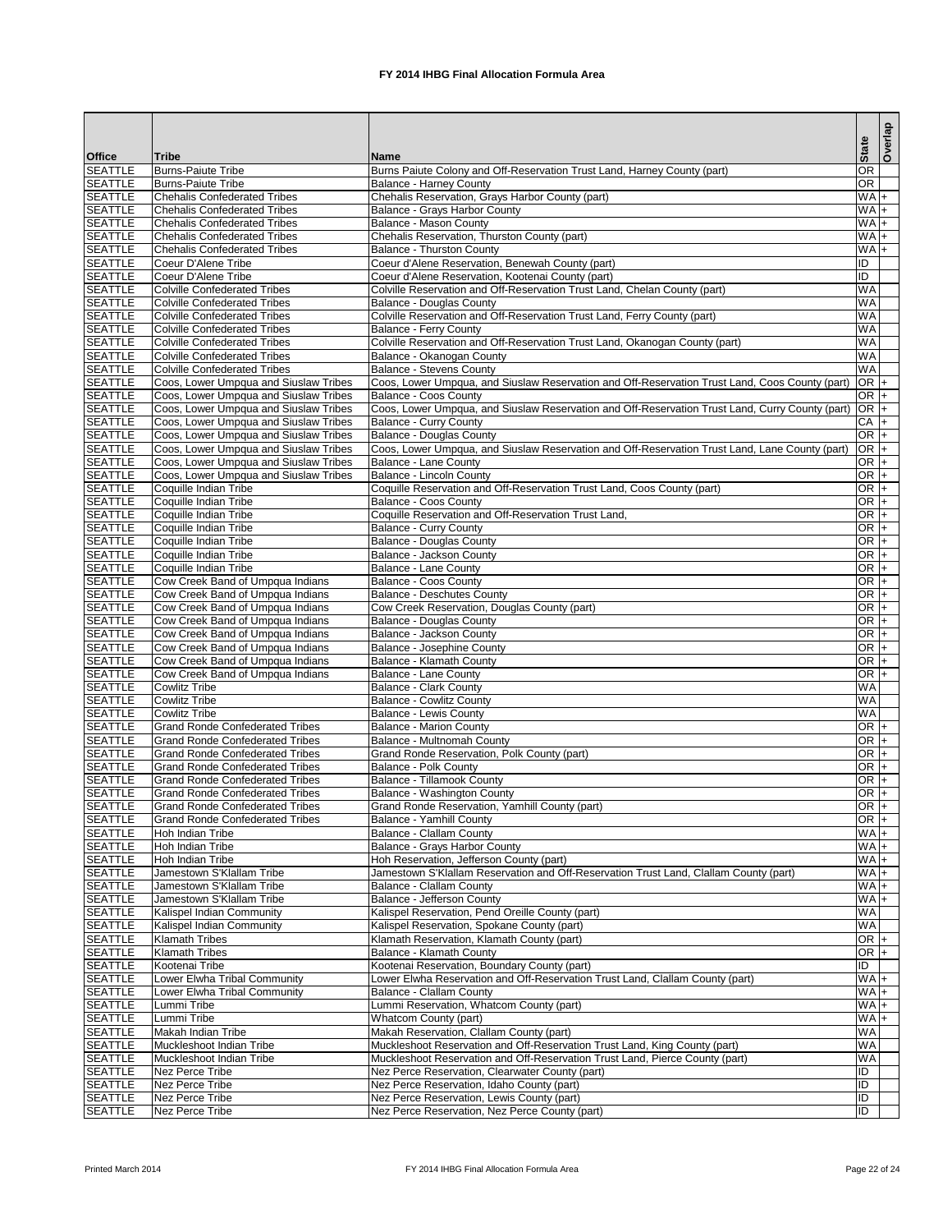|                                  |                                                                                  |                                                                                                                                   | <b>State</b>                   | Overlap |
|----------------------------------|----------------------------------------------------------------------------------|-----------------------------------------------------------------------------------------------------------------------------------|--------------------------------|---------|
| <b>Office</b>                    | <b>Tribe</b>                                                                     | <b>Name</b>                                                                                                                       |                                |         |
| <b>SEATTLE</b>                   | <b>Burns-Paiute Tribe</b>                                                        | Burns Paiute Colony and Off-Reservation Trust Land, Harney County (part)                                                          | OR<br>OR                       |         |
| <b>SEATTLE</b><br><b>SEATTLE</b> | <b>Burns-Paiute Tribe</b><br><b>Chehalis Confederated Tribes</b>                 | <b>Balance - Harney County</b><br>Chehalis Reservation, Grays Harbor County (part)                                                | $W_A$                          |         |
| <b>SEATTLE</b>                   | <b>Chehalis Confederated Tribes</b>                                              | Balance - Grays Harbor County                                                                                                     | $WA +$                         |         |
| <b>SEATTLE</b>                   | <b>Chehalis Confederated Tribes</b>                                              | <b>Balance - Mason County</b>                                                                                                     | $WA +$                         |         |
| <b>SEATTLE</b>                   | <b>Chehalis Confederated Tribes</b>                                              | Chehalis Reservation, Thurston County (part)                                                                                      | $WA +$                         |         |
| <b>SEATTLE</b>                   | <b>Chehalis Confederated Tribes</b>                                              | <b>Balance - Thurston County</b>                                                                                                  | $WA +$                         |         |
| <b>SEATTLE</b>                   | Coeur D'Alene Tribe                                                              | Coeur d'Alene Reservation, Benewah County (part)                                                                                  | ID                             |         |
| <b>SEATTLE</b>                   | Coeur D'Alene Tribe                                                              | Coeur d'Alene Reservation, Kootenai County (part)                                                                                 | Đ                              |         |
| <b>SEATTLE</b><br><b>SEATTLE</b> | <b>Colville Confederated Tribes</b>                                              | Colville Reservation and Off-Reservation Trust Land, Chelan County (part)                                                         | <b>WA</b><br><b>WA</b>         |         |
| <b>SEATTLE</b>                   | <b>Colville Confederated Tribes</b><br><b>Colville Confederated Tribes</b>       | <b>Balance - Douglas County</b><br>Colville Reservation and Off-Reservation Trust Land, Ferry County (part)                       | <b>WA</b>                      |         |
| <b>SEATTLE</b>                   | <b>Colville Confederated Tribes</b>                                              | <b>Balance - Ferry County</b>                                                                                                     | <b>WA</b>                      |         |
| <b>SEATTLE</b>                   | <b>Colville Confederated Tribes</b>                                              | Colville Reservation and Off-Reservation Trust Land, Okanogan County (part)                                                       | <b>WA</b>                      |         |
| <b>SEATTLE</b>                   | <b>Colville Confederated Tribes</b>                                              | Balance - Okanogan County                                                                                                         | <b>WA</b>                      |         |
| <b>SEATTLE</b>                   | <b>Colville Confederated Tribes</b>                                              | <b>Balance - Stevens County</b>                                                                                                   | WA                             |         |
| <b>SEATTLE</b>                   | Coos, Lower Umpqua and Siuslaw Tribes                                            | Coos, Lower Umpqua, and Siuslaw Reservation and Off-Reservation Trust Land, Coos County (part)                                    | $OR +$                         |         |
| <b>SEATTLE</b>                   | Coos, Lower Umpqua and Siuslaw Tribes                                            | <b>Balance - Coos County</b>                                                                                                      | $OR +$                         |         |
| <b>SEATTLE</b>                   | Coos, Lower Umpqua and Siuslaw Tribes                                            | Coos, Lower Umpqua, and Siuslaw Reservation and Off-Reservation Trust Land, Curry County (part)                                   | $OR +$                         |         |
| <b>SEATTLE</b><br><b>SEATTLE</b> | Coos, Lower Umpqua and Siuslaw Tribes                                            | <b>Balance - Curry County</b>                                                                                                     | $CA +$<br>OR $+$               |         |
| <b>SEATTLE</b>                   | Coos, Lower Umpqua and Siuslaw Tribes<br>Coos, Lower Umpqua and Siuslaw Tribes   | <b>Balance - Douglas County</b><br>Coos, Lower Umpqua, and Siuslaw Reservation and Off-Reservation Trust Land, Lane County (part) | $OR +$                         |         |
| <b>SEATTLE</b>                   | Coos, Lower Umpqua and Siuslaw Tribes                                            | Balance - Lane County                                                                                                             | OR $+$                         |         |
| <b>SEATTLE</b>                   | Coos, Lower Umpqua and Siuslaw Tribes                                            | <b>Balance - Lincoln County</b>                                                                                                   | $OR +$                         |         |
| <b>SEATTLE</b>                   | Coquille Indian Tribe                                                            | Coquille Reservation and Off-Reservation Trust Land, Coos County (part)                                                           | OR $+$                         |         |
| <b>SEATTLE</b>                   | Coquille Indian Tribe                                                            | <b>Balance - Coos County</b>                                                                                                      | OR $+$                         |         |
| <b>SEATTLE</b>                   | Coquille Indian Tribe                                                            | Coquille Reservation and Off-Reservation Trust Land,                                                                              | $OR +$                         |         |
| <b>SEATTLE</b>                   | Coquille Indian Tribe                                                            | <b>Balance - Curry County</b>                                                                                                     | $OR +$                         |         |
| <b>SEATTLE</b>                   | Coquille Indian Tribe                                                            | <b>Balance - Douglas County</b>                                                                                                   | $OR +$                         |         |
| <b>SEATTLE</b>                   | Coquille Indian Tribe                                                            | Balance - Jackson County                                                                                                          | $OR +$                         |         |
| <b>SEATTLE</b>                   | Coquille Indian Tribe                                                            | Balance - Lane County                                                                                                             | $OR +$                         |         |
| <b>SEATTLE</b>                   | Cow Creek Band of Umpqua Indians                                                 | Balance - Coos County                                                                                                             | $OR$ +                         |         |
| <b>SEATTLE</b><br><b>SEATTLE</b> | Cow Creek Band of Umpqua Indians<br>Cow Creek Band of Umpqua Indians             | Balance - Deschutes County<br>Cow Creek Reservation, Douglas County (part)                                                        | $OR +$<br>$OR$ +               |         |
| <b>SEATTLE</b>                   | Cow Creek Band of Umpqua Indians                                                 | <b>Balance - Douglas County</b>                                                                                                   | $OR$ +                         |         |
| <b>SEATTLE</b>                   | Cow Creek Band of Umpqua Indians                                                 | <b>Balance - Jackson County</b>                                                                                                   | $OR$ +                         |         |
| <b>SEATTLE</b>                   | Cow Creek Band of Umpqua Indians                                                 | Balance - Josephine County                                                                                                        | OR $ +$                        |         |
| <b>SEATTLE</b>                   | Cow Creek Band of Umpqua Indians                                                 | <b>Balance - Klamath County</b>                                                                                                   | $OR +$                         |         |
| <b>SEATTLE</b>                   | Cow Creek Band of Umpqua Indians                                                 | Balance - Lane County                                                                                                             | $OR$ +                         |         |
| <b>SEATTLE</b>                   | <b>Cowlitz Tribe</b>                                                             | <b>Balance - Clark County</b>                                                                                                     | <b>WA</b>                      |         |
| <b>SEATTLE</b>                   | <b>Cowlitz Tribe</b>                                                             | <b>Balance - Cowlitz County</b>                                                                                                   | WA                             |         |
| <b>SEATTLE</b>                   | <b>Cowlitz Tribe</b>                                                             | <b>Balance - Lewis County</b>                                                                                                     | <b>WA</b>                      |         |
| <b>SEATTLE</b>                   | <b>Grand Ronde Confederated Tribes</b>                                           | <b>Balance - Marion County</b>                                                                                                    | OR $+$                         |         |
| <b>SEATTLE</b><br><b>SEATTLE</b> | <b>Grand Ronde Confederated Tribes</b><br><b>Grand Ronde Confederated Tribes</b> | <b>Balance - Multnomah County</b>                                                                                                 | $OR +$<br>$OR +$               |         |
| <b>SEATTLE</b>                   | <b>Grand Ronde Confederated Tribes</b>                                           | Grand Ronde Reservation, Polk County (part)<br><b>Balance - Polk County</b>                                                       | $OR$ +                         |         |
| <b>SEATTLE</b>                   | <b>Grand Ronde Confederated Tribes</b>                                           | <b>Balance - Tillamook County</b>                                                                                                 | OR $+$                         |         |
| <b>SEATTLE</b>                   | <b>Grand Ronde Confederated Tribes</b>                                           | Balance - Washington County                                                                                                       | $OR +$                         |         |
| <b>SEATTLE</b>                   | <b>Grand Ronde Confederated Tribes</b>                                           | Grand Ronde Reservation, Yamhill County (part)                                                                                    | $OR +$                         |         |
| <b>SEATTLE</b>                   | <b>Grand Ronde Confederated Tribes</b>                                           | <b>Balance - Yamhill County</b>                                                                                                   | $OR +$                         |         |
| <b>SEATTLE</b>                   | Hoh Indian Tribe                                                                 | <b>Balance - Clallam County</b>                                                                                                   | $WA +$                         |         |
| <b>SEATTLE</b>                   | Hoh Indian Tribe                                                                 | Balance - Grays Harbor County                                                                                                     | W A                            |         |
| <b>SEATTLE</b>                   | Hoh Indian Tribe                                                                 | Hoh Reservation, Jefferson County (part)                                                                                          | $WA +$                         |         |
| <b>SEATTLE</b>                   | Jamestown S'Klallam Tribe                                                        | Jamestown S'Klallam Reservation and Off-Reservation Trust Land, Clallam County (part)                                             | $W_A$                          |         |
| <b>SEATTLE</b>                   | Jamestown S'Klallam Tribe                                                        | <b>Balance - Clallam County</b>                                                                                                   | $WA +$                         |         |
| <b>SEATTLE</b>                   | Jamestown S'Klallam Tribe                                                        | <b>Balance - Jefferson County</b>                                                                                                 | $WA +$<br><b>WA</b>            |         |
| <b>SEATTLE</b><br><b>SEATTLE</b> | Kalispel Indian Community<br>Kalispel Indian Community                           | Kalispel Reservation, Pend Oreille County (part)<br>Kalispel Reservation, Spokane County (part)                                   | <b>WA</b>                      |         |
| <b>SEATTLE</b>                   | <b>Klamath Tribes</b>                                                            | Klamath Reservation, Klamath County (part)                                                                                        | OR $+$                         |         |
| <b>SEATTLE</b>                   | <b>Klamath Tribes</b>                                                            | <b>Balance - Klamath County</b>                                                                                                   | OR $+$                         |         |
| <b>SEATTLE</b>                   | Kootenai Tribe                                                                   | Kootenai Reservation, Boundary County (part)                                                                                      | ID                             |         |
| <b>SEATTLE</b>                   | Lower Elwha Tribal Community                                                     | Lower Elwha Reservation and Off-Reservation Trust Land, Clallam County (part)                                                     | $WA +$                         |         |
| <b>SEATTLE</b>                   | Lower Elwha Tribal Community                                                     | <b>Balance - Clallam County</b>                                                                                                   | $W_A$                          |         |
| <b>SEATTLE</b>                   | Lummi Tribe                                                                      | Lummi Reservation, Whatcom County (part)                                                                                          | $WA +$                         |         |
| <b>SEATTLE</b>                   | Lummi Tribe                                                                      | Whatcom County (part)                                                                                                             | $W_A$                          |         |
| <b>SEATTLE</b>                   | Makah Indian Tribe                                                               | Makah Reservation, Clallam County (part)                                                                                          | WA                             |         |
| <b>SEATTLE</b>                   | Muckleshoot Indian Tribe                                                         | Muckleshoot Reservation and Off-Reservation Trust Land, King County (part)                                                        | WA                             |         |
| <b>SEATTLE</b>                   | Muckleshoot Indian Tribe                                                         | Muckleshoot Reservation and Off-Reservation Trust Land, Pierce County (part)                                                      | <b>WA</b>                      |         |
| <b>SEATTLE</b><br><b>SEATTLE</b> | Nez Perce Tribe<br><b>Nez Perce Tribe</b>                                        | Nez Perce Reservation, Clearwater County (part)<br>Nez Perce Reservation, Idaho County (part)                                     | ID<br>$\overline{\mathsf{ID}}$ |         |
| <b>SEATTLE</b>                   | Nez Perce Tribe                                                                  | Nez Perce Reservation, Lewis County (part)                                                                                        | ID.                            |         |
| <b>SEATTLE</b>                   | Nez Perce Tribe                                                                  | Nez Perce Reservation, Nez Perce County (part)                                                                                    | $\overline{\mathbb{ID}}$       |         |

Printed March 2014 **FX 2014 IHBG Final Allocation Formula Area** Page 22 of 24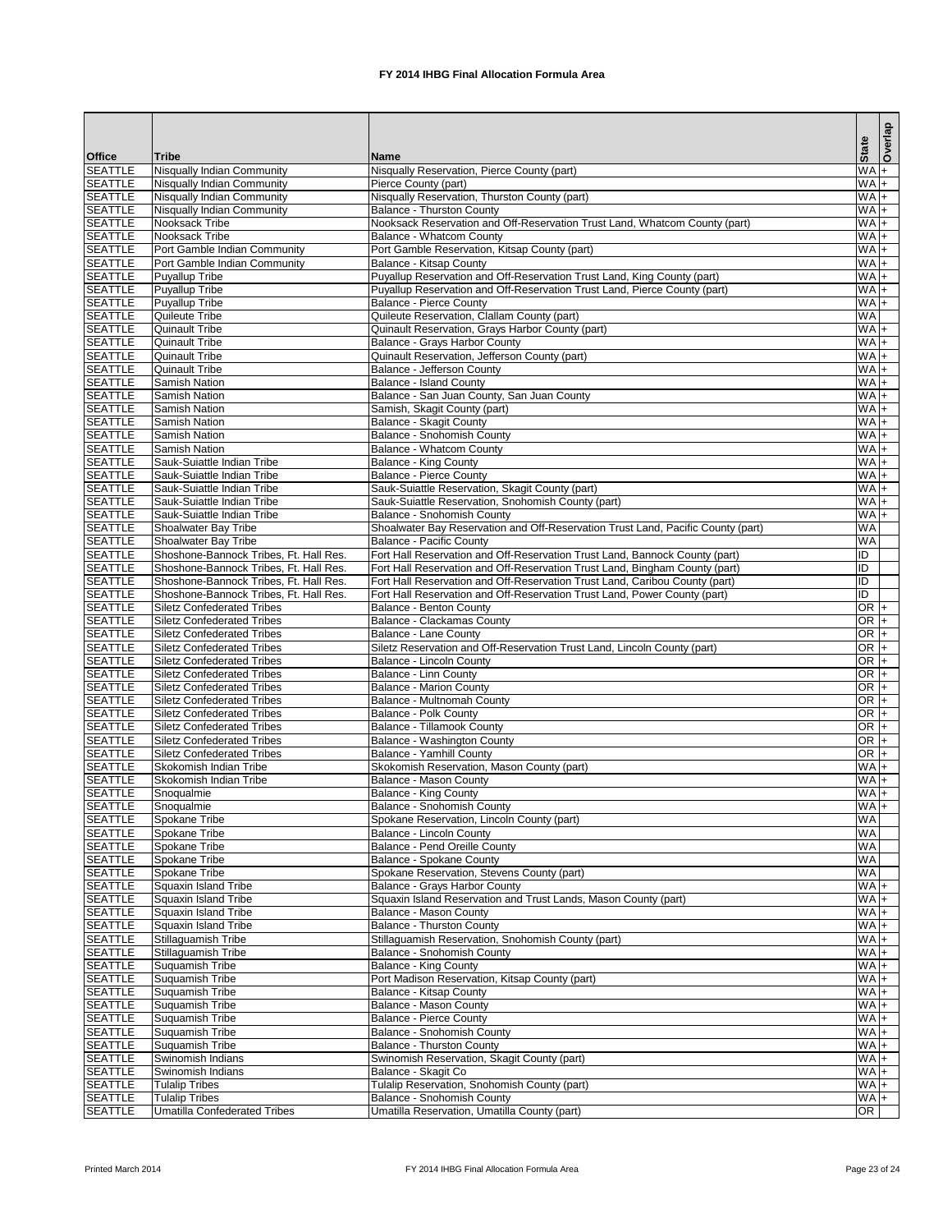|                                  |                                                                                  |                                                                                                                                                          |                      | Overlap |
|----------------------------------|----------------------------------------------------------------------------------|----------------------------------------------------------------------------------------------------------------------------------------------------------|----------------------|---------|
| <b>Office</b>                    | <b>Tribe</b>                                                                     | <b>Name</b>                                                                                                                                              | <b>State</b>         |         |
| <b>SEATTLE</b>                   | <b>Nisqually Indian Community</b>                                                | Nisqually Reservation, Pierce County (part)                                                                                                              | $WA +$               |         |
| <b>SEATTLE</b>                   | Nisqually Indian Community                                                       | Pierce County (part)                                                                                                                                     | $WA +$               |         |
| <b>SEATTLE</b>                   | Nisqually Indian Community                                                       | Nisqually Reservation, Thurston County (part)                                                                                                            | $WA +$               |         |
| <b>SEATTLE</b>                   | <b>Nisqually Indian Community</b>                                                | <b>Balance - Thurston County</b>                                                                                                                         | $WA +$               |         |
| <b>SEATTLE</b><br><b>SEATTLE</b> | Nooksack Tribe<br>Nooksack Tribe                                                 | Nooksack Reservation and Off-Reservation Trust Land, Whatcom County (part)<br><b>Balance - Whatcom County</b>                                            | $W A +$<br>$WA +$    |         |
| <b>SEATTLE</b>                   | Port Gamble Indian Community                                                     | Port Gamble Reservation, Kitsap County (part)                                                                                                            | $W\overline{A}$ +    |         |
| <b>SEATTLE</b>                   | Port Gamble Indian Community                                                     | <b>Balance - Kitsap County</b>                                                                                                                           | $WA +$               |         |
| <b>SEATTLE</b>                   | Puyallup Tribe                                                                   | Puyallup Reservation and Off-Reservation Trust Land, King County (part)                                                                                  | $WA +$               |         |
| <b>SEATTLE</b>                   | Puyallup Tribe                                                                   | Puyallup Reservation and Off-Reservation Trust Land, Pierce County (part)                                                                                | $WA +$               |         |
| <b>SEATTLE</b>                   | Puyallup Tribe                                                                   | <b>Balance - Pierce County</b>                                                                                                                           | $WA +$               |         |
| <b>SEATTLE</b>                   | Quileute Tribe                                                                   | Quileute Reservation, Clallam County (part)                                                                                                              | WA                   |         |
| <b>SEATTLE</b>                   | <b>Quinault Tribe</b>                                                            | Quinault Reservation, Grays Harbor County (part)                                                                                                         | $WA +$               |         |
| <b>SEATTLE</b>                   | <b>Quinault Tribe</b>                                                            | Balance - Grays Harbor County                                                                                                                            | $W A +$              |         |
| <b>SEATTLE</b>                   | <b>Quinault Tribe</b>                                                            | Quinault Reservation, Jefferson County (part)                                                                                                            | $WA +$               |         |
| <b>SEATTLE</b><br><b>SEATTLE</b> | <b>Quinault Tribe</b><br><b>Samish Nation</b>                                    | Balance - Jefferson County<br><b>Balance - Island County</b>                                                                                             | $WA +$<br>$WA +$     |         |
| <b>SEATTLE</b>                   | <b>Samish Nation</b>                                                             | Balance - San Juan County, San Juan County                                                                                                               | $WA +$               |         |
| <b>SEATTLE</b>                   | <b>Samish Nation</b>                                                             | Samish, Skagit County (part)                                                                                                                             | $WA +$               |         |
| <b>SEATTLE</b>                   | Samish Nation                                                                    | <b>Balance - Skagit County</b>                                                                                                                           | $WA +$               |         |
| <b>SEATTLE</b>                   | Samish Nation                                                                    | <b>Balance - Snohomish County</b>                                                                                                                        | $WA +$               |         |
| <b>SEATTLE</b>                   | <b>Samish Nation</b>                                                             | Balance - Whatcom County                                                                                                                                 | $WA +$               |         |
| <b>SEATTLE</b>                   | Sauk-Suiattle Indian Tribe                                                       | <b>Balance - King County</b>                                                                                                                             | $WA +$               |         |
| <b>SEATTLE</b>                   | Sauk-Suiattle Indian Tribe                                                       | <b>Balance - Pierce County</b>                                                                                                                           | $WA +$               |         |
| <b>SEATTLE</b>                   | Sauk-Suiattle Indian Tribe                                                       | Sauk-Suiattle Reservation, Skagit County (part)                                                                                                          | $W\overline{A}$ +    |         |
| <b>SEATTLE</b>                   | Sauk-Suiattle Indian Tribe                                                       | Sauk-Suiattle Reservation, Snohomish County (part)                                                                                                       | W A                  |         |
| <b>SEATTLE</b>                   | Sauk-Suiattle Indian Tribe                                                       | Balance - Snohomish County                                                                                                                               | $WA +$               |         |
| <b>SEATTLE</b>                   | Shoalwater Bay Tribe                                                             | Shoalwater Bay Reservation and Off-Reservation Trust Land, Pacific County (part)                                                                         | <b>WA</b>            |         |
| <b>SEATTLE</b>                   | Shoalwater Bay Tribe                                                             | <b>Balance - Pacific County</b>                                                                                                                          | WA                   |         |
| <b>SEATTLE</b>                   | Shoshone-Bannock Tribes, Ft. Hall Res.                                           | Fort Hall Reservation and Off-Reservation Trust Land, Bannock County (part)                                                                              | ID                   |         |
| <b>SEATTLE</b>                   | Shoshone-Bannock Tribes, Ft. Hall Res.                                           | Fort Hall Reservation and Off-Reservation Trust Land, Bingham County (part)                                                                              | ID                   |         |
| <b>SEATTLE</b><br><b>SEATTLE</b> | Shoshone-Bannock Tribes, Ft. Hall Res.<br>Shoshone-Bannock Tribes, Ft. Hall Res. | Fort Hall Reservation and Off-Reservation Trust Land, Caribou County (part)<br>Fort Hall Reservation and Off-Reservation Trust Land, Power County (part) | Đ<br>$\overline{ID}$ |         |
| <b>SEATTLE</b>                   | <b>Siletz Confederated Tribes</b>                                                | <b>Balance - Benton County</b>                                                                                                                           | $OR +$               |         |
| <b>SEATTLE</b>                   | <b>Siletz Confederated Tribes</b>                                                | Balance - Clackamas County                                                                                                                               | $OR$ +               |         |
| <b>SEATTLE</b>                   | <b>Siletz Confederated Tribes</b>                                                | <b>Balance - Lane County</b>                                                                                                                             | OR $+$               |         |
| <b>SEATTLE</b>                   | <b>Siletz Confederated Tribes</b>                                                | Siletz Reservation and Off-Reservation Trust Land, Lincoln County (part)                                                                                 | $OR$ +               |         |
| <b>SEATTLE</b>                   | <b>Siletz Confederated Tribes</b>                                                | Balance - Lincoln County                                                                                                                                 | $OR +$               |         |
| <b>SEATTLE</b>                   | <b>Siletz Confederated Tribes</b>                                                | <b>Balance - Linn County</b>                                                                                                                             | $OR$ +               |         |
| <b>SEATTLE</b>                   | <b>Siletz Confederated Tribes</b>                                                | <b>Balance - Marion County</b>                                                                                                                           | OR $+$               |         |
| <b>SEATTLE</b>                   | <b>Siletz Confederated Tribes</b>                                                | Balance - Multnomah County                                                                                                                               | $OR +$               |         |
| <b>SEATTLE</b>                   | <b>Siletz Confederated Tribes</b>                                                | <b>Balance - Polk County</b>                                                                                                                             | $OR +$               |         |
| <b>SEATTLE</b>                   | <b>Siletz Confederated Tribes</b>                                                | <b>Balance - Tillamook County</b>                                                                                                                        | $OR +$               |         |
| <b>SEATTLE</b>                   | <b>Siletz Confederated Tribes</b>                                                | <b>Balance - Washington County</b>                                                                                                                       | $OR +$               |         |
| <b>SEATTLE</b>                   | <b>Siletz Confederated Tribes</b>                                                | <b>Balance - Yamhill County</b>                                                                                                                          | $OR +$               |         |
| <b>SEATTLE</b><br><b>SEATTLE</b> | Skokomish Indian Tribe<br>Skokomish Indian Tribe                                 | Skokomish Reservation, Mason County (part)<br><b>Balance - Mason County</b>                                                                              | $WA +$<br>$W_A +$    |         |
| <b>SEATTLE</b>                   | Snoqualmie                                                                       | <b>Balance - King County</b>                                                                                                                             | $WA +$               |         |
| <b>SEATTLE</b>                   | Snoqualmie                                                                       | <b>Balance - Snohomish County</b>                                                                                                                        | $WA +$               |         |
| <b>SEATTLE</b>                   | Spokane Tribe                                                                    | Spokane Reservation, Lincoln County (part)                                                                                                               | WA                   |         |
| <b>SEATTLE</b>                   | Spokane Tribe                                                                    | <b>Balance - Lincoln County</b>                                                                                                                          | <b>WA</b>            |         |
| <b>SEATTLE</b>                   | Spokane Tribe                                                                    | Balance - Pend Oreille County                                                                                                                            | WA                   |         |
| <b>SEATTLE</b>                   | Spokane Tribe                                                                    | <b>Balance - Spokane County</b>                                                                                                                          | <b>WA</b>            |         |
| <b>SEATTLE</b>                   | Spokane Tribe                                                                    | Spokane Reservation, Stevens County (part)                                                                                                               | WA                   |         |
| <b>SEATTLE</b>                   | Squaxin Island Tribe                                                             | Balance - Grays Harbor County                                                                                                                            | $WA +$               |         |
| <b>SEATTLE</b>                   | Squaxin Island Tribe                                                             | Squaxin Island Reservation and Trust Lands, Mason County (part)                                                                                          | $WA +$               |         |
| <b>SEATTLE</b>                   | Squaxin Island Tribe                                                             | <b>Balance - Mason County</b>                                                                                                                            | $WA +$               |         |
| <b>SEATTLE</b>                   | Squaxin Island Tribe                                                             | <b>Balance - Thurston County</b>                                                                                                                         | $WA +$               |         |
| <b>SEATTLE</b>                   | Stillaguamish Tribe                                                              | Stillaguamish Reservation, Snohomish County (part)                                                                                                       | $+$ MM<br>$+$ MM     |         |
| <b>SEATTLE</b><br><b>SEATTLE</b> | Stillaguamish Tribe<br><b>Suquamish Tribe</b>                                    | <b>Balance - Snohomish County</b><br><b>Balance - King County</b>                                                                                        | $+$ MM               |         |
| <b>SEATTLE</b>                   | <b>Suquamish Tribe</b>                                                           | Port Madison Reservation, Kitsap County (part)                                                                                                           | $WA +$               |         |
| <b>SEATTLE</b>                   | Suquamish Tribe                                                                  | <b>Balance - Kitsap County</b>                                                                                                                           | $WA +$               |         |
| <b>SEATTLE</b>                   | Suquamish Tribe                                                                  | <b>Balance - Mason County</b>                                                                                                                            | $+$ MM               |         |
| <b>SEATTLE</b>                   | Suquamish Tribe                                                                  | <b>Balance - Pierce County</b>                                                                                                                           | $WA +$               |         |
| <b>SEATTLE</b>                   | Suquamish Tribe                                                                  | Balance - Snohomish County                                                                                                                               | $WA +$               |         |
| <b>SEATTLE</b>                   | Suquamish Tribe                                                                  | <b>Balance - Thurston County</b>                                                                                                                         | $WA +$               |         |
| <b>SEATTLE</b>                   | Swinomish Indians                                                                | Swinomish Reservation, Skagit County (part)                                                                                                              | $W_A +$              |         |
| <b>SEATTLE</b>                   | Swinomish Indians                                                                | Balance - Skagit Co                                                                                                                                      | $WA$ +               |         |
| <b>SEATTLE</b>                   | <b>Tulalip Tribes</b>                                                            | Tulalip Reservation, Snohomish County (part)                                                                                                             | $WA +$               |         |
| <b>SEATTLE</b>                   | <b>Tulalip Tribes</b>                                                            | Balance - Snohomish County                                                                                                                               | $WA +$               |         |
| <b>SEATTLE</b>                   | <b>Umatilla Confederated Tribes</b>                                              | Umatilla Reservation, Umatilla County (part)                                                                                                             | OR                   |         |

Printed March 2014 **FX 2014 IHBG Final Allocation Formula Area** Page 23 of 24